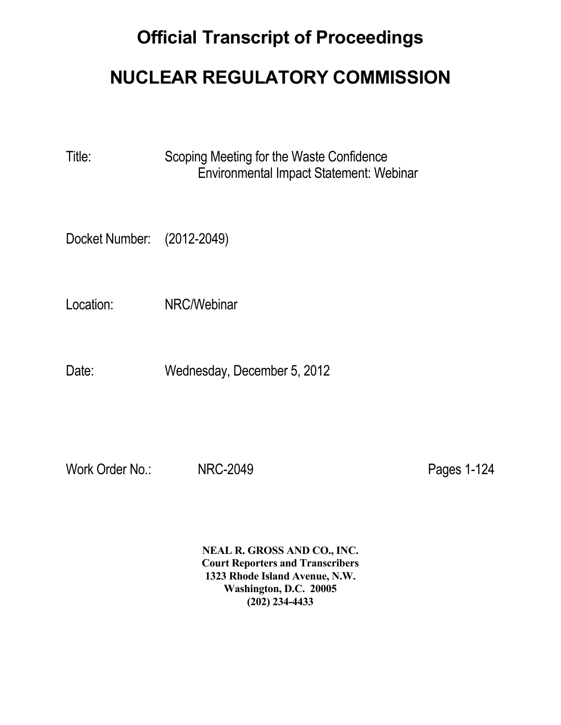## **Official Transcript of Proceedings**

## **NUCLEAR REGULATORY COMMISSION**

Title: Scoping Meeting for the Waste Confidence Environmental Impact Statement: Webinar

Docket Number: (2012-2049)

Location: NRC/Webinar

Date: Wednesday, December 5, 2012

Work Order No.: NRC-2049 **Pages 1-124** 

 **NEAL R. GROSS AND CO., INC. Court Reporters and Transcribers 1323 Rhode Island Avenue, N.W. Washington, D.C. 20005 (202) 234-4433**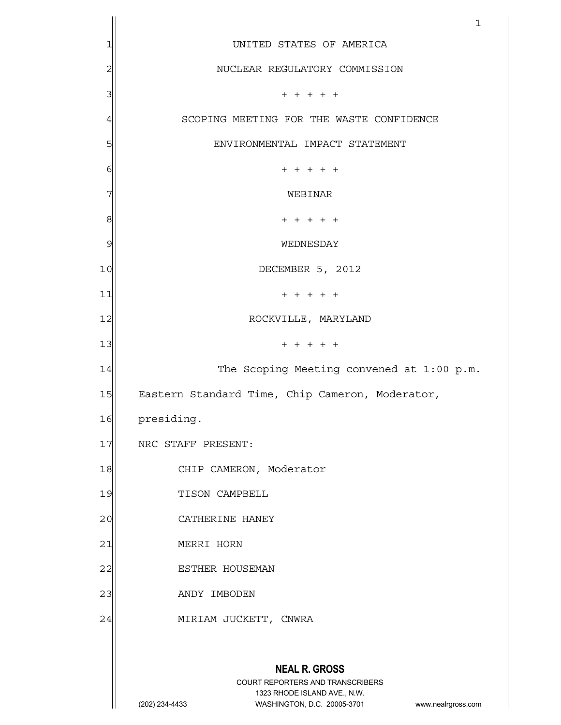|                | 1                                                                                                   |
|----------------|-----------------------------------------------------------------------------------------------------|
| 1              | UNITED STATES OF AMERICA                                                                            |
| $\overline{c}$ | NUCLEAR REGULATORY COMMISSION                                                                       |
| 3              | $+ + + + + +$                                                                                       |
| 4              | SCOPING MEETING FOR THE WASTE CONFIDENCE                                                            |
| 5              | ENVIRONMENTAL IMPACT STATEMENT                                                                      |
| 6              | $+ + + + +$                                                                                         |
| 7              | WEBINAR                                                                                             |
| 8              | $+ + + + + +$                                                                                       |
| 9              | WEDNESDAY                                                                                           |
| 10             | DECEMBER 5, 2012                                                                                    |
| 11             | $+ + + + + +$                                                                                       |
| 12             | ROCKVILLE, MARYLAND                                                                                 |
| 13             | $+ + + + + +$                                                                                       |
| 14             | The Scoping Meeting convened at 1:00 p.m.                                                           |
| 15             | Eastern Standard Time, Chip Cameron, Moderator,                                                     |
| 16             | presiding.                                                                                          |
| 17             | NRC STAFF PRESENT:                                                                                  |
| 18             | CHIP CAMERON, Moderator                                                                             |
| 19             | TISON CAMPBELL                                                                                      |
| 20             | CATHERINE HANEY                                                                                     |
| 21             | MERRI HORN                                                                                          |
| 22             | ESTHER HOUSEMAN                                                                                     |
| 23             | ANDY IMBODEN                                                                                        |
| 24             | MIRIAM JUCKETT, CNWRA                                                                               |
|                |                                                                                                     |
|                | <b>NEAL R. GROSS</b>                                                                                |
|                | COURT REPORTERS AND TRANSCRIBERS                                                                    |
|                | 1323 RHODE ISLAND AVE., N.W.<br>(202) 234-4433<br>WASHINGTON, D.C. 20005-3701<br>www.nealrgross.com |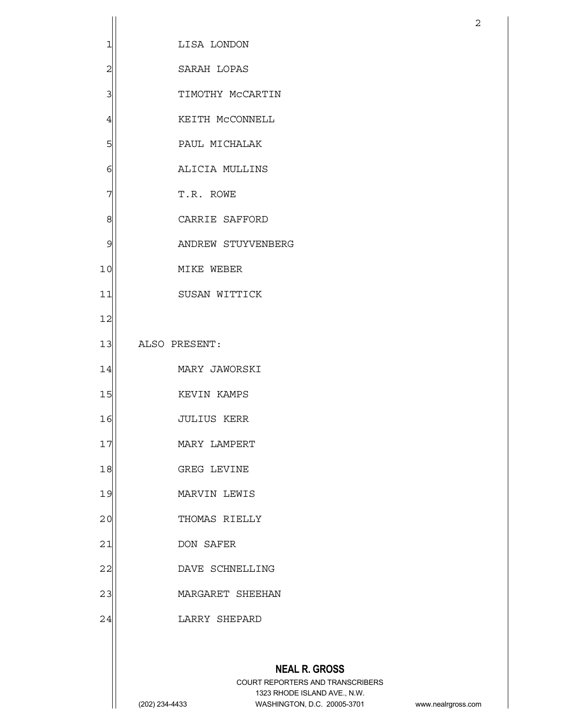|                |                                                                                                                                           | $\overline{2}$     |
|----------------|-------------------------------------------------------------------------------------------------------------------------------------------|--------------------|
| 1              | LISA LONDON                                                                                                                               |                    |
| $\overline{c}$ | SARAH LOPAS                                                                                                                               |                    |
| 3              | TIMOTHY MCCARTIN                                                                                                                          |                    |
| $\overline{4}$ | KEITH MCCONNELL                                                                                                                           |                    |
| 5              | PAUL MICHALAK                                                                                                                             |                    |
| 6              | ALICIA MULLINS                                                                                                                            |                    |
| 7              | T.R. ROWE                                                                                                                                 |                    |
| 8              | CARRIE SAFFORD                                                                                                                            |                    |
| 9              | ANDREW STUYVENBERG                                                                                                                        |                    |
| 10             | MIKE WEBER                                                                                                                                |                    |
| 11             | SUSAN WITTICK                                                                                                                             |                    |
| 12             |                                                                                                                                           |                    |
| 13             | ALSO PRESENT:                                                                                                                             |                    |
| 14             | MARY JAWORSKI                                                                                                                             |                    |
| 15             | KEVIN KAMPS                                                                                                                               |                    |
| 16             | JULIUS KERR                                                                                                                               |                    |
| 17             | MARY LAMPERT                                                                                                                              |                    |
| 18             | GREG LEVINE                                                                                                                               |                    |
| 19             | MARVIN LEWIS                                                                                                                              |                    |
| 20             | THOMAS RIELLY                                                                                                                             |                    |
| 21             | DON SAFER                                                                                                                                 |                    |
| 22             | DAVE SCHNELLING                                                                                                                           |                    |
| 23             | MARGARET SHEEHAN                                                                                                                          |                    |
| 24             | LARRY SHEPARD                                                                                                                             |                    |
|                |                                                                                                                                           |                    |
|                | <b>NEAL R. GROSS</b><br>COURT REPORTERS AND TRANSCRIBERS<br>1323 RHODE ISLAND AVE., N.W.<br>WASHINGTON, D.C. 20005-3701<br>(202) 234-4433 | www.nealrgross.com |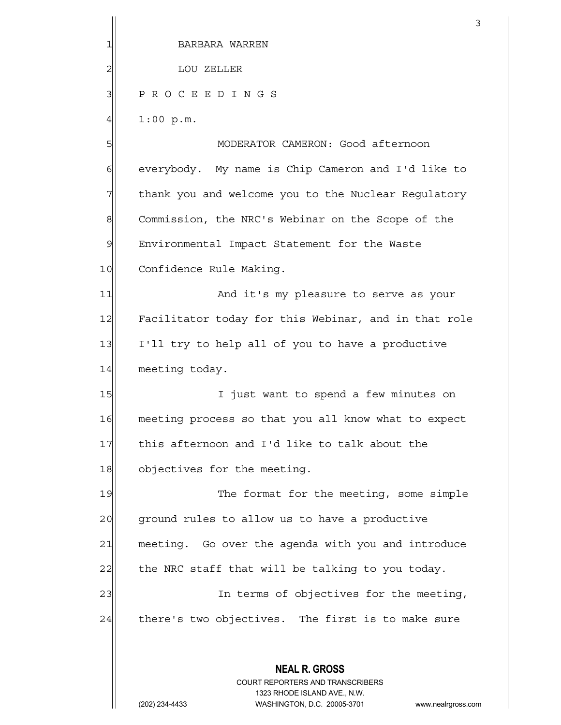|                | 3                                                                                                   |
|----------------|-----------------------------------------------------------------------------------------------------|
| 1              | BARBARA WARREN                                                                                      |
| $\overline{c}$ | LOU ZELLER                                                                                          |
| 3              | PROCEEDINGS                                                                                         |
| $\overline{4}$ | 1:00 p.m.                                                                                           |
| 5              | MODERATOR CAMERON: Good afternoon                                                                   |
| 6              | everybody. My name is Chip Cameron and I'd like to                                                  |
| 7              | thank you and welcome you to the Nuclear Regulatory                                                 |
| 8              | Commission, the NRC's Webinar on the Scope of the                                                   |
| 9              | Environmental Impact Statement for the Waste                                                        |
| 10             | Confidence Rule Making.                                                                             |
| 11             | And it's my pleasure to serve as your                                                               |
| 12             | Facilitator today for this Webinar, and in that role                                                |
| 13             | I'll try to help all of you to have a productive                                                    |
| 14             | meeting today.                                                                                      |
| 15             | I just want to spend a few minutes on                                                               |
| 16             | meeting process so that you all know what to expect                                                 |
| 17             | this afternoon and I'd like to talk about the                                                       |
| 18             | objectives for the meeting.                                                                         |
| 19             | The format for the meeting, some simple                                                             |
| 20             | ground rules to allow us to have a productive                                                       |
| 21             | meeting. Go over the agenda with you and introduce                                                  |
| 22             | the NRC staff that will be talking to you today.                                                    |
| 23             | In terms of objectives for the meeting,                                                             |
| 24             | there's two objectives. The first is to make sure                                                   |
|                |                                                                                                     |
|                | <b>NEAL R. GROSS</b>                                                                                |
|                | <b>COURT REPORTERS AND TRANSCRIBERS</b>                                                             |
|                | 1323 RHODE ISLAND AVE., N.W.<br>(202) 234-4433<br>WASHINGTON, D.C. 20005-3701<br>www.nealrgross.com |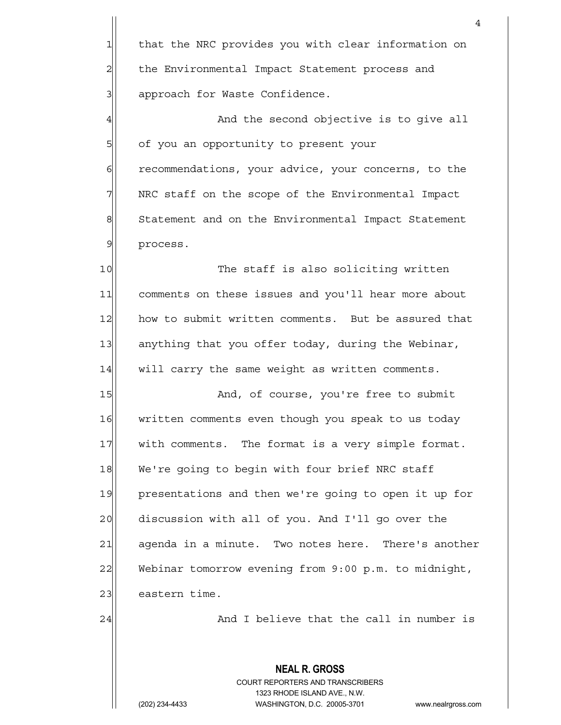4 1 that the NRC provides you with clear information on 2 | the Environmental Impact Statement process and 3 3 approach for Waste Confidence. 4 And the second objective is to give all 5 5 of you an opportunity to present your 6 6 recommendations, your advice, your concerns, to the 7 | NRC staff on the scope of the Environmental Impact 8 Statement and on the Environmental Impact Statement 9 process. 10 The staff is also soliciting written 11 comments on these issues and you'll hear more about 12 how to submit written comments. But be assured that 13 anything that you offer today, during the Webinar, 14 will carry the same weight as written comments. 15 And, of course, you're free to submit 16 written comments even though you speak to us today 17 with comments. The format is a very simple format. 18 We're going to begin with four brief NRC staff 19 presentations and then we're going to open it up for 20 discussion with all of you. And I'll go over the 21 agenda in a minute. Two notes here. There's another 22 Webinar tomorrow evening from 9:00 p.m. to midnight, 23 eastern time. 24 And I believe that the call in number is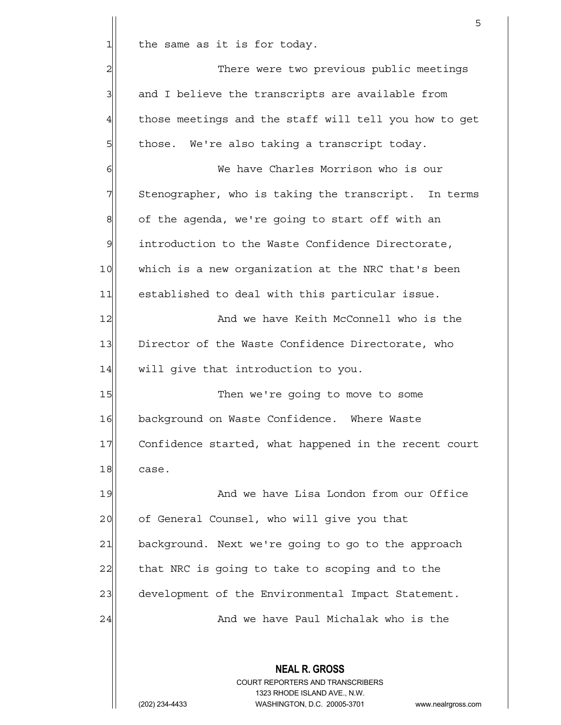$1$  the same as it is for today.

 **NEAL R. GROSS** 2 There were two previous public meetings  $3$  and I believe the transcripts are available from 4 those meetings and the staff will tell you how to get  $5$  those. We're also taking a transcript today. 6 We have Charles Morrison who is our 7 Stenographer, who is taking the transcript. In terms  $8$  of the agenda, we're going to start off with an 9 introduction to the Waste Confidence Directorate, 10 which is a new organization at the NRC that's been 11 established to deal with this particular issue. 12 and we have Keith McConnell who is the 13 Director of the Waste Confidence Directorate, who 14 will give that introduction to you. 15 Then we're going to move to some 16 background on Waste Confidence. Where Waste 17 Confidence started, what happened in the recent court 18 case. 19 And we have Lisa London from our Office 20 of General Counsel, who will give you that 21 background. Next we're going to go to the approach 22 that NRC is going to take to scoping and to the 23 development of the Environmental Impact Statement. 24 And we have Paul Michalak who is the

<u>5</u>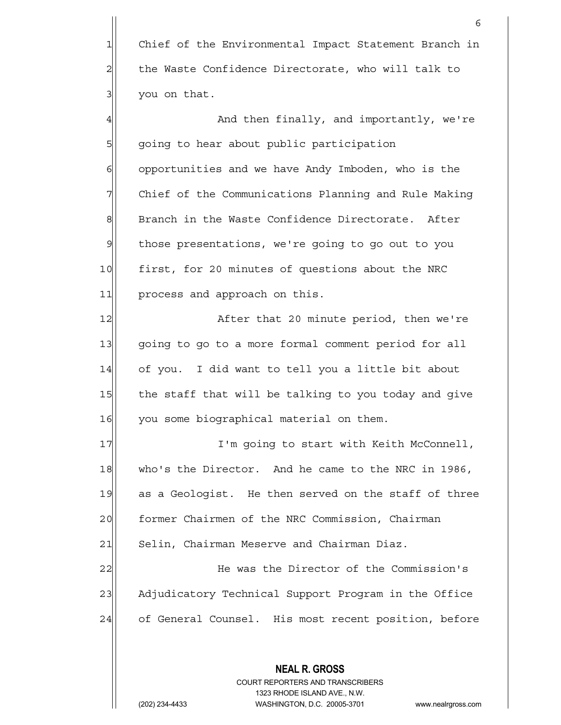|                | 6                                                                                                   |
|----------------|-----------------------------------------------------------------------------------------------------|
| $\mathbf{1}$   | Chief of the Environmental Impact Statement Branch in                                               |
| $\overline{a}$ | the Waste Confidence Directorate, who will talk to                                                  |
| 3              | you on that.                                                                                        |
| 4              | And then finally, and importantly, we're                                                            |
| 5              | going to hear about public participation                                                            |
| 6              | opportunities and we have Andy Imboden, who is the                                                  |
| 7              | Chief of the Communications Planning and Rule Making                                                |
| 8              | Branch in the Waste Confidence Directorate. After                                                   |
| $\mathcal{Q}$  | those presentations, we're going to go out to you                                                   |
| 10             | first, for 20 minutes of questions about the NRC                                                    |
| 11             | process and approach on this.                                                                       |
| 12             | After that 20 minute period, then we're                                                             |
| 13             | going to go to a more formal comment period for all                                                 |
| 14             | of you. I did want to tell you a little bit about                                                   |
| 15             | the staff that will be talking to you today and give                                                |
| 16             | you some biographical material on them.                                                             |
| 17             | I'm going to start with Keith McConnell,                                                            |
| 18             | who's the Director. And he came to the NRC in 1986,                                                 |
| 19             | as a Geologist. He then served on the staff of three                                                |
| 20             | former Chairmen of the NRC Commission, Chairman                                                     |
| 21             | Selin, Chairman Meserve and Chairman Diaz.                                                          |
| 22             | He was the Director of the Commission's                                                             |
| 23             | Adjudicatory Technical Support Program in the Office                                                |
| 24             | of General Counsel. His most recent position, before                                                |
|                |                                                                                                     |
|                | <b>NEAL R. GROSS</b><br><b>COURT REPORTERS AND TRANSCRIBERS</b>                                     |
|                | 1323 RHODE ISLAND AVE., N.W.<br>WASHINGTON, D.C. 20005-3701<br>(202) 234-4433<br>www.nealrgross.com |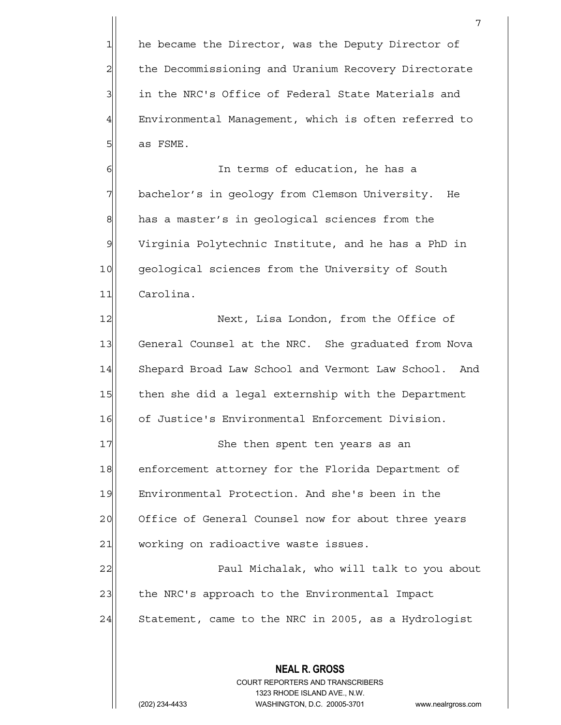1 he became the Director, was the Deputy Director of 2 | the Decommissioning and Uranium Recovery Directorate 3 3 in the NRC's Office of Federal State Materials and 4 Environmental Management, which is often referred to  $5$  as FSME.

7

6 | Gillem In terms of education, he has a 7 | bachelor's in geology from Clemson University. He 8 has a master's in geological sciences from the 9 Virginia Polytechnic Institute, and he has a PhD in 10 geological sciences from the University of South 11 Carolina.

12 Next, Lisa London, from the Office of 13 General Counsel at the NRC. She graduated from Nova 14 Shepard Broad Law School and Vermont Law School. And 15 then she did a legal externship with the Department 16 of Justice's Environmental Enforcement Division.

17 She then spent ten years as an 18 enforcement attorney for the Florida Department of 19 Environmental Protection. And she's been in the 20 Office of General Counsel now for about three years 21 working on radioactive waste issues.

22 Paul Michalak, who will talk to you about 23 the NRC's approach to the Environmental Impact 24 Statement, came to the NRC in 2005, as a Hydrologist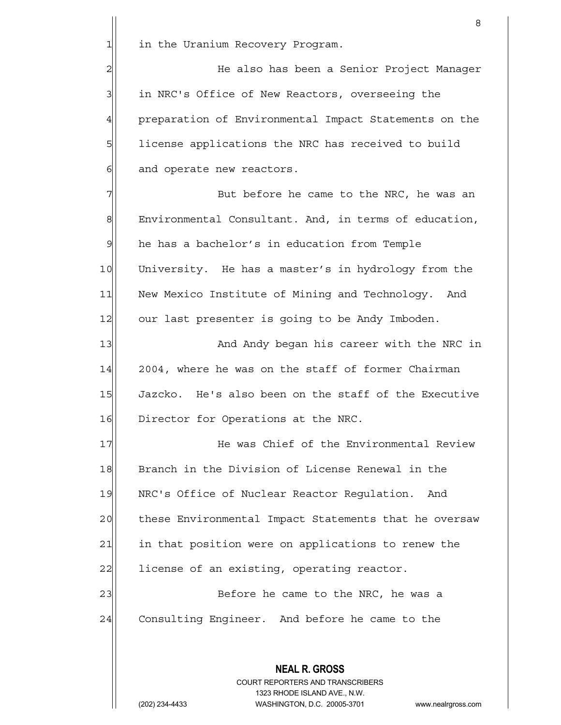1 1 in the Uranium Recovery Program.

2 He also has been a Senior Project Manager 3 3 in NRC's Office of New Reactors, overseeing the 4 preparation of Environmental Impact Statements on the 5 5 license applications the NRC has received to build  $6$  and operate new reactors.

7| But before he came to the NRC, he was an 8 Environmental Consultant. And, in terms of education,  $9$  he has a bachelor's in education from Temple 10 University. He has a master's in hydrology from the 11 New Mexico Institute of Mining and Technology. And 12 our last presenter is going to be Andy Imboden.

13 And Andy began his career with the NRC in  $14$  2004, where he was on the staff of former Chairman 15 Jazcko. He's also been on the staff of the Executive 16 Director for Operations at the NRC.

17 He was Chief of the Environmental Review 18 Branch in the Division of License Renewal in the 19 NRC's Office of Nuclear Reactor Requlation. And 20 these Environmental Impact Statements that he oversaw 21 in that position were on applications to renew the 22 license of an existing, operating reactor.

23 | Before he came to the NRC, he was a 24 Consulting Engineer. And before he came to the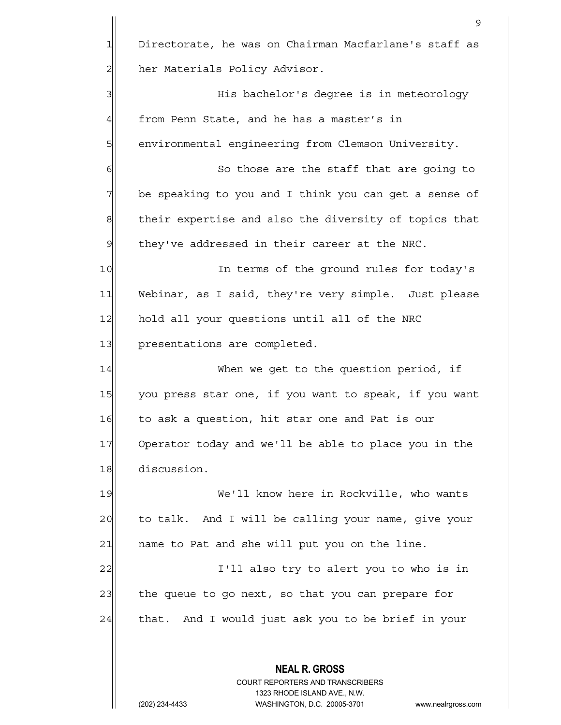**NEAL R. GROSS** COURT REPORTERS AND TRANSCRIBERS 1323 RHODE ISLAND AVE., N.W. 9 1 Directorate, he was on Chairman Macfarlane's staff as 2 | her Materials Policy Advisor. 3 His bachelor's degree is in meteorology  $4$  from Penn State, and he has a master's in 5 | environmental engineering from Clemson University. 6 6 So those are the staff that are going to 7 be speaking to you and I think you can get a sense of 8 their expertise and also the diversity of topics that  $9$  they've addressed in their career at the NRC. 10 In terms of the ground rules for today's 11 Webinar, as I said, they're very simple. Just please 12 hold all your questions until all of the NRC 13 presentations are completed. 14 When we get to the question period, if 15 you press star one, if you want to speak, if you want 16 to ask a question, hit star one and Pat is our 17 Operator today and we'll be able to place you in the 18 discussion. 19 We'll know here in Rockville, who wants 20 to talk. And I will be calling your name, give your  $21$  name to Pat and she will put you on the line. 22 and 1 I'll also try to alert you to who is in 23 the queue to go next, so that you can prepare for  $24$  that. And I would just ask you to be brief in your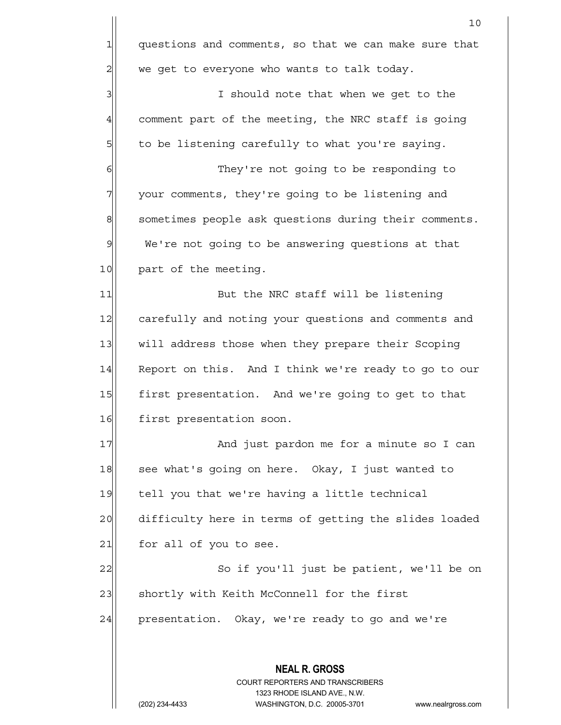**NEAL R. GROSS** COURT REPORTERS AND TRANSCRIBERS 1323 RHODE ISLAND AVE., N.W. 10 1 questions and comments, so that we can make sure that  $2$  we get to everyone who wants to talk today. 3 3 3 I should note that when we get to the  $4$  comment part of the meeting, the NRC staff is going  $5$  to be listening carefully to what you're saying. 6 6 They're not going to be responding to 7 7 your comments, they're going to be listening and 8 sometimes people ask questions during their comments.  $9$  We're not going to be answering questions at that 10 part of the meeting. 11 But the NRC staff will be listening 12 carefully and noting your questions and comments and 13 will address those when they prepare their Scoping 14 Report on this. And I think we're ready to go to our 15 first presentation. And we're going to get to that 16 first presentation soon. 17 And just pardon me for a minute so I can 18 see what's going on here. Okay, I just wanted to 19 tell you that we're having a little technical 20 difficulty here in terms of getting the slides loaded  $21$  for all of you to see. 22 | So if you'll just be patient, we'll be on 23 shortly with Keith McConnell for the first 24 presentation. Okay, we're ready to go and we're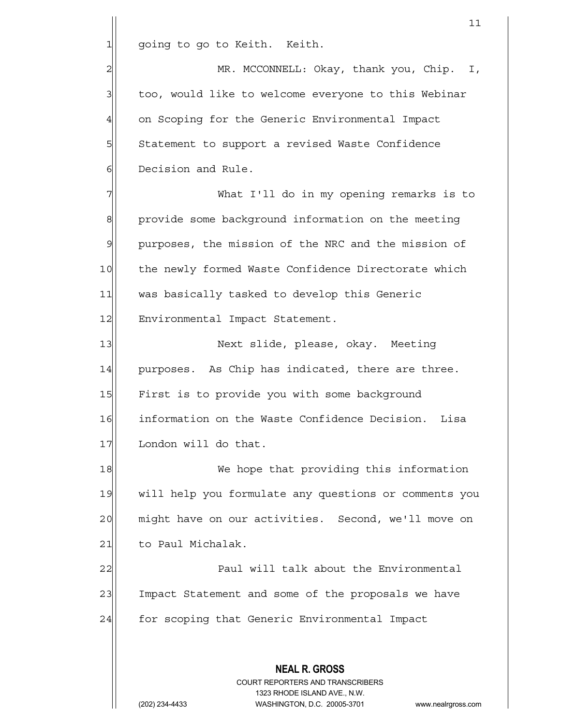1 going to go to Keith. Keith.

2 MR. MCCONNELL: Okay, thank you, Chip. I, 3 too, would like to welcome everyone to this Webinar 4 on Scoping for the Generic Environmental Impact 5 Statement to support a revised Waste Confidence 6 **Decision** and Rule.

7 What I'll do in my opening remarks is to 8 provide some background information on the meeting 9 purposes, the mission of the NRC and the mission of 10 the newly formed Waste Confidence Directorate which 11 was basically tasked to develop this Generic 12 Environmental Impact Statement.

13 | Next slide, please, okay. Meeting 14 purposes. As Chip has indicated, there are three. 15 First is to provide you with some background 16 information on the Waste Confidence Decision. Lisa 17 London will do that.

18 We hope that providing this information 19 will help you formulate any questions or comments you 20 might have on our activities. Second, we'll move on 21 to Paul Michalak.

22 Paul will talk about the Environmental 23 Impact Statement and some of the proposals we have 24 for scoping that Generic Environmental Impact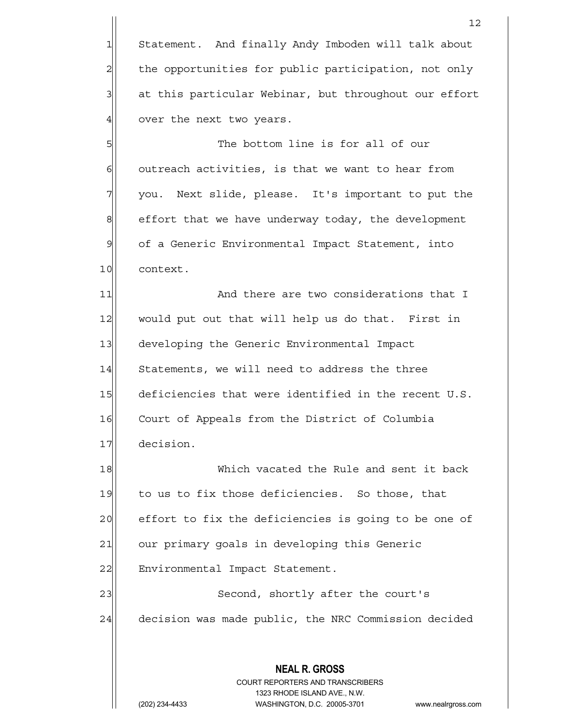1 Statement. And finally Andy Imboden will talk about 2 the opportunities for public participation, not only 3 at this particular Webinar, but throughout our effort  $4$  over the next two years.

5 SI  $6$  outreach activities, is that we want to hear from  $7$  you. Next slide, please. It's important to put the 8 effort that we have underway today, the development 9 of a Generic Environmental Impact Statement, into 10 context.

11| And there are two considerations that I 12 would put out that will help us do that. First in 13 developing the Generic Environmental Impact 14 Statements, we will need to address the three 15 deficiencies that were identified in the recent U.S. 16 Court of Appeals from the District of Columbia 17 decision.

18 Which vacated the Rule and sent it back 19 to us to fix those deficiencies. So those, that 20 effort to fix the deficiencies is going to be one of 21 our primary goals in developing this Generic 22 Environmental Impact Statement. 23 Second, shortly after the court's 24 decision was made public, the NRC Commission decided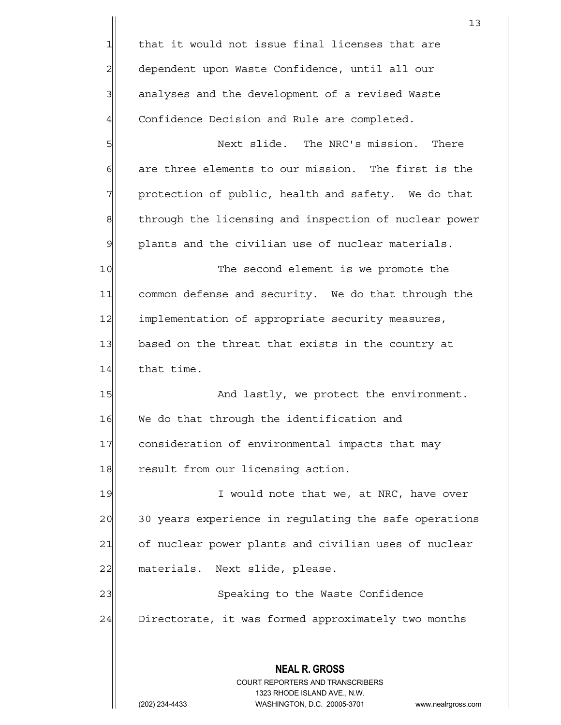|                | 13                                                                      |
|----------------|-------------------------------------------------------------------------|
| 1              | that it would not issue final licenses that are                         |
| $\overline{a}$ | dependent upon Waste Confidence, until all our                          |
| $\overline{3}$ | analyses and the development of a revised Waste                         |
| $\overline{4}$ | Confidence Decision and Rule are completed.                             |
| 5              | Next slide. The NRC's mission. There                                    |
| $\epsilon$     | are three elements to our mission. The first is the                     |
| 7              | protection of public, health and safety. We do that                     |
| $\bf{8}$       | through the licensing and inspection of nuclear power                   |
| $\mathsf{S}$   | plants and the civilian use of nuclear materials.                       |
| 10             | The second element is we promote the                                    |
| 11             | common defense and security. We do that through the                     |
| 12             | implementation of appropriate security measures,                        |
| 13             | based on the threat that exists in the country at                       |
| 14             | that time.                                                              |
| 15             | And lastly, we protect the environment.                                 |
| 16             | We do that through the identification and                               |
| 17             | consideration of environmental impacts that may                         |
| 18             | result from our licensing action.                                       |
| 19             | I would note that we, at NRC, have over                                 |
| 20             | 30 years experience in regulating the safe operations                   |
| 21             | of nuclear power plants and civilian uses of nuclear                    |
| 22             | materials. Next slide, please.                                          |
| 23             | Speaking to the Waste Confidence                                        |
| 24             | Directorate, it was formed approximately two months                     |
|                |                                                                         |
|                | <b>NEAL R. GROSS</b>                                                    |
|                | <b>COURT REPORTERS AND TRANSCRIBERS</b><br>1323 RHODE ISLAND AVE., N.W. |
|                | WASHINGTON, D.C. 20005-3701<br>(202) 234-4433<br>www.nealrgross.com     |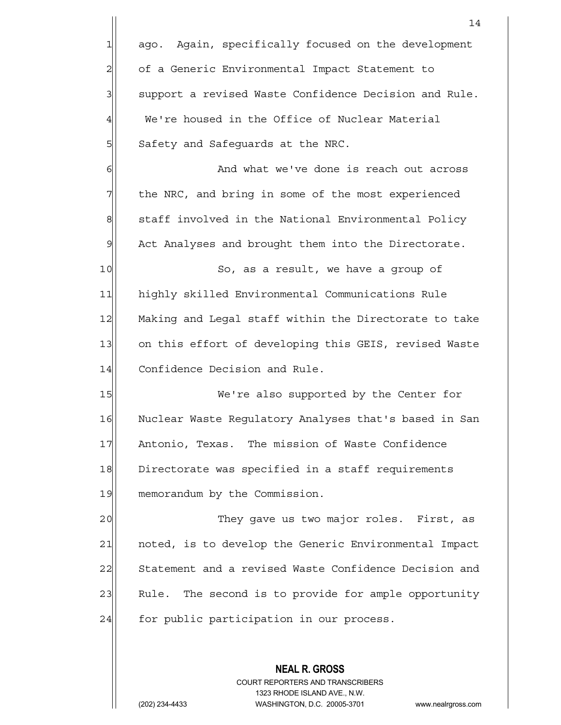|                | 14                                                     |
|----------------|--------------------------------------------------------|
| 1              | Again, specifically focused on the development<br>ago. |
| $\overline{c}$ | of a Generic Environmental Impact Statement to         |
| 3              | support a revised Waste Confidence Decision and Rule.  |
| $\overline{4}$ | We're housed in the Office of Nuclear Material         |
| 5              | Safety and Safequards at the NRC.                      |
| 6              | And what we've done is reach out across                |
| 7              | the NRC, and bring in some of the most experienced     |
| 8              | staff involved in the National Environmental Policy    |
| $\mathfrak{S}$ | Act Analyses and brought them into the Directorate.    |
| 10             | So, as a result, we have a group of                    |
| 11             | highly skilled Environmental Communications Rule       |
| 12             | Making and Legal staff within the Directorate to take  |
| 13             | on this effort of developing this GEIS, revised Waste  |
| 14             | Confidence Decision and Rule.                          |
| 15             | We're also supported by the Center for                 |
| 16             | Nuclear Waste Regulatory Analyses that's based in San  |
| 17             | Antonio, Texas. The mission of Waste Confidence        |
| 18             | Directorate was specified in a staff requirements      |
| 19             | memorandum by the Commission.                          |
| 20             | They gave us two major roles. First, as                |
| 21             | noted, is to develop the Generic Environmental Impact  |
| 22             | Statement and a revised Waste Confidence Decision and  |
| 23             | Rule. The second is to provide for ample opportunity   |
| 24             | for public participation in our process.               |
|                |                                                        |
|                | <b>NEAL R. GROSS</b>                                   |

 COURT REPORTERS AND TRANSCRIBERS 1323 RHODE ISLAND AVE., N.W.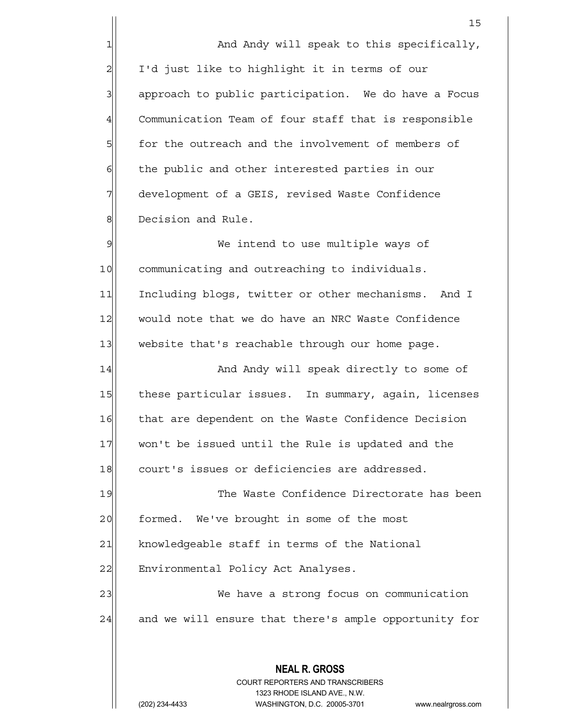1 And Andy will speak to this specifically, 2| I'd just like to highlight it in terms of our 3 3 approach to public participation. We do have a Focus 4 Communication Team of four staff that is responsible  $5$  for the outreach and the involvement of members of  $6$  the public and other interested parties in our 7 development of a GEIS, revised Waste Confidence 8 Becision and Rule.

9 | We intend to use multiple ways of 10 communicating and outreaching to individuals. 11 Including blogs, twitter or other mechanisms. And I 12 would note that we do have an NRC Waste Confidence 13 website that's reachable through our home page.

14 And Andy will speak directly to some of 15 | these particular issues. In summary, again, licenses 16 that are dependent on the Waste Confidence Decision 17 won't be issued until the Rule is updated and the 18 court's issues or deficiencies are addressed.

19 The Waste Confidence Directorate has been 20 formed. We've brought in some of the most 21 knowledgeable staff in terms of the National 22 Environmental Policy Act Analyses. 23 We have a strong focus on communication

24 and we will ensure that there's ample opportunity for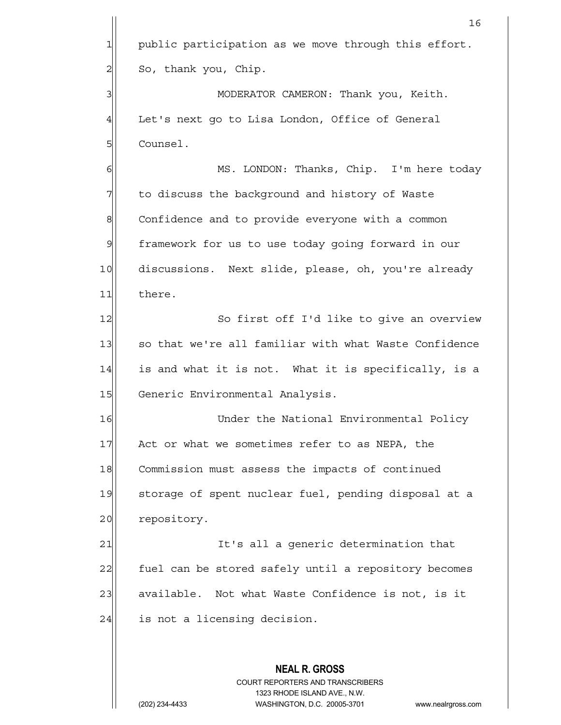|                | 16                                                                                                  |
|----------------|-----------------------------------------------------------------------------------------------------|
| $\mathbf{1}$   | public participation as we move through this effort.                                                |
| $\overline{c}$ | So, thank you, Chip.                                                                                |
| 3              | MODERATOR CAMERON: Thank you, Keith.                                                                |
| 4              | Let's next go to Lisa London, Office of General                                                     |
| 5              | Counsel.                                                                                            |
| 6              | MS. LONDON: Thanks, Chip. I'm here today                                                            |
| 7              | to discuss the background and history of Waste                                                      |
| 8              | Confidence and to provide everyone with a common                                                    |
| 9              | framework for us to use today going forward in our                                                  |
| 10             | discussions. Next slide, please, oh, you're already                                                 |
| 11             | there.                                                                                              |
| 12             | So first off I'd like to give an overview                                                           |
| 13             | so that we're all familiar with what Waste Confidence                                               |
| 14             | is and what it is not. What it is specifically, is a                                                |
| 15             | Generic Environmental Analysis.                                                                     |
| 16             | Under the National Environmental Policy                                                             |
| 17             | Act or what we sometimes refer to as NEPA, the                                                      |
| 18             | Commission must assess the impacts of continued                                                     |
| 19             | storage of spent nuclear fuel, pending disposal at a                                                |
| 20             | repository.                                                                                         |
| 21             | It's all a generic determination that                                                               |
| 22             | fuel can be stored safely until a repository becomes                                                |
| 23             | available. Not what Waste Confidence is not, is it                                                  |
| 24             | is not a licensing decision.                                                                        |
|                |                                                                                                     |
|                | <b>NEAL R. GROSS</b>                                                                                |
|                | COURT REPORTERS AND TRANSCRIBERS                                                                    |
|                | 1323 RHODE ISLAND AVE., N.W.<br>WASHINGTON, D.C. 20005-3701<br>(202) 234-4433<br>www.nealrgross.com |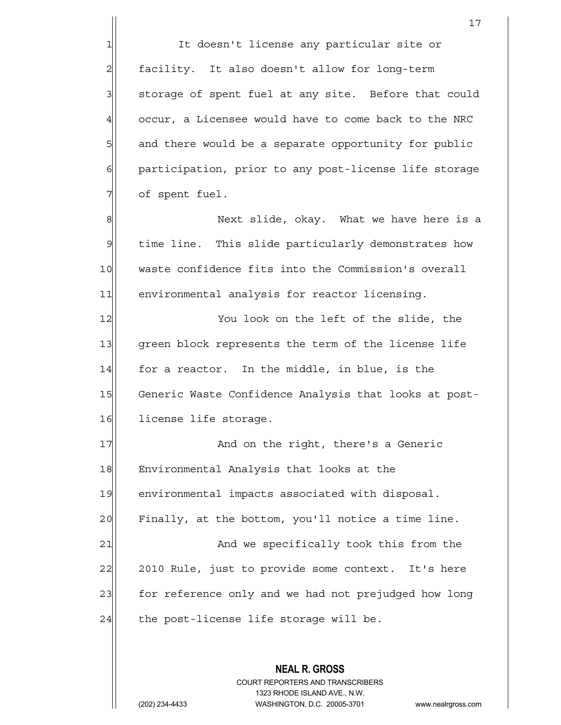1| It doesn't license any particular site or 2| facility. It also doesn't allow for long-term 3 3 storage of spent fuel at any site. Before that could  $4$  occur, a Licensee would have to come back to the NRC 5 and there would be a separate opportunity for public 6 6 participation, prior to any post-license life storage  $7$  of spent fuel.

8 8 Next slide, okay. What we have here is a 9 time line. This slide particularly demonstrates how 10 waste confidence fits into the Commission's overall 11 environmental analysis for reactor licensing.

12 You look on the left of the slide, the 13 green block represents the term of the license life  $14$  for a reactor. In the middle, in blue, is the 15 Generic Waste Confidence Analysis that looks at post-16 license life storage.

17 And on the right, there's a Generic 18 Environmental Analysis that looks at the 19 environmental impacts associated with disposal. 20 | Finally, at the bottom, you'll notice a time line. 21 and we specifically took this from the 22 2010 Rule, just to provide some context. It's here 23 for reference only and we had not prejudged how long  $24$  the post-license life storage will be.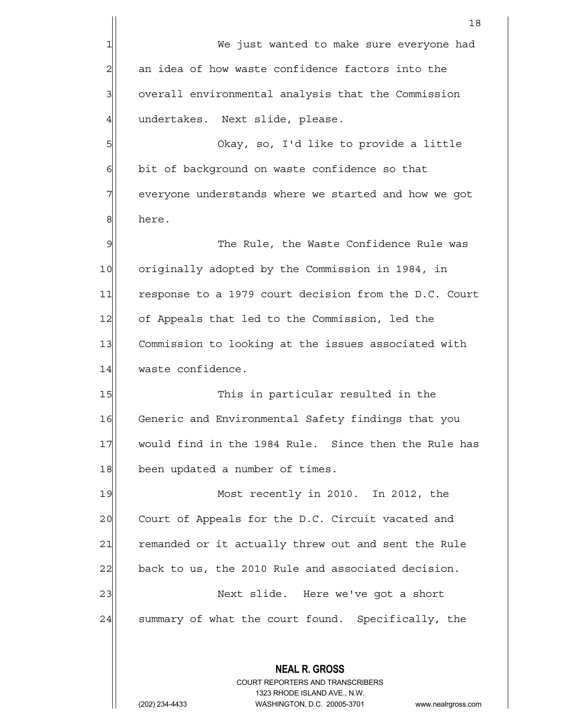**NEAL R. GROSS** COURT REPORTERS AND TRANSCRIBERS 18 1 We just wanted to make sure everyone had 2 an idea of how waste confidence factors into the 3 3 overall environmental analysis that the Commission  $4$  undertakes. Next slide, please. 5 So, I'd like to provide a little 6 6 bit of background on waste confidence so that 7 | everyone understands where we started and how we got 8 | here. 9 9 The Rule, the Waste Confidence Rule was 10 originally adopted by the Commission in 1984, in 11 response to a 1979 court decision from the D.C. Court 12 of Appeals that led to the Commission, led the 13 Commission to looking at the issues associated with 14 waste confidence. 15 This in particular resulted in the 16 Generic and Environmental Safety findings that you 17 would find in the 1984 Rule. Since then the Rule has 18 been updated a number of times. 19 Most recently in 2010. In 2012, the 20 Court of Appeals for the D.C. Circuit vacated and 21 remanded or it actually threw out and sent the Rule  $22$  back to us, the 2010 Rule and associated decision. 23 | Next slide. Here we've got a short  $24$  summary of what the court found. Specifically, the

1323 RHODE ISLAND AVE., N.W.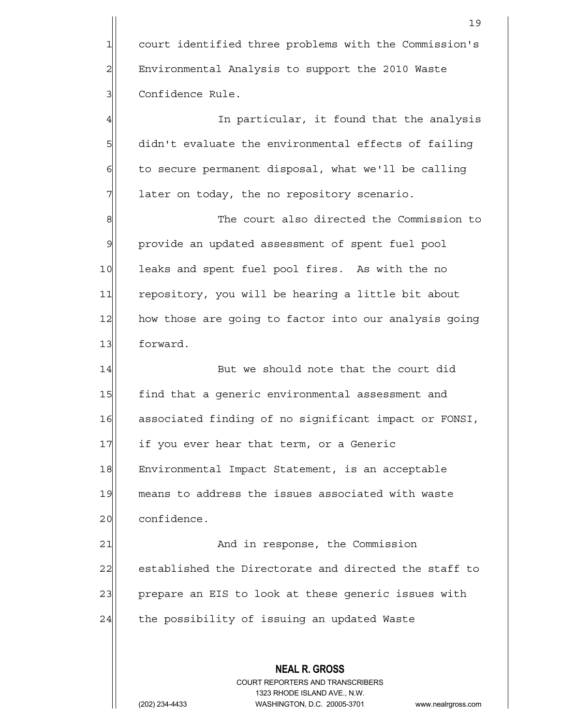1 court identified three problems with the Commission's 2 | Environmental Analysis to support the 2010 Waste 3 | Confidence Rule.

4 all the same of the state of the state of the state of the small in the small state of the state of the state 5 didn't evaluate the environmental effects of failing  $6$  to secure permanent disposal, what we'll be calling  $7$  later on today, the no repository scenario.

8 8 8 Re court also directed the Commission to 9| provide an updated assessment of spent fuel pool 10 leaks and spent fuel pool fires. As with the no 11 repository, you will be hearing a little bit about 12 how those are going to factor into our analysis going 13 forward.

14 But we should note that the court did 15 find that a generic environmental assessment and 16 associated finding of no significant impact or FONSI, 17 if you ever hear that term, or a Generic 18 Environmental Impact Statement, is an acceptable 19 means to address the issues associated with waste 20 confidence.

21 and in response, the Commission 22 established the Directorate and directed the staff to 23 | prepare an EIS to look at these generic issues with  $24$  the possibility of issuing an updated Waste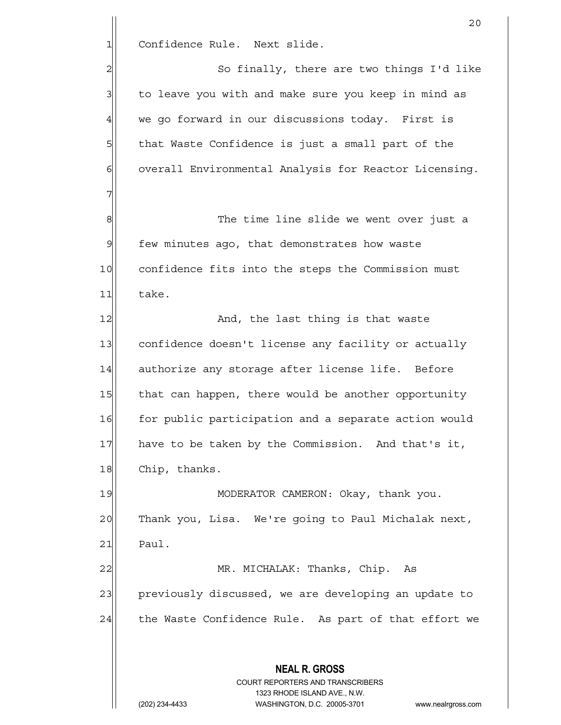1 Confidence Rule. Next slide.

7

2 | So finally, there are two things I'd like 3 to leave you with and make sure you keep in mind as  $4$  we go forward in our discussions today. First is 5 5 5 5 that Waste Confidence is just a small part of the 6 overall Environmental Analysis for Reactor Licensing.

8 8 The time line slide we went over just a  $9$  few minutes ago, that demonstrates how waste 10 confidence fits into the steps the Commission must 11 take.

12 And, the last thing is that waste 13 confidence doesn't license any facility or actually 14 authorize any storage after license life. Before 15 that can happen, there would be another opportunity 16 for public participation and a separate action would 17 have to be taken by the Commission. And that's it, 18 Chip, thanks.

19 MODERATOR CAMERON: Okay, thank you. 20 Thank you, Lisa. We're going to Paul Michalak next,  $21$  Paul.

22 | MR. MICHALAK: Thanks, Chip. As 23 previously discussed, we are developing an update to  $24$  the Waste Confidence Rule. As part of that effort we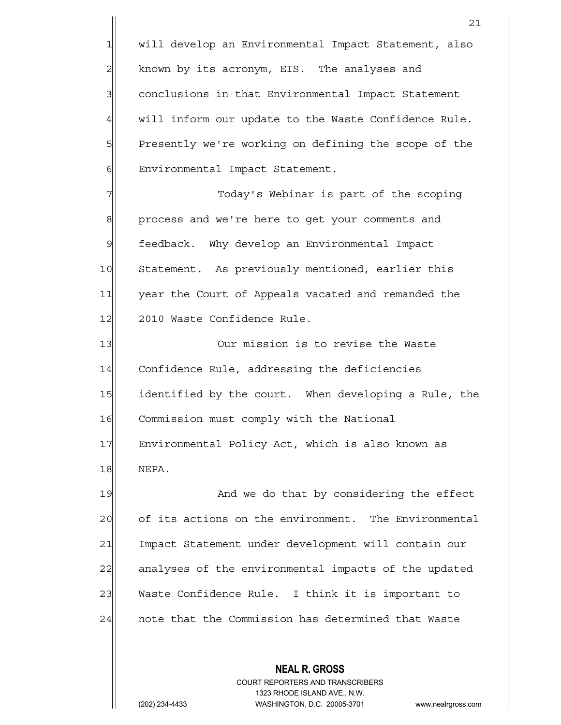1 will develop an Environmental Impact Statement, also 2 known by its acronym, EIS. The analyses and 3 3 conclusions in that Environmental Impact Statement 4 will inform our update to the Waste Confidence Rule. 5 Presently we're working on defining the scope of the 6 Environmental Impact Statement.

7 Today's Webinar is part of the scoping 8 8 process and we're here to get your comments and 9 feedback. Why develop an Environmental Impact 10 Statement. As previously mentioned, earlier this 11 year the Court of Appeals vacated and remanded the 12 2010 Waste Confidence Rule.

13 Our mission is to revise the Waste 14 Confidence Rule, addressing the deficiencies 15 identified by the court. When developing a Rule, the 16 Commission must comply with the National 17 Environmental Policy Act, which is also known as 18 NEPA.

19 And we do that by considering the effect 20 of its actions on the environment. The Environmental 21 Impact Statement under development will contain our 22 analyses of the environmental impacts of the updated 23 Waste Confidence Rule. I think it is important to 24 | note that the Commission has determined that Waste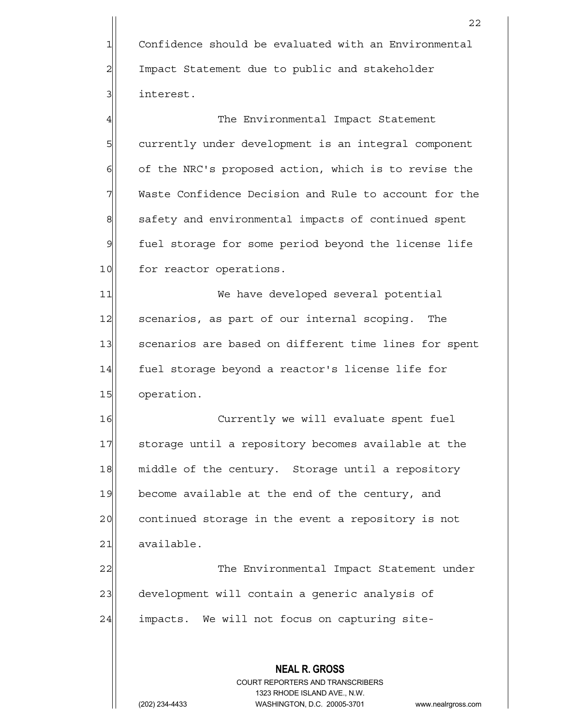1 Confidence should be evaluated with an Environmental 2 Impact Statement due to public and stakeholder 31 interest.

4 and The Environmental Impact Statement 5 5 5 5 currently under development is an integral component 6 of the NRC's proposed action, which is to revise the 7 Waste Confidence Decision and Rule to account for the 8 safety and environmental impacts of continued spent 9 fuel storage for some period beyond the license life 10 for reactor operations.

11 We have developed several potential 12 scenarios, as part of our internal scoping. The 13 Scenarios are based on different time lines for spent 14 fuel storage beyond a reactor's license life for 15 operation.

16 Currently we will evaluate spent fuel 17 Storage until a repository becomes available at the 18 middle of the century. Storage until a repository 19 become available at the end of the century, and 20 continued storage in the event a repository is not 21 available.

22 The Environmental Impact Statement under 23 development will contain a generic analysis of 24 impacts. We will not focus on capturing site-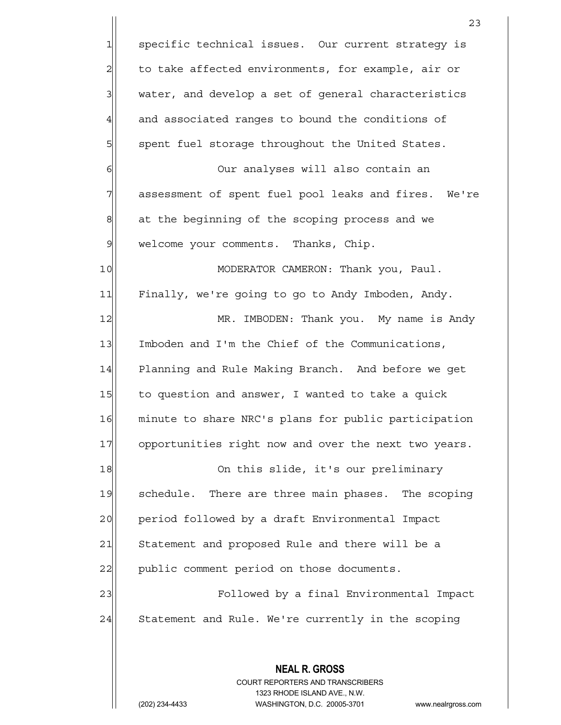**NEAL R. GROSS** COURT REPORTERS AND TRANSCRIBERS 23 1 specific technical issues. Our current strategy is  $2$  to take affected environments, for example, air or 3 3 water, and develop a set of general characteristics  $4$  and associated ranges to bound the conditions of 5 | spent fuel storage throughout the United States. 6 6 Our analyses will also contain an 7 assessment of spent fuel pool leaks and fires. We're  $8$  at the beginning of the scoping process and we 9 | welcome your comments. Thanks, Chip. 10 MODERATOR CAMERON: Thank you, Paul. 11 Finally, we're going to go to Andy Imboden, Andy. 12 MR. IMBODEN: Thank you. My name is Andy 13 Imboden and I'm the Chief of the Communications, 14 Planning and Rule Making Branch. And before we get 15 to question and answer, I wanted to take a quick 16 minute to share NRC's plans for public participation 17 opportunities right now and over the next two years. 18 On this slide, it's our preliminary 19 schedule. There are three main phases. The scoping 20 period followed by a draft Environmental Impact 21 Statement and proposed Rule and there will be a 22 public comment period on those documents. 23 Followed by a final Environmental Impact 24 Statement and Rule. We're currently in the scoping

1323 RHODE ISLAND AVE., N.W.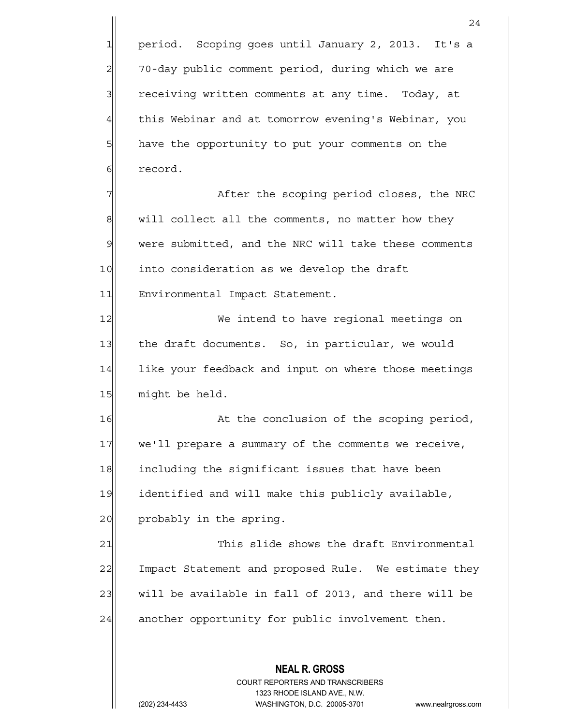**NEAL R. GROSS** COURT REPORTERS AND TRANSCRIBERS 1323 RHODE ISLAND AVE., N.W. 24 1 period. Scoping goes until January 2, 2013. It's a 2 70-day public comment period, during which we are 3 receiving written comments at any time. Today, at 4 this Webinar and at tomorrow evening's Webinar, you 5 have the opportunity to put your comments on the 6 flore record. 7 The scoping period closes, the NRC  $8$  will collect all the comments, no matter how they 9 were submitted, and the NRC will take these comments 10 into consideration as we develop the draft 11 Environmental Impact Statement. 12 We intend to have regional meetings on 13 the draft documents. So, in particular, we would 14 like your feedback and input on where those meetings 15 might be held. 16 at the conclusion of the scoping period, 17 we'll prepare a summary of the comments we receive, 18 including the significant issues that have been 19 identified and will make this publicly available, 20 probably in the spring. 21 This slide shows the draft Environmental 22 Impact Statement and proposed Rule. We estimate they  $23$  will be available in fall of 2013, and there will be  $24$  another opportunity for public involvement then.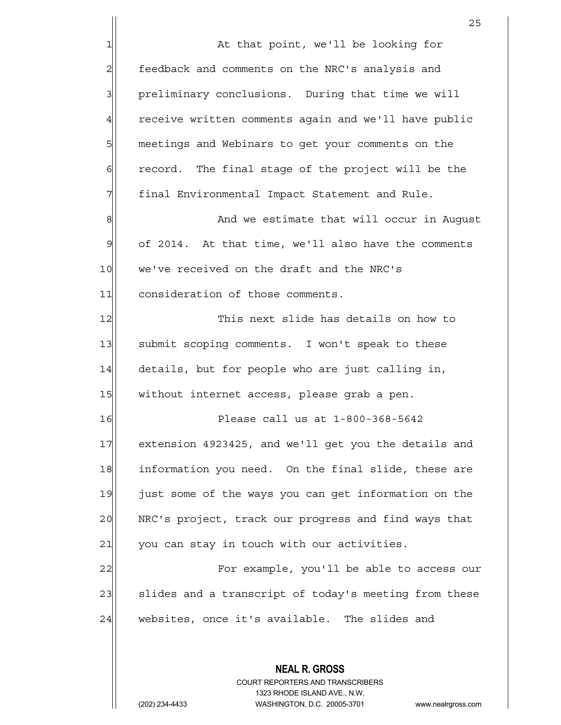**NEAL R. GROSS** COURT REPORTERS AND TRANSCRIBERS <u>25 and 25</u> 1| At that point, we'll be looking for 2| feedback and comments on the NRC's analysis and 3 | preliminary conclusions. During that time we will 4 receive written comments again and we'll have public 5 | meetings and Webinars to get your comments on the  $6$  record. The final stage of the project will be the 7 | final Environmental Impact Statement and Rule. 8 8 And we estimate that will occur in August  $9$  of 2014. At that time, we'll also have the comments 10 we've received on the draft and the NRC's 11 consideration of those comments. 12 This next slide has details on how to 13 Submit scoping comments. I won't speak to these  $14$  details, but for people who are just calling in, 15 | without internet access, please grab a pen. 16 Please call us at 1-800-368-5642 17 extension 4923425, and we'll get you the details and 18 information you need. On the final slide, these are 19 just some of the ways you can get information on the 20 NRC's project, track our progress and find ways that 21 you can stay in touch with our activities. 22 For example, you'll be able to access our 23 slides and a transcript of today's meeting from these 24 websites, once it's available. The slides and

1323 RHODE ISLAND AVE., N.W.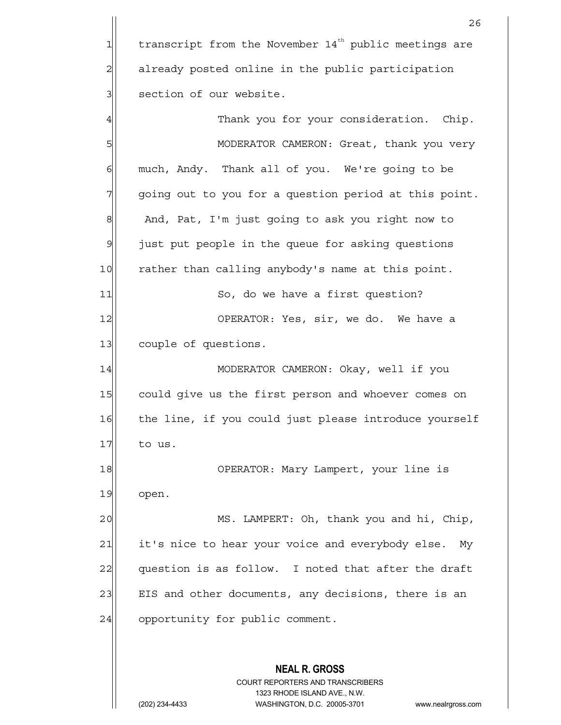**NEAL R. GROSS** COURT REPORTERS AND TRANSCRIBERS 1323 RHODE ISLAND AVE., N.W. <u>26</u>  $1$  transcript from the November 14<sup>th</sup> public meetings are 2 already posted online in the public participation 3 | section of our website. 4 Thank you for your consideration. Chip. 5 | MODERATOR CAMERON: Great, thank you very 6 6 much, Andy. Thank all of you. We're going to be 7 going out to you for a question period at this point. 8 And, Pat, I'm just going to ask you right now to 9 just put people in the queue for asking questions 10 rather than calling anybody's name at this point. 11 So, do we have a first question? 12 OPERATOR: Yes, sir, we do. We have a 13 couple of questions. 14 MODERATOR CAMERON: Okay, well if you 15 could give us the first person and whoever comes on 16 the line, if you could just please introduce yourself  $17$  to us. 18 OPERATOR: Mary Lampert, your line is 19 open. 20 MS. LAMPERT: Oh, thank you and hi, Chip, 21 it's nice to hear your voice and everybody else. My  $22$  question is as follow. I noted that after the draft 23 EIS and other documents, any decisions, there is an  $24$  opportunity for public comment.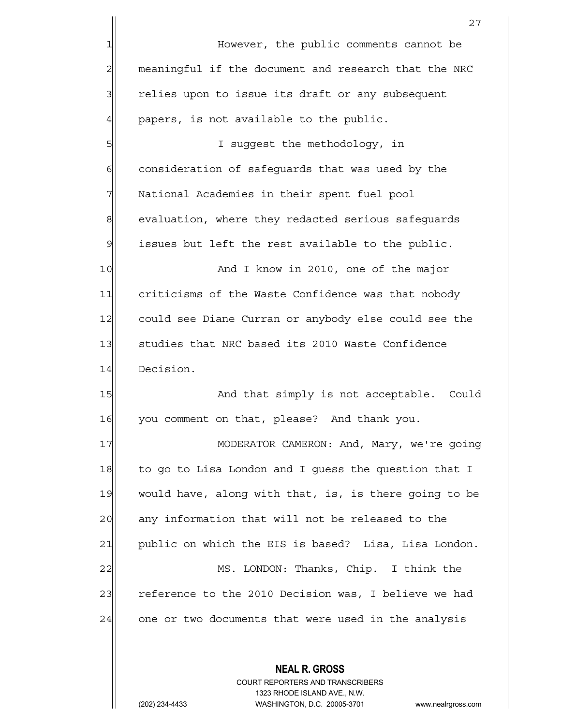|                | 27                                                    |
|----------------|-------------------------------------------------------|
| 1              | However, the public comments cannot be                |
| $\overline{a}$ | meaningful if the document and research that the NRC  |
| 3              | relies upon to issue its draft or any subsequent      |
| 4              | papers, is not available to the public.               |
| 5              | I suggest the methodology, in                         |
| 6              | consideration of safeguards that was used by the      |
| 7              | National Academies in their spent fuel pool           |
| 8              | evaluation, where they redacted serious safeguards    |
| $\mathfrak{S}$ | issues but left the rest available to the public.     |
| 10             | And I know in 2010, one of the major                  |
| 11             | criticisms of the Waste Confidence was that nobody    |
| 12             | could see Diane Curran or anybody else could see the  |
| 13             | studies that NRC based its 2010 Waste Confidence      |
| 14             | Decision.                                             |
| 15             | And that simply is not acceptable.<br>Could           |
| 16             | you comment on that, please? And thank you.           |
| 17             | MODERATOR CAMERON: And, Mary, we're going             |
| 18             | to go to Lisa London and I guess the question that I  |
| 19             | would have, along with that, is, is there going to be |
| 20             | any information that will not be released to the      |
| 21             | public on which the EIS is based? Lisa, Lisa London.  |
| 22             | MS. LONDON: Thanks, Chip. I think the                 |
| 23             | reference to the 2010 Decision was, I believe we had  |
| 24             | one or two documents that were used in the analysis   |
|                |                                                       |
|                | <b>NEAL R. GROSS</b>                                  |

 COURT REPORTERS AND TRANSCRIBERS 1323 RHODE ISLAND AVE., N.W.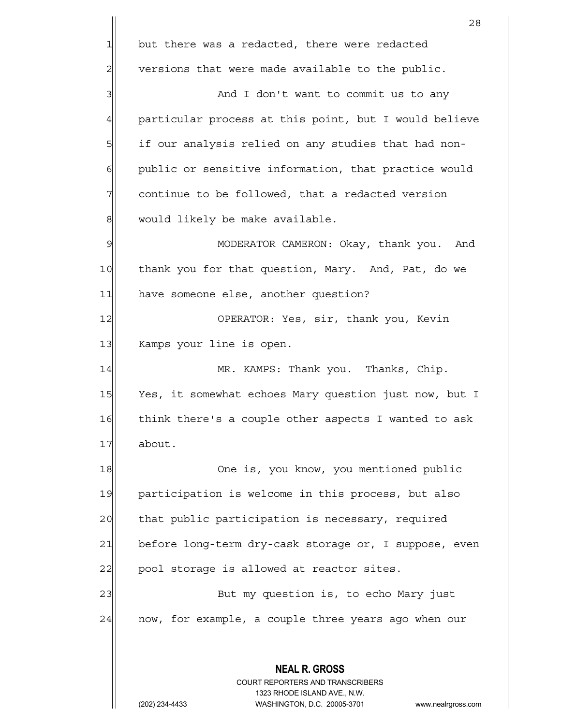**NEAL R. GROSS** COURT REPORTERS AND TRANSCRIBERS 1323 RHODE ISLAND AVE., N.W. (202) 234-4433 WASHINGTON, D.C. 20005-3701 www.nealrgross.com 28  $1$  but there was a redacted, there were redacted  $2$  versions that were made available to the public. 3 and I don't want to commit us to any 4 particular process at this point, but I would believe 5 if our analysis relied on any studies that had non-6 public or sensitive information, that practice would  $7$  continue to be followed, that a redacted version 8 | would likely be make available. 9 MODERATOR CAMERON: Okay, thank you. And 10 thank you for that question, Mary. And, Pat, do we 11 have someone else, another question? 12 OPERATOR: Yes, sir, thank you, Kevin 13 Kamps your line is open. 14 MR. KAMPS: Thank you. Thanks, Chip. 15 Yes, it somewhat echoes Mary question just now, but I 16 think there's a couple other aspects I wanted to ask 17 about. 18 One is, you know, you mentioned public 19 participation is welcome in this process, but also 20 that public participation is necessary, required 21 before long-term dry-cask storage or, I suppose, even 22 pool storage is allowed at reactor sites. 23 But my question is, to echo Mary just  $24$  now, for example, a couple three years ago when our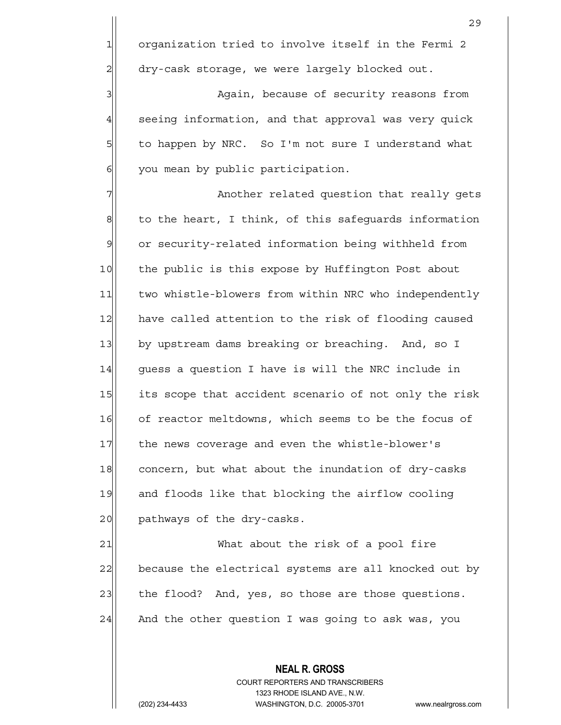3 | Again, because of security reasons from 4 seeing information, and that approval was very quick 5 to happen by NRC. So I'm not sure I understand what  $6$  you mean by public participation.

7 Another related question that really gets  $8$  to the heart, I think, of this safequards information 9 or security-related information being withheld from 10 the public is this expose by Huffington Post about 11 two whistle-blowers from within NRC who independently 12 have called attention to the risk of flooding caused 13 by upstream dams breaking or breaching. And, so I  $14$  quess a question I have is will the NRC include in 15 its scope that accident scenario of not only the risk 16 of reactor meltdowns, which seems to be the focus of 17 the news coverage and even the whistle-blower's 18 concern, but what about the inundation of dry-casks 19 and floods like that blocking the airflow cooling 20 pathways of the dry-casks.

21 What about the risk of a pool fire 22 because the electrical systems are all knocked out by 23 the flood? And, yes, so those are those questions.  $24$  And the other question I was going to ask was, you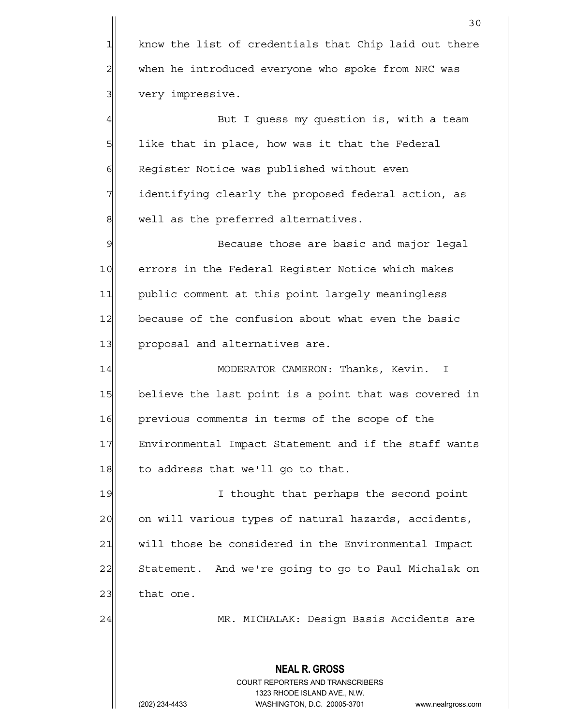**NEAL R. GROSS** COURT REPORTERS AND TRANSCRIBERS 1323 RHODE ISLAND AVE., N.W. 30  $1$  know the list of credentials that Chip laid out there 2 when he introduced everyone who spoke from NRC was 3 very impressive. 4 But I quess my question is, with a team  $5$  like that in place, how was it that the Federal 6 Register Notice was published without even 7 | identifying clearly the proposed federal action, as 8 well as the preferred alternatives. 9 Because those are basic and major legal 10 errors in the Federal Register Notice which makes 11 public comment at this point largely meaningless 12 because of the confusion about what even the basic 13 proposal and alternatives are. 14 MODERATOR CAMERON: Thanks, Kevin. I 15 believe the last point is a point that was covered in 16 previous comments in terms of the scope of the 17 Environmental Impact Statement and if the staff wants  $18$  to address that we'll go to that. 19 I thought that perhaps the second point 20 on will various types of natural hazards, accidents, 21 | will those be considered in the Environmental Impact 22 Statement. And we're going to go to Paul Michalak on  $23$  that one. 24 MR. MICHALAK: Design Basis Accidents are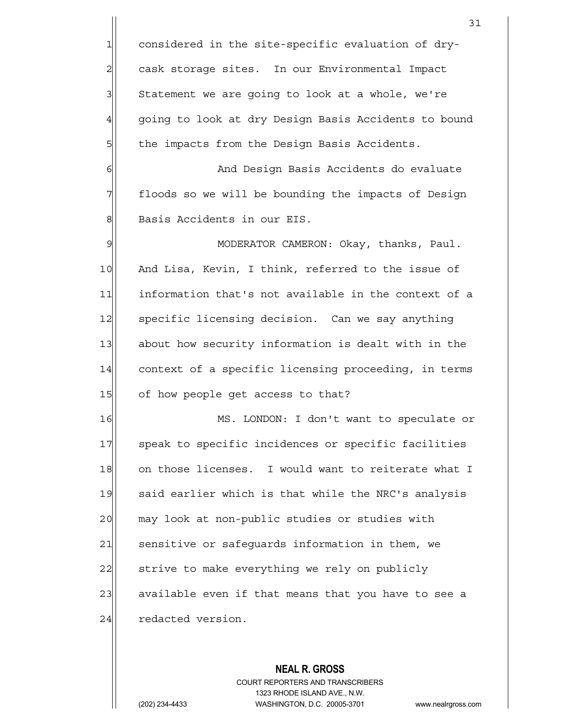1 considered in the site-specific evaluation of dry-2 cask storage sites. In our Environmental Impact  $3$  Statement we are going to look at a whole, we're 4 going to look at dry Design Basis Accidents to bound 5| the impacts from the Design Basis Accidents.

6 | And Design Basis Accidents do evaluate 7 The floods so we will be bounding the impacts of Design 8 Basis Accidents in our EIS.

9 MODERATOR CAMERON: Okay, thanks, Paul. 10 And Lisa, Kevin, I think, referred to the issue of 11 information that's not available in the context of a 12 specific licensing decision. Can we say anything 13 about how security information is dealt with in the 14 context of a specific licensing proceeding, in terms 15 of how people get access to that?

16 MS. LONDON: I don't want to speculate or 17 Speak to specific incidences or specific facilities 18 on those licenses. I would want to reiterate what I 19 said earlier which is that while the NRC's analysis 20 may look at non-public studies or studies with 21 sensitive or safeguards information in them, we 22 strive to make everything we rely on publicly 23 available even if that means that you have to see a 24 redacted version.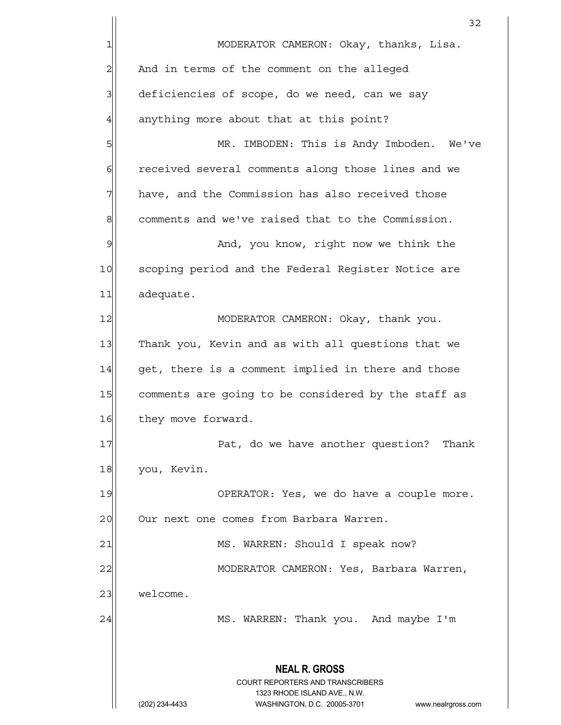**NEAL R. GROSS** COURT REPORTERS AND TRANSCRIBERS 1323 RHODE ISLAND AVE., N.W. (202) 234-4433 WASHINGTON, D.C. 20005-3701 www.nealrgross.com 32 1 MODERATOR CAMERON: Okay, thanks, Lisa. 2 | And in terms of the comment on the alleged 3 deficiencies of scope, do we need, can we say  $4$  anything more about that at this point? 5 S| MR. IMBODEN: This is Andy Imboden. We've 6 6 6 6 received several comments along those lines and we  $7$  have, and the Commission has also received those 8 comments and we've raised that to the Commission. 9 Meta<sub>n</sub> Muslem and, you know, right now we think the 10 Scoping period and the Federal Register Notice are 11 adequate. 12 MODERATOR CAMERON: Okay, thank you. 13 Thank you, Kevin and as with all questions that we  $14$  get, there is a comment implied in there and those 15 comments are going to be considered by the staff as 16 they move forward. 17 Pat, do we have another question? Thank 18 you, Kevin. 19 OPERATOR: Yes, we do have a couple more. 20 Our next one comes from Barbara Warren. 21 MS. WARREN: Should I speak now? 22 | MODERATOR CAMERON: Yes, Barbara Warren, 23 welcome. 24 MS. WARREN: Thank you. And maybe I'm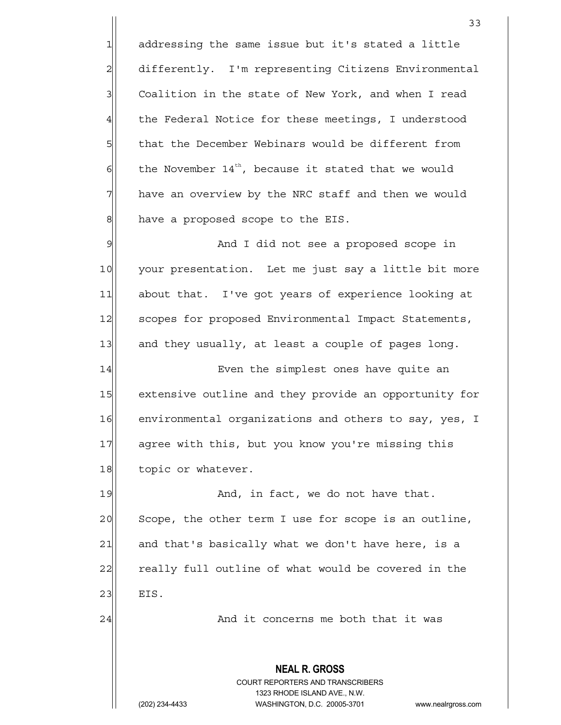$1$  addressing the same issue but it's stated a little 2 differently. I'm representing Citizens Environmental 3 Coalition in the state of New York, and when I read 4 the Federal Notice for these meetings, I understood 5 5 5 that the December Webinars would be different from  $\delta$  the November 14<sup>th</sup>, because it stated that we would 7 have an overview by the NRC staff and then we would 8 have a proposed scope to the EIS. 9 and I did not see a proposed scope in

10 your presentation. Let me just say a little bit more 11 about that. I've got years of experience looking at 12 Scopes for proposed Environmental Impact Statements,  $13$  and they usually, at least a couple of pages long.

14 Even the simplest ones have quite an 15 extensive outline and they provide an opportunity for 16 environmental organizations and others to say, yes, I 17 agree with this, but you know you're missing this 18 topic or whatever.

19 | And, in fact, we do not have that. 20 Scope, the other term I use for scope is an outline,  $21$  and that's basically what we don't have here, is a 22 really full outline of what would be covered in the 23 EIS.

24 and it concerns me both that it was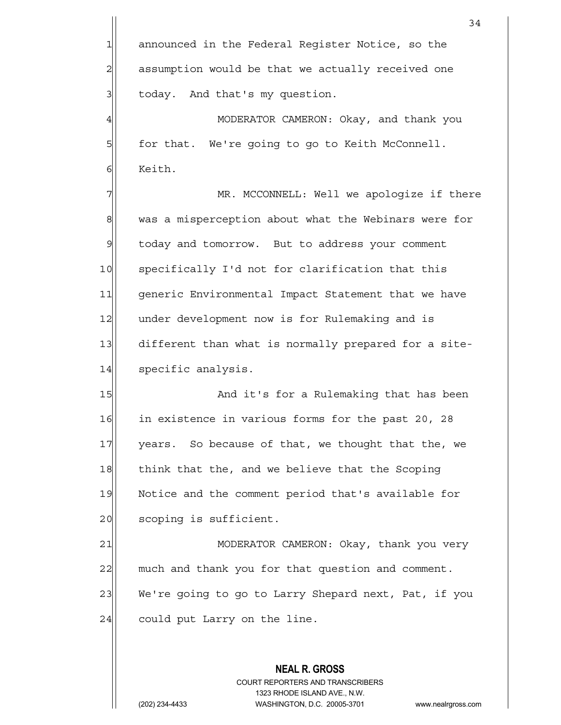1 announced in the Federal Register Notice, so the 2 assumption would be that we actually received one 3 | today. And that's my question.

4 MODERATOR CAMERON: Okay, and thank you 5 for that. We're going to go to Keith McConnell. 61 Keith.

7 MR. MCCONNELL: Well we apologize if there 8 was a misperception about what the Webinars were for 9 today and tomorrow. But to address your comment 10 specifically I'd not for clarification that this 11 | generic Environmental Impact Statement that we have 12 under development now is for Rulemaking and is 13 different than what is normally prepared for a site-14 specific analysis.

15 and it's for a Rulemaking that has been 16 in existence in various forms for the past 20, 28 17 years. So because of that, we thought that the, we 18 think that the, and we believe that the Scoping 19 Notice and the comment period that's available for 20 scoping is sufficient.

21 MODERATOR CAMERON: Okay, thank you very 22 much and thank you for that question and comment. 23 We're going to go to Larry Shepard next, Pat, if you  $24$  could put Larry on the line.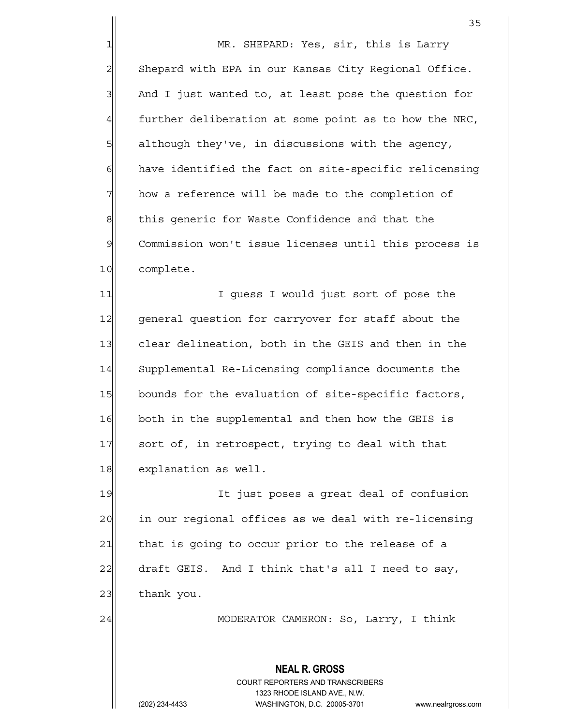1 MR. SHEPARD: Yes, sir, this is Larry 2 Shepard with EPA in our Kansas City Regional Office.  $3$  And I just wanted to, at least pose the question for  $4$  further deliberation at some point as to how the NRC,  $5$  although they've, in discussions with the agency,  $6$  have identified the fact on site-specific relicensing  $7$  how a reference will be made to the completion of 8 this generic for Waste Confidence and that the 9 Commission won't issue licenses until this process is 10 complete.

11 1 I guess I would just sort of pose the 12 general question for carryover for staff about the 13 clear delineation, both in the GEIS and then in the 14 Supplemental Re-Licensing compliance documents the 15 bounds for the evaluation of site-specific factors, 16 both in the supplemental and then how the GEIS is 17 sort of, in retrospect, trying to deal with that 18 explanation as well.

19 It just poses a great deal of confusion 20 in our regional offices as we deal with re-licensing 21 that is going to occur prior to the release of a 22 draft GEIS. And I think that's all I need to say,  $23$  thank you.

24 | MODERATOR CAMERON: So, Larry, I think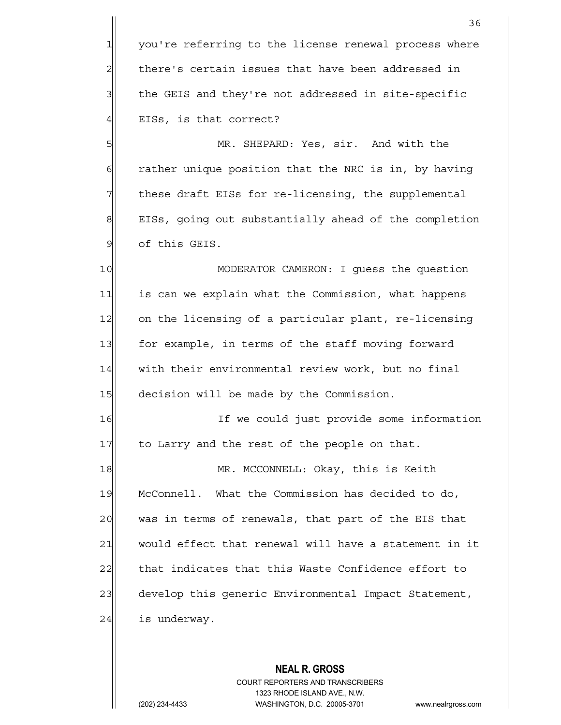1 you're referring to the license renewal process where  $2$  there's certain issues that have been addressed in 3 1 the GEIS and they're not addressed in site-specific 4 | EISs, is that correct?

5 | MR. SHEPARD: Yes, sir. And with the  $6$  rather unique position that the NRC is in, by having 7 These draft EISs for re-licensing, the supplemental 8 EISs, going out substantially ahead of the completion 9 of this GEIS.

10 MODERATOR CAMERON: I guess the question 11| is can we explain what the Commission, what happens 12 on the licensing of a particular plant, re-licensing 13 for example, in terms of the staff moving forward 14 with their environmental review work, but no final 15 decision will be made by the Commission.

16 If we could just provide some information 17 to Larry and the rest of the people on that.

18 MR. MCCONNELL: Okay, this is Keith 19 McConnell. What the Commission has decided to do, 20 was in terms of renewals, that part of the EIS that 21 would effect that renewal will have a statement in it 22 that indicates that this Waste Confidence effort to 23 develop this generic Environmental Impact Statement,  $24$  is underway.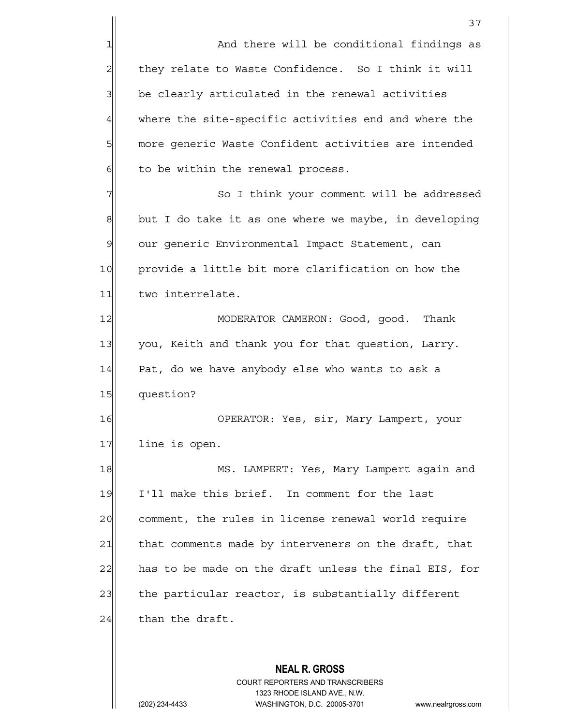1 and there will be conditional findings as 2| they relate to Waste Confidence. So I think it will 3 be clearly articulated in the renewal activities 4 where the site-specific activities end and where the 5 more generic Waste Confident activities are intended  $6$  to be within the renewal process.

7 So I think your comment will be addressed  $8$  but I do take it as one where we maybe, in developing 9 our generic Environmental Impact Statement, can 10 provide a little bit more clarification on how the 11 two interrelate.

12 MODERATOR CAMERON: Good, good. Thank 13 you, Keith and thank you for that question, Larry.  $14$  Pat, do we have anybody else who wants to ask a 15 question?

16 OPERATOR: Yes, sir, Mary Lampert, your 17 line is open.

18 MS. LAMPERT: Yes, Mary Lampert again and 19 I'll make this brief. In comment for the last 20 comment, the rules in license renewal world require 21 that comments made by interveners on the draft, that 22 has to be made on the draft unless the final EIS, for 23 the particular reactor, is substantially different  $24$  than the draft.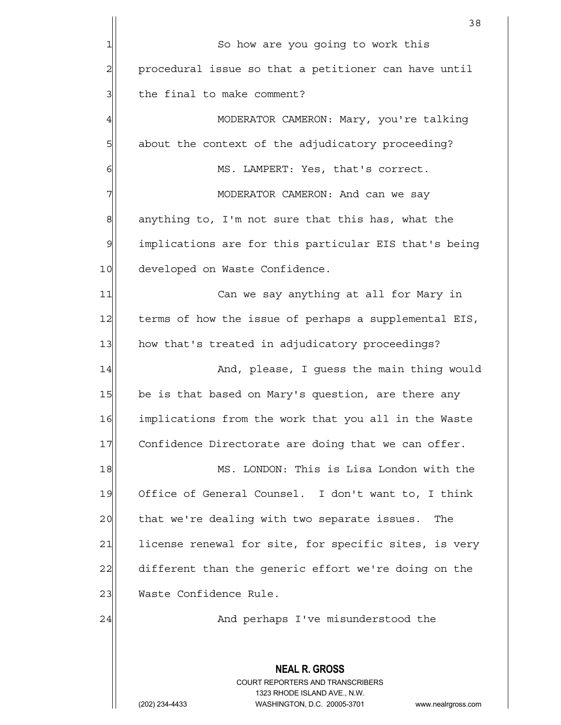|                | 38                                                                                                  |
|----------------|-----------------------------------------------------------------------------------------------------|
| 1              | So how are you going to work this                                                                   |
| $\overline{c}$ | procedural issue so that a petitioner can have until                                                |
| 3              | the final to make comment?                                                                          |
| $\overline{4}$ | MODERATOR CAMERON: Mary, you're talking                                                             |
| 5              | about the context of the adjudicatory proceeding?                                                   |
| 6              | MS. LAMPERT: Yes, that's correct.                                                                   |
| 7              | MODERATOR CAMERON: And can we say                                                                   |
| 8              | anything to, I'm not sure that this has, what the                                                   |
| 9              | implications are for this particular EIS that's being                                               |
| 10             | developed on Waste Confidence.                                                                      |
| 11             | Can we say anything at all for Mary in                                                              |
| 12             | terms of how the issue of perhaps a supplemental EIS,                                               |
| 13             | how that's treated in adjudicatory proceedings?                                                     |
| 14             | And, please, I guess the main thing would                                                           |
| 15             | be is that based on Mary's question, are there any                                                  |
| 16             | implications from the work that you all in the Waste                                                |
| 17             | Confidence Directorate are doing that we can offer.                                                 |
| 18             | MS. LONDON: This is Lisa London with the                                                            |
| 19             | Office of General Counsel. I don't want to, I think                                                 |
| 20             | that we're dealing with two separate issues.<br>The                                                 |
| 21             | license renewal for site, for specific sites, is very                                               |
| 22             | different than the generic effort we're doing on the                                                |
| 23             | Waste Confidence Rule.                                                                              |
| 24             | And perhaps I've misunderstood the                                                                  |
|                |                                                                                                     |
|                | <b>NEAL R. GROSS</b>                                                                                |
|                | COURT REPORTERS AND TRANSCRIBERS                                                                    |
|                | 1323 RHODE ISLAND AVE., N.W.<br>(202) 234-4433<br>WASHINGTON, D.C. 20005-3701<br>www.nealrgross.com |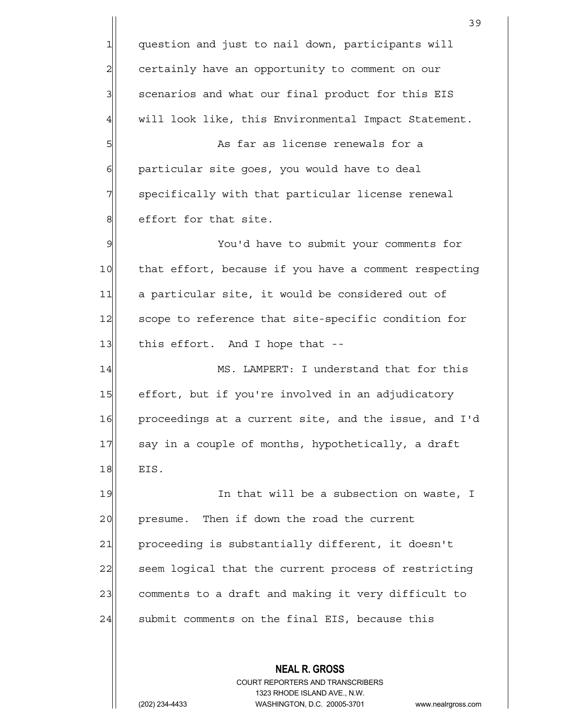**NEAL R. GROSS** COURT REPORTERS AND TRANSCRIBERS 39 1 question and just to nail down, participants will 2 certainly have an opportunity to comment on our  $3$  scenarios and what our final product for this EIS 4 will look like, this Environmental Impact Statement. 5 | Sillem in the far as license renewals for a 6 | particular site goes, you would have to deal 7 | specifically with that particular license renewal 8 8 8 effort for that site. 9 You'd have to submit your comments for 10 that effort, because if you have a comment respecting 11 a particular site, it would be considered out of 12 Scope to reference that site-specific condition for  $13$  this effort. And I hope that  $-$ 14 MS. LAMPERT: I understand that for this 15 effort, but if you're involved in an adjudicatory 16 proceedings at a current site, and the issue, and I'd 17 say in a couple of months, hypothetically, a draft  $18$  EIS. 19 In that will be a subsection on waste, I 20 presume. Then if down the road the current 21 proceeding is substantially different, it doesn't 22 seem logical that the current process of restricting 23 comments to a draft and making it very difficult to  $24$  submit comments on the final EIS, because this

1323 RHODE ISLAND AVE., N.W.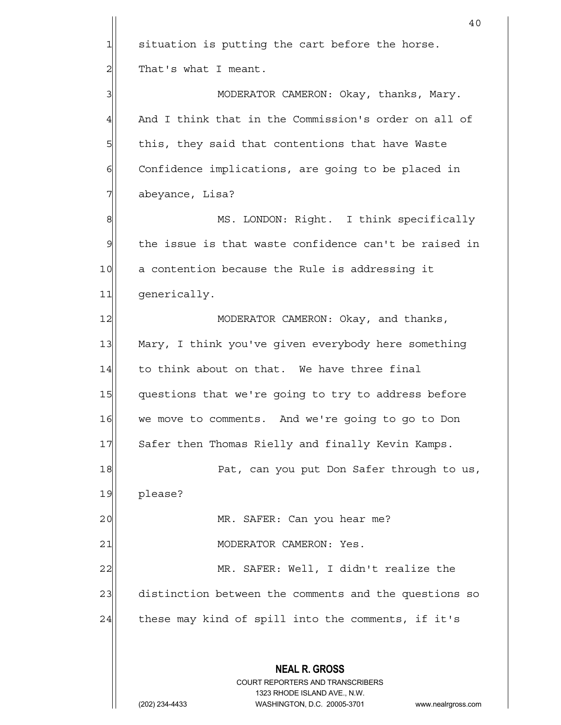|                | 40                                                                                                  |
|----------------|-----------------------------------------------------------------------------------------------------|
| 1              | situation is putting the cart before the horse.                                                     |
| $\overline{2}$ | That's what I meant.                                                                                |
| 3              | MODERATOR CAMERON: Okay, thanks, Mary.                                                              |
| 4              | And I think that in the Commission's order on all of                                                |
| 5              | this, they said that contentions that have Waste                                                    |
| 6              | Confidence implications, are going to be placed in                                                  |
| 7              | abeyance, Lisa?                                                                                     |
| 8              | MS. LONDON: Right. I think specifically                                                             |
| $\mathfrak{S}$ | the issue is that waste confidence can't be raised in                                               |
| 10             | a contention because the Rule is addressing it                                                      |
| 11             | generically.                                                                                        |
| 12             | MODERATOR CAMERON: Okay, and thanks,                                                                |
| 13             | Mary, I think you've given everybody here something                                                 |
| 14             | to think about on that. We have three final                                                         |
| 15             | questions that we're going to try to address before                                                 |
| 16             | we move to comments. And we're going to go to Don                                                   |
| 17             | Safer then Thomas Rielly and finally Kevin Kamps.                                                   |
| 18             | Pat, can you put Don Safer through to us,                                                           |
| 19             | please?                                                                                             |
| 20             | MR. SAFER: Can you hear me?                                                                         |
| 21             | MODERATOR CAMERON: Yes.                                                                             |
| 22             | MR. SAFER: Well, I didn't realize the                                                               |
| 23             | distinction between the comments and the questions so                                               |
| 24             | these may kind of spill into the comments, if it's                                                  |
|                | <b>NEAL R. GROSS</b>                                                                                |
|                | <b>COURT REPORTERS AND TRANSCRIBERS</b>                                                             |
|                | 1323 RHODE ISLAND AVE., N.W.<br>(202) 234-4433<br>WASHINGTON, D.C. 20005-3701<br>www.nealrgross.com |
|                |                                                                                                     |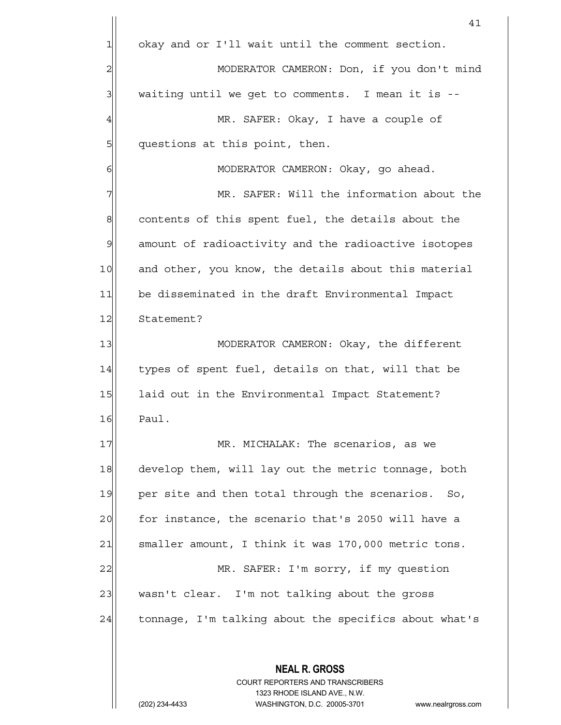**NEAL R. GROSS** COURT REPORTERS AND TRANSCRIBERS 41 1 okay and or I'll wait until the comment section. 2 MODERATOR CAMERON: Don, if you don't mind  $3$  waiting until we get to comments. I mean it is --4 | MR. SAFER: Okay, I have a couple of 5 questions at this point, then. 6 | MODERATOR CAMERON: Okay, go ahead. 7 MR. SAFER: Will the information about the  $8$  contents of this spent fuel, the details about the 9 amount of radioactivity and the radioactive isotopes 10 and other, you know, the details about this material 11 be disseminated in the draft Environmental Impact 12 Statement? 13 || MODERATOR CAMERON: Okay, the different 14 types of spent fuel, details on that, will that be 15 laid out in the Environmental Impact Statement? 16 Paul. 17 MR. MICHALAK: The scenarios, as we 18 develop them, will lay out the metric tonnage, both 19 per site and then total through the scenarios. So, 20 for instance, the scenario that's 2050 will have a 21 Smaller amount, I think it was 170,000 metric tons. 22| MR. SAFER: I'm sorry, if my question 23 wasn't clear. I'm not talking about the gross 24 tonnage, I'm talking about the specifics about what's

1323 RHODE ISLAND AVE., N.W.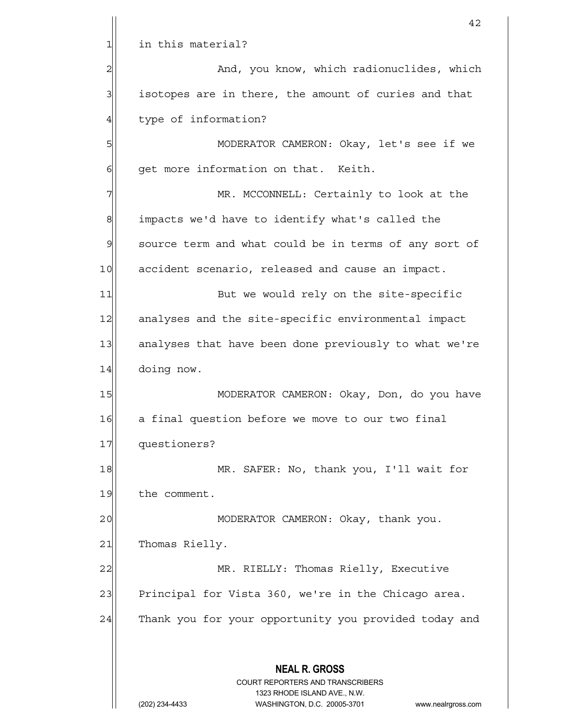|                | 42                                                                                                  |
|----------------|-----------------------------------------------------------------------------------------------------|
| $\mathbf{1}$   | in this material?                                                                                   |
| $\overline{c}$ | And, you know, which radionuclides, which                                                           |
| 3              | isotopes are in there, the amount of curies and that                                                |
| $\overline{4}$ | type of information?                                                                                |
| 5              | MODERATOR CAMERON: Okay, let's see if we                                                            |
| 6              | get more information on that. Keith.                                                                |
| 7              | MR. MCCONNELL: Certainly to look at the                                                             |
| 8              | impacts we'd have to identify what's called the                                                     |
| $\mathcal{Q}$  | source term and what could be in terms of any sort of                                               |
| 10             | accident scenario, released and cause an impact.                                                    |
| 11             | But we would rely on the site-specific                                                              |
| 12             | analyses and the site-specific environmental impact                                                 |
| 13             | analyses that have been done previously to what we're                                               |
| 14             | doing now.                                                                                          |
| 15             | MODERATOR CAMERON: Okay, Don, do you have                                                           |
| 16             | a final question before we move to our two final                                                    |
| 17             | questioners?                                                                                        |
| 18             | MR. SAFER: No, thank you, I'll wait for                                                             |
| 19             | the comment.                                                                                        |
| 20             | MODERATOR CAMERON: Okay, thank you.                                                                 |
| 21             | Thomas Rielly.                                                                                      |
| 22             | MR. RIELLY: Thomas Rielly, Executive                                                                |
| 23             | Principal for Vista 360, we're in the Chicago area.                                                 |
| 24             | Thank you for your opportunity you provided today and                                               |
|                |                                                                                                     |
|                | <b>NEAL R. GROSS</b>                                                                                |
|                | COURT REPORTERS AND TRANSCRIBERS                                                                    |
|                | 1323 RHODE ISLAND AVE., N.W.<br>(202) 234-4433<br>WASHINGTON, D.C. 20005-3701<br>www.nealrgross.com |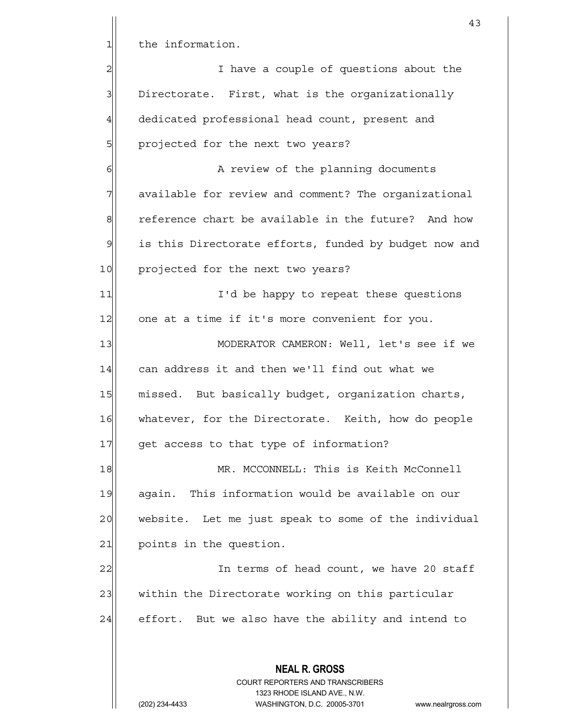1 the information. 2 all intervals of questions about the late of  $\alpha$  $3$  Directorate. First, what is the organizationally 4 dedicated professional head count, present and 5 | projected for the next two years? 6 | G| College A review of the planning documents 7 available for review and comment? The organizational 8 8 8 reference chart be available in the future? And how 9 is this Directorate efforts, funded by budget now and 10 projected for the next two years? 11 I'd be happy to repeat these questions 12 one at a time if it's more convenient for you. 13 MODERATOR CAMERON: Well, let's see if we 14 can address it and then we'll find out what we 15 missed. But basically budget, organization charts, 16 whatever, for the Directorate. Keith, how do people 17 get access to that type of information? 18 MR. MCCONNELL: This is Keith McConnell

19 again. This information would be available on our 20 website. Let me just speak to some of the individual 21 points in the question.

22 | In terms of head count, we have 20 staff 23 within the Directorate working on this particular  $24$  effort. But we also have the ability and intend to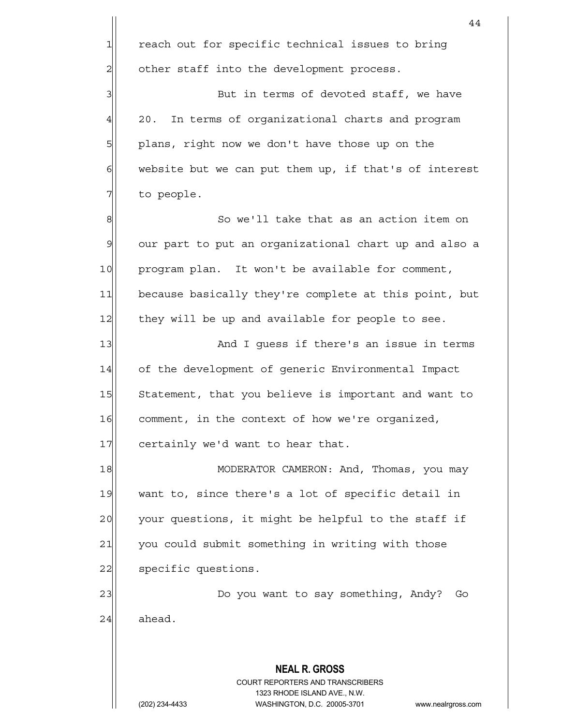|                | 44                                                                                                  |
|----------------|-----------------------------------------------------------------------------------------------------|
| 1              | reach out for specific technical issues to bring                                                    |
| $\overline{c}$ | other staff into the development process.                                                           |
| 3              | But in terms of devoted staff, we have                                                              |
| $\overline{4}$ | 20.<br>In terms of organizational charts and program                                                |
| 5              | plans, right now we don't have those up on the                                                      |
| $\epsilon$     | website but we can put them up, if that's of interest                                               |
| 7              | to people.                                                                                          |
| $\,8\,$        | So we'll take that as an action item on                                                             |
| $\mathcal{G}$  | our part to put an organizational chart up and also a                                               |
| 10             | program plan. It won't be available for comment,                                                    |
| 11             | because basically they're complete at this point, but                                               |
| 12             | they will be up and available for people to see.                                                    |
| 13             | And I guess if there's an issue in terms                                                            |
| 14             | of the development of generic Environmental Impact                                                  |
| 15             | Statement, that you believe is important and want to                                                |
| 16             | comment, in the context of how we're organized,                                                     |
| 17             | certainly we'd want to hear that.                                                                   |
| 18             | MODERATOR CAMERON: And, Thomas, you may                                                             |
| 19             | want to, since there's a lot of specific detail in                                                  |
| 20             | your questions, it might be helpful to the staff if                                                 |
| 21             | you could submit something in writing with those                                                    |
| 22             | specific questions.                                                                                 |
| 23             | Do you want to say something, Andy?<br>Go                                                           |
| 24             | ahead.                                                                                              |
|                |                                                                                                     |
|                | <b>NEAL R. GROSS</b>                                                                                |
|                | COURT REPORTERS AND TRANSCRIBERS                                                                    |
|                | 1323 RHODE ISLAND AVE., N.W.<br>(202) 234-4433<br>WASHINGTON, D.C. 20005-3701<br>www.nealrgross.com |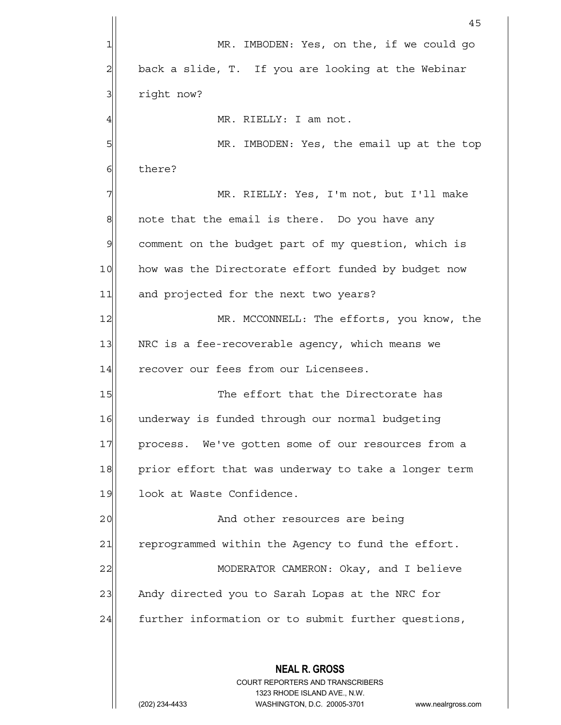**NEAL R. GROSS** COURT REPORTERS AND TRANSCRIBERS 1323 RHODE ISLAND AVE., N.W. (202) 234-4433 WASHINGTON, D.C. 20005-3701 www.nealrgross.com 45 1 MR. IMBODEN: Yes, on the, if we could go  $2 \vert$  back a slide, T. If you are looking at the Webinar 3 right now? 4 | MR. RIELLY: I am not. 5 MR. IMBODEN: Yes, the email up at the top 6 6 there? 7 MR. RIELLY: Yes, I'm not, but I'll make  $8$  note that the email is there. Do you have any 9 comment on the budget part of my question, which is 10 how was the Directorate effort funded by budget now 11 and projected for the next two years? 12 MR. MCCONNELL: The efforts, you know, the 13 NRC is a fee-recoverable agency, which means we 14 recover our fees from our Licensees. 15 The effort that the Directorate has 16 underway is funded through our normal budgeting 17 process. We've gotten some of our resources from a 18 prior effort that was underway to take a longer term 19 look at Waste Confidence. 20 and other resources are being 21 reprogrammed within the Agency to fund the effort. 22 MODERATOR CAMERON: Okay, and I believe 23 Andy directed you to Sarah Lopas at the NRC for 24 further information or to submit further questions,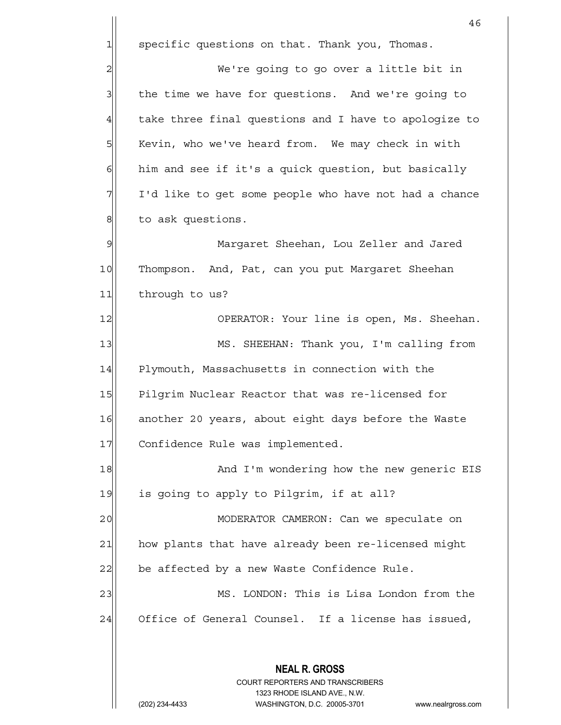$1$  specific questions on that. Thank you, Thomas.

2 | We're going to go over a little bit in  $3$  the time we have for questions. And we're going to 4 take three final questions and I have to apologize to 5 | Kevin, who we've heard from. We may check in with  $6$  him and see if it's a quick question, but basically 7 I'd like to get some people who have not had a chance 8 b to ask questions.

9 Margaret Sheehan, Lou Zeller and Jared 10 Thompson. And, Pat, can you put Margaret Sheehan 11 through to us?

12 OPERATOR: Your line is open, Ms. Sheehan. 13 MS. SHEEHAN: Thank you, I'm calling from 14 Plymouth, Massachusetts in connection with the 15 Pilgrim Nuclear Reactor that was re-licensed for 16 another 20 years, about eight days before the Waste 17 Confidence Rule was implemented.

18 and I'm wondering how the new generic EIS  $19$  is going to apply to Pilgrim, if at all?

20 MODERATOR CAMERON: Can we speculate on 21 how plants that have already been re-licensed might  $22$  be affected by a new Waste Confidence Rule.

23 MS. LONDON: This is Lisa London from the 24 Office of General Counsel. If a license has issued,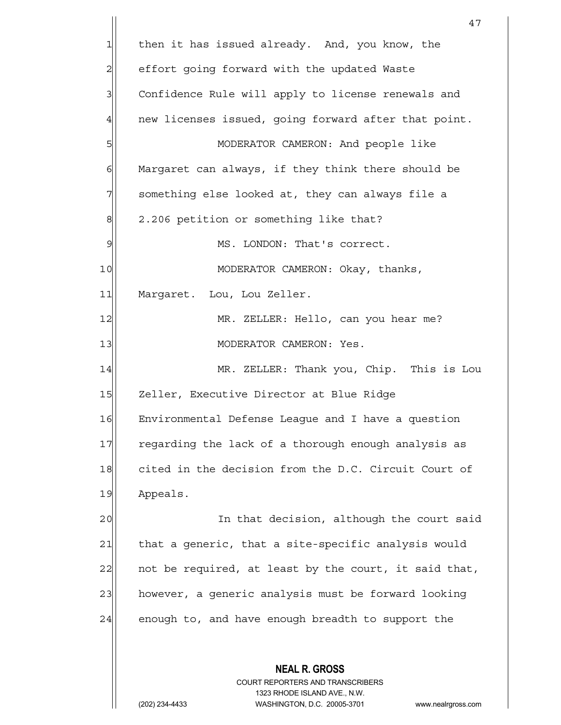**NEAL R. GROSS** COURT REPORTERS AND TRANSCRIBERS 47  $1$  then it has issued already. And, you know, the 2 effort going forward with the updated Waste 3 Confidence Rule will apply to license renewals and 4 new licenses issued, going forward after that point. 5 | MODERATOR CAMERON: And people like  $6$  Margaret can always, if they think there should be  $7\vert$  something else looked at, they can always file a  $8$  2.206 petition or something like that? 9 | MS. LONDON: That's correct. 10 MODERATOR CAMERON: Okay, thanks, 11| Margaret. Lou, Lou Zeller. 12 MR. ZELLER: Hello, can you hear me? 13 | MODERATOR CAMERON: Yes. 14 MR. ZELLER: Thank you, Chip. This is Lou 15 Zeller, Executive Director at Blue Ridge 16 Environmental Defense League and I have a question 17 regarding the lack of a thorough enough analysis as 18 cited in the decision from the D.C. Circuit Court of 19 Appeals. 20 and that decision, although the court said 21 | that a generic, that a site-specific analysis would 22 | not be required, at least by the court, it said that, 23 however, a generic analysis must be forward looking  $24$  enough to, and have enough breadth to support the

1323 RHODE ISLAND AVE., N.W.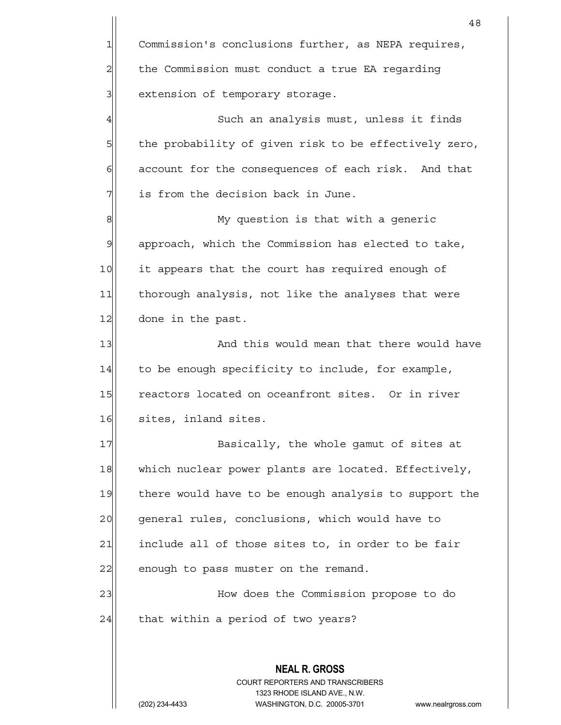|                | 48                                                                                                  |
|----------------|-----------------------------------------------------------------------------------------------------|
| $\mathbf{1}$   | Commission's conclusions further, as NEPA requires,                                                 |
| $\overline{c}$ | the Commission must conduct a true EA regarding                                                     |
| 3              | extension of temporary storage.                                                                     |
| $\overline{4}$ | Such an analysis must, unless it finds                                                              |
| 5              | the probability of given risk to be effectively zero,                                               |
| 6              | account for the consequences of each risk. And that                                                 |
| 7              | is from the decision back in June.                                                                  |
| 8              | My question is that with a generic                                                                  |
| 9              | approach, which the Commission has elected to take,                                                 |
| 10             | it appears that the court has required enough of                                                    |
| 11             | thorough analysis, not like the analyses that were                                                  |
| 12             | done in the past.                                                                                   |
| 13             | And this would mean that there would have                                                           |
| 14             | to be enough specificity to include, for example,                                                   |
| 15             | reactors located on oceanfront sites. Or in river                                                   |
| 16             | sites, inland sites.                                                                                |
| 17             | Basically, the whole gamut of sites at                                                              |
| 18             | which nuclear power plants are located. Effectively,                                                |
| 19             | there would have to be enough analysis to support the                                               |
| 20             | general rules, conclusions, which would have to                                                     |
| 21             | include all of those sites to, in order to be fair                                                  |
| 22             | enough to pass muster on the remand.                                                                |
| 23             | How does the Commission propose to do                                                               |
| 24             | that within a period of two years?                                                                  |
|                |                                                                                                     |
|                | <b>NEAL R. GROSS</b>                                                                                |
|                | <b>COURT REPORTERS AND TRANSCRIBERS</b>                                                             |
|                | 1323 RHODE ISLAND AVE., N.W.<br>WASHINGTON, D.C. 20005-3701<br>(202) 234-4433<br>www.nealrgross.com |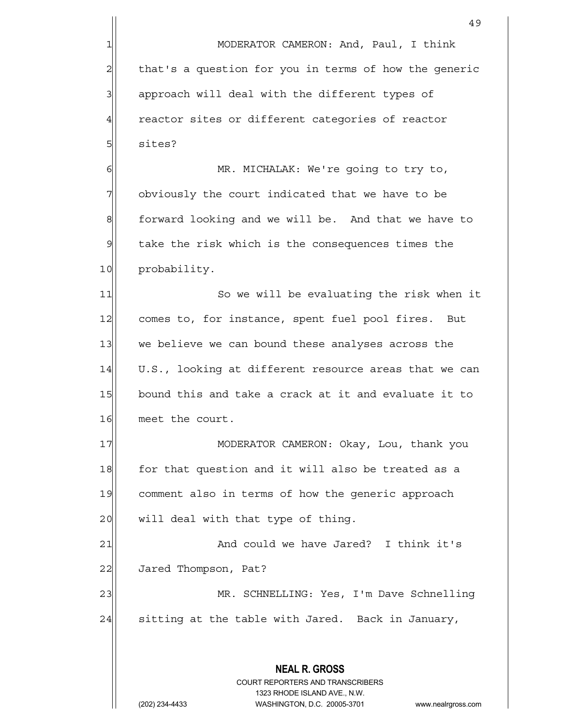49 1 MODERATOR CAMERON: And, Paul, I think 2 that's a question for you in terms of how the generic 3 approach will deal with the different types of  $4$  reactor sites or different categories of reactor 5 sites? 6 | MR. MICHALAK: We're going to try to, 7 obviously the court indicated that we have to be 8 forward looking and we will be. And that we have to  $9$  take the risk which is the consequences times the 10 probability. 11 So we will be evaluating the risk when it 12 comes to, for instance, spent fuel pool fires. But 13 we believe we can bound these analyses across the  $14$  U.S., looking at different resource areas that we can 15 bound this and take a crack at it and evaluate it to 16 meet the court. 17 MODERATOR CAMERON: Okay, Lou, thank you 18 for that question and it will also be treated as a

19 comment also in terms of how the generic approach  $20$  will deal with that type of thing.

21 and could we have Jared? I think it's 22 Jared Thompson, Pat? 23 MR. SCHNELLING: Yes, I'm Dave Schnelling  $24$  sitting at the table with Jared. Back in January,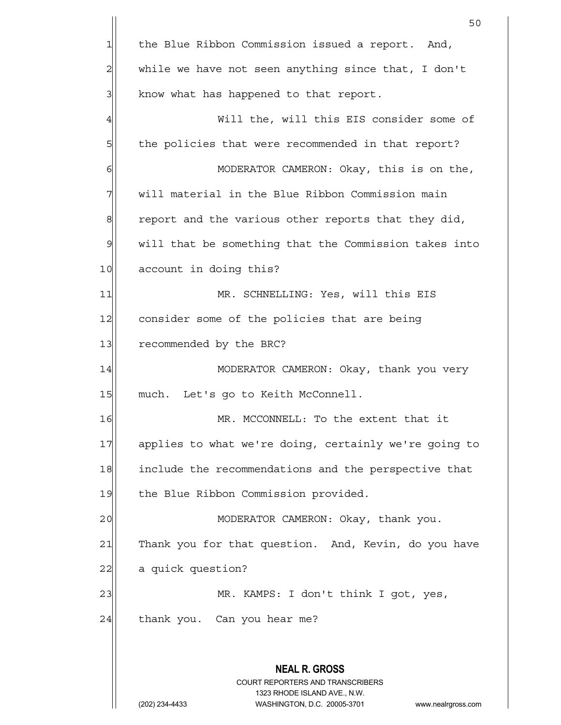|                | 50                                                                  |
|----------------|---------------------------------------------------------------------|
| $\mathbf 1$    | the Blue Ribbon Commission issued a report. And,                    |
| $\overline{c}$ | while we have not seen anything since that, I don't                 |
| 3              | know what has happened to that report.                              |
| 4              | Will the, will this EIS consider some of                            |
| 5              | the policies that were recommended in that report?                  |
| 6              | MODERATOR CAMERON: Okay, this is on the,                            |
| 7              | will material in the Blue Ribbon Commission main                    |
| 8              | report and the various other reports that they did,                 |
| $\mathcal{Q}$  | will that be something that the Commission takes into               |
| 10             | account in doing this?                                              |
| 11             | MR. SCHNELLING: Yes, will this EIS                                  |
| 12             | consider some of the policies that are being                        |
| 13             | recommended by the BRC?                                             |
| 14             | MODERATOR CAMERON: Okay, thank you very                             |
| 15             | much. Let's go to Keith McConnell.                                  |
| 16             | MR. MCCONNELL: To the extent that it                                |
| 17             | applies to what we're doing, certainly we're going to               |
| 18             | include the recommendations and the perspective that                |
| 19             | the Blue Ribbon Commission provided.                                |
| 20             | MODERATOR CAMERON: Okay, thank you.                                 |
| 21             | Thank you for that question. And, Kevin, do you have                |
| 22             | a quick question?                                                   |
| 23             | MR. KAMPS: I don't think I got, yes,                                |
| 24             | thank you. Can you hear me?                                         |
|                |                                                                     |
|                | <b>NEAL R. GROSS</b>                                                |
|                | <b>COURT REPORTERS AND TRANSCRIBERS</b>                             |
|                | (202) 234-4433<br>WASHINGTON, D.C. 20005-3701<br>www.nealrgross.com |
|                | 1323 RHODE ISLAND AVE., N.W.                                        |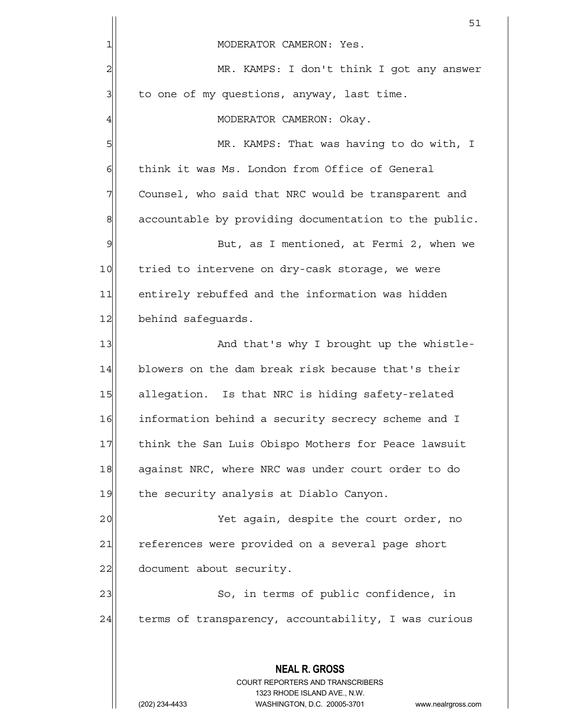|               | 51                                                                                              |
|---------------|-------------------------------------------------------------------------------------------------|
| 1             | MODERATOR CAMERON: Yes.                                                                         |
| 2             | MR. KAMPS: I don't think I got any answer                                                       |
| 3             | to one of my questions, anyway, last time.                                                      |
| 4             | MODERATOR CAMERON: Okay.                                                                        |
| 5             | MR. KAMPS: That was having to do with, I                                                        |
| 6             | think it was Ms. London from Office of General                                                  |
| 7             | Counsel, who said that NRC would be transparent and                                             |
| 8             | accountable by providing documentation to the public.                                           |
| $\mathcal{Q}$ | But, as I mentioned, at Fermi 2, when we                                                        |
| 10            | tried to intervene on dry-cask storage, we were                                                 |
| 11            | entirely rebuffed and the information was hidden                                                |
| 12            | behind safequards.                                                                              |
| 13            | And that's why I brought up the whistle-                                                        |
| 14            | blowers on the dam break risk because that's their                                              |
| 15            | allegation. Is that NRC is hiding safety-related                                                |
| 16            | information behind a security secrecy scheme and I                                              |
| 17            | think the San Luis Obispo Mothers for Peace lawsuit                                             |
| 18            | against NRC, where NRC was under court order to do                                              |
| 19            | the security analysis at Diablo Canyon.                                                         |
| 20            | Yet again, despite the court order, no                                                          |
| 21            | references were provided on a several page short                                                |
| 22            | document about security.                                                                        |
| 23            | So, in terms of public confidence, in                                                           |
| 24            | terms of transparency, accountability, I was curious                                            |
|               |                                                                                                 |
|               | <b>NEAL R. GROSS</b><br><b>COURT REPORTERS AND TRANSCRIBERS</b><br>1323 RHODE ISLAND AVE., N.W. |
|               | WASHINGTON, D.C. 20005-3701<br>(202) 234-4433<br>www.nealrgross.com                             |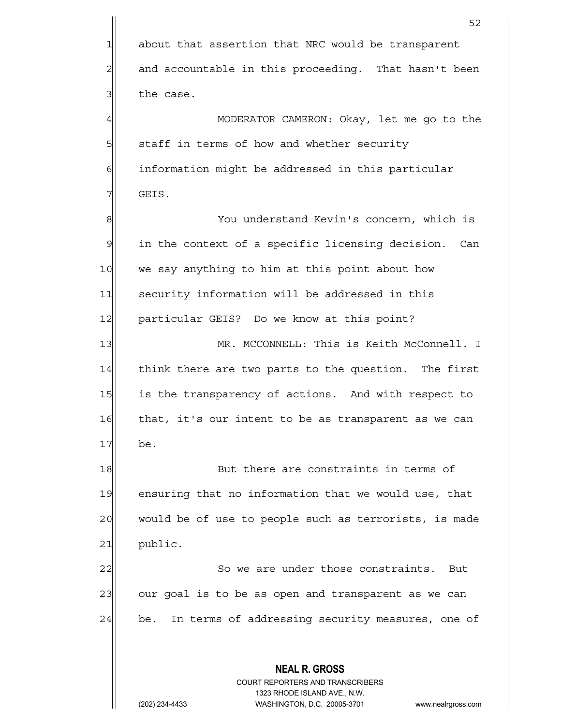**NEAL R. GROSS** COURT REPORTERS AND TRANSCRIBERS 1323 RHODE ISLAND AVE., N.W.  $52$ 1 about that assertion that NRC would be transparent  $2$  and accountable in this proceeding. That hasn't been  $3$  the case. 4  $\parallel$  MODERATOR CAMERON: Okay, let me go to the 5  $\vert$  staff in terms of how and whether security 6 6 information might be addressed in this particular 7 $\vert$  GEIS. 8 8 You understand Kevin's concern, which is  $9$  in the context of a specific licensing decision. Can 10 we say anything to him at this point about how 11 security information will be addressed in this 12 | particular GEIS? Do we know at this point? 13 MR. MCCONNELL: This is Keith McConnell. I 14 think there are two parts to the question. The first 15 is the transparency of actions. And with respect to 16 that, it's our intent to be as transparent as we can 17 be. 18 But there are constraints in terms of 19 ensuring that no information that we would use, that 20 would be of use to people such as terrorists, is made 21 public. 22 So we are under those constraints. But 23 our goal is to be as open and transparent as we can 24 be. In terms of addressing security measures, one of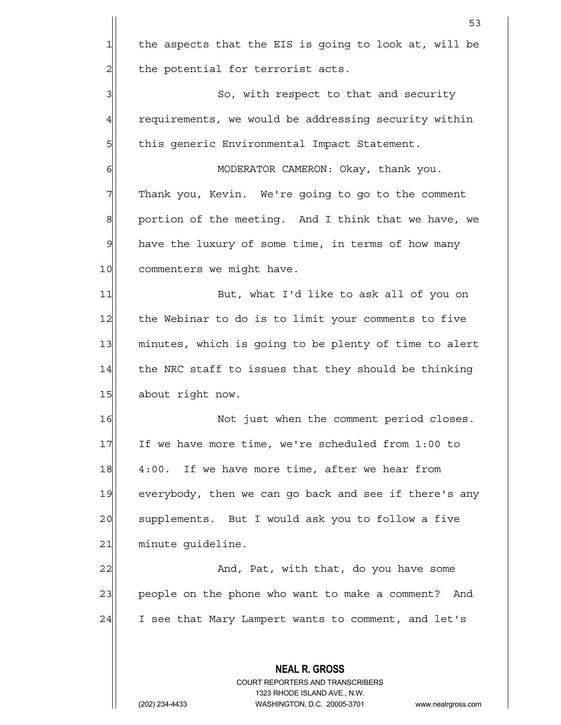|                | 53                                                                                                  |
|----------------|-----------------------------------------------------------------------------------------------------|
| 1              | the aspects that the EIS is going to look at, will be                                               |
| $\overline{c}$ | the potential for terrorist acts.                                                                   |
| 3              | So, with respect to that and security                                                               |
| 4              | requirements, we would be addressing security within                                                |
| 5              | this generic Environmental Impact Statement.                                                        |
| 6              | MODERATOR CAMERON: Okay, thank you.                                                                 |
| 7              | Thank you, Kevin. We're going to go to the comment                                                  |
| $\mathbf{8}$   | portion of the meeting. And I think that we have, we                                                |
| $\mathcal{Q}$  | have the luxury of some time, in terms of how many                                                  |
| 10             | commenters we might have.                                                                           |
| 11             | But, what I'd like to ask all of you on                                                             |
| 12             | the Webinar to do is to limit your comments to five                                                 |
| 13             | minutes, which is going to be plenty of time to alert                                               |
| 14             | the NRC staff to issues that they should be thinking                                                |
| 15             | about right now.                                                                                    |
| 16             | Not just when the comment period closes.                                                            |
| 17             | If we have more time, we're scheduled from 1:00 to                                                  |
| 18             | 4:00. If we have more time, after we hear from                                                      |
| 19             | everybody, then we can go back and see if there's any                                               |
| 20             | supplements. But I would ask you to follow a five                                                   |
| 21             | minute guideline.                                                                                   |
| 22             | And, Pat, with that, do you have some                                                               |
| 23             | people on the phone who want to make a comment? And                                                 |
| 24             | I see that Mary Lampert wants to comment, and let's                                                 |
|                |                                                                                                     |
|                | <b>NEAL R. GROSS</b><br><b>COURT REPORTERS AND TRANSCRIBERS</b>                                     |
|                | 1323 RHODE ISLAND AVE., N.W.<br>WASHINGTON, D.C. 20005-3701<br>(202) 234-4433<br>www.nealrgross.com |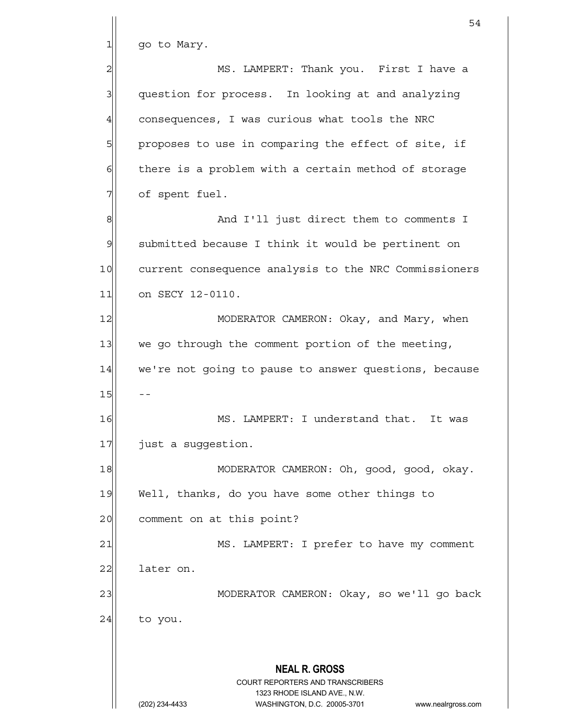$1$  go to Mary.

2 MS. LAMPERT: Thank you. First I have a 3 3 question for process. In looking at and analyzing  $4$  consequences, I was curious what tools the NRC 5 proposes to use in comparing the effect of site, if  $6$  there is a problem with a certain method of storage  $7$  of spent fuel. 8 8 And I'll just direct them to comments I

9 submitted because I think it would be pertinent on 10 current consequence analysis to the NRC Commissioners 11 on SECY 12-0110.

12 MODERATOR CAMERON: Okay, and Mary, when 13 we go through the comment portion of the meeting, 14 we're not going to pause to answer questions, because  $15$  --

16 MS. LAMPERT: I understand that. It was 17 just a suggestion.

18 MODERATOR CAMERON: Oh, good, good, okay. 19 Well, thanks, do you have some other things to 20 comment on at this point?

21 MS. LAMPERT: I prefer to have my comment 22 later on.

23|| MODERATOR CAMERON: Okay, so we'll go back

 $24$  to you.

## **NEAL R. GROSS**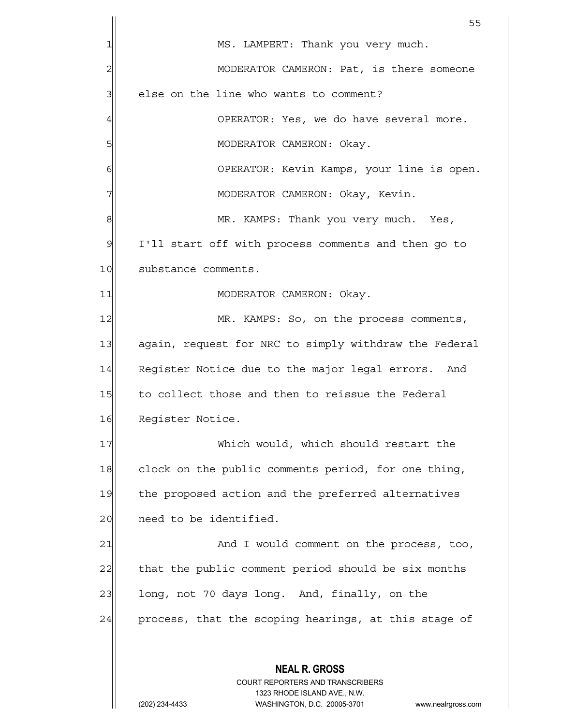|               | 55                                                                                              |
|---------------|-------------------------------------------------------------------------------------------------|
|               | MS. LAMPERT: Thank you very much.                                                               |
| 2             | MODERATOR CAMERON: Pat, is there someone                                                        |
| 3             | else on the line who wants to comment?                                                          |
| 4             | OPERATOR: Yes, we do have several more.                                                         |
| 5             | MODERATOR CAMERON: Okay.                                                                        |
| 6             | OPERATOR: Kevin Kamps, your line is open.                                                       |
|               | MODERATOR CAMERON: Okay, Kevin.                                                                 |
| 8             | MR. KAMPS: Thank you very much. Yes,                                                            |
| $\mathcal{Q}$ | I'll start off with process comments and then go to                                             |
| 10            | substance comments.                                                                             |
| 11            | MODERATOR CAMERON: Okay.                                                                        |
| 12            | MR. KAMPS: So, on the process comments,                                                         |
| 13            | again, request for NRC to simply withdraw the Federal                                           |
| 14            | Register Notice due to the major legal errors. And                                              |
| 15            | to collect those and then to reissue the Federal                                                |
| 16            | Register Notice.                                                                                |
| 17            | Which would, which should restart the                                                           |
| 18            | clock on the public comments period, for one thing,                                             |
| 19            | the proposed action and the preferred alternatives                                              |
| 20            | need to be identified.                                                                          |
| 21            | And I would comment on the process, too,                                                        |
| 22            | that the public comment period should be six months                                             |
| 23            | long, not 70 days long. And, finally, on the                                                    |
| 24            | process, that the scoping hearings, at this stage of                                            |
|               |                                                                                                 |
|               | <b>NEAL R. GROSS</b><br><b>COURT REPORTERS AND TRANSCRIBERS</b><br>1323 RHODE ISLAND AVE., N.W. |
|               | WASHINGTON, D.C. 20005-3701<br>(202) 234-4433<br>www.nealrgross.com                             |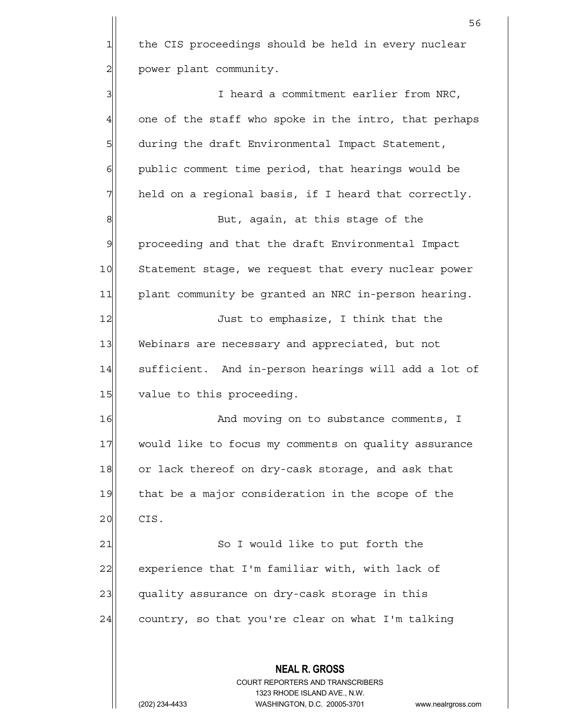$56$ 1 the CIS proceedings should be held in every nuclear 2 | power plant community. 3 3 I heard a commitment earlier from NRC,  $4$  one of the staff who spoke in the intro, that perhaps 5 5 5 during the draft Environmental Impact Statement, 6 6 public comment time period, that hearings would be  $7$  held on a regional basis, if I heard that correctly. 8 8 But, again, at this stage of the 9 proceeding and that the draft Environmental Impact 10 Statement stage, we request that every nuclear power 11 plant community be granted an NRC in-person hearing. 12 Just to emphasize, I think that the 13 Webinars are necessary and appreciated, but not 14 sufficient. And in-person hearings will add a lot of 15 value to this proceeding. 16 and moving on to substance comments, I 17 would like to focus my comments on quality assurance 18 or lack thereof on dry-cask storage, and ask that

19 that be a major consideration in the scope of the 20 CIS.

21 So I would like to put forth the 22 experience that I'm familiar with, with lack of 23 quality assurance on dry-cask storage in this  $24$  country, so that you're clear on what I'm talking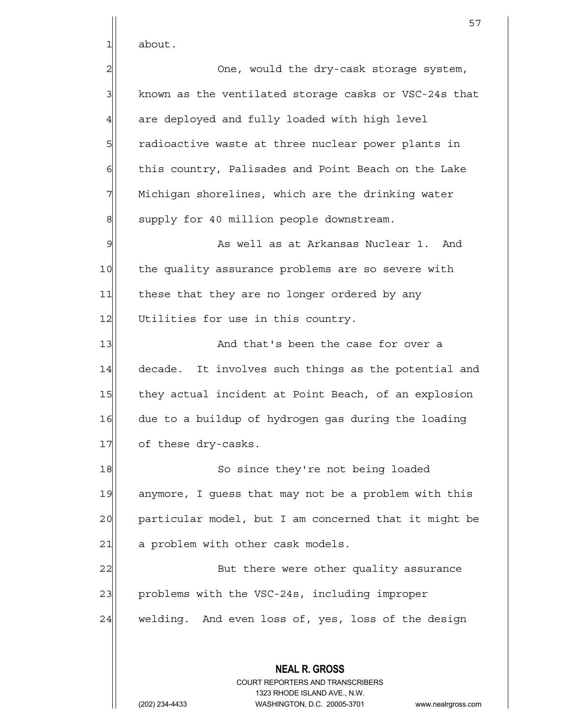$1$  about.

2 and the dry-cask storage system, 3 | known as the ventilated storage casks or VSC-24s that 4 are deployed and fully loaded with high level 5 5 5 5 5 radioactive waste at three nuclear power plants in  $\delta$  this country, Palisades and Point Beach on the Lake  $7$  Michigan shorelines, which are the drinking water 8 supply for 40 million people downstream. 9 and the well as at Arkansas Nuclear 1. And 10 the quality assurance problems are so severe with 11 these that they are no longer ordered by any 12 Utilities for use in this country. 13 and that's been the case for over a 14 decade. It involves such things as the potential and 15 they actual incident at Point Beach, of an explosion 16 due to a buildup of hydrogen gas during the loading 17 of these dry-casks. 18 So since they're not being loaded 19 anymore, I quess that may not be a problem with this 20 particular model, but I am concerned that it might be 21 a problem with other cask models. 22 But there were other quality assurance 23 problems with the VSC-24s, including improper 24 welding. And even loss of, yes, loss of the design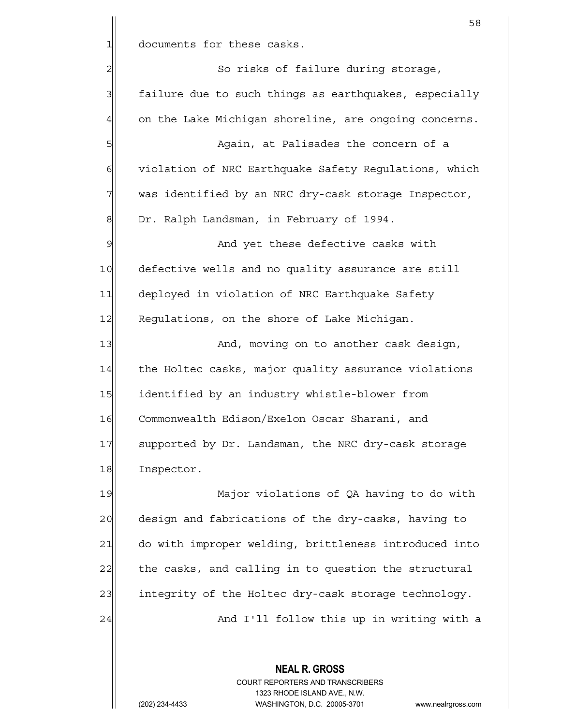1 documents for these casks.

2| So risks of failure during storage, 3 failure due to such things as earthquakes, especially 4 on the Lake Michigan shoreline, are ongoing concerns.

5 | Shephender Again, at Palisades the concern of a 6 violation of NRC Earthquake Safety Regulations, which 7 was identified by an NRC dry-cask storage Inspector, 8 Or. Ralph Landsman, in February of 1994.

9 and yet these defective casks with 10 defective wells and no quality assurance are still 11 deployed in violation of NRC Earthquake Safety 12 Regulations, on the shore of Lake Michigan.

13 And, moving on to another cask design, 14 the Holtec casks, major quality assurance violations 15 identified by an industry whistle-blower from 16 Commonwealth Edison/Exelon Oscar Sharani, and 17 Supported by Dr. Landsman, the NRC dry-cask storage 18 Inspector.

19 Major violations of QA having to do with 20 design and fabrications of the dry-casks, having to 21 do with improper welding, brittleness introduced into 22 the casks, and calling in to question the structural 23 integrity of the Holtec dry-cask storage technology. 24 And I'll follow this up in writing with a

> **NEAL R. GROSS** COURT REPORTERS AND TRANSCRIBERS 1323 RHODE ISLAND AVE., N.W. (202) 234-4433 WASHINGTON, D.C. 20005-3701 www.nealrgross.com

58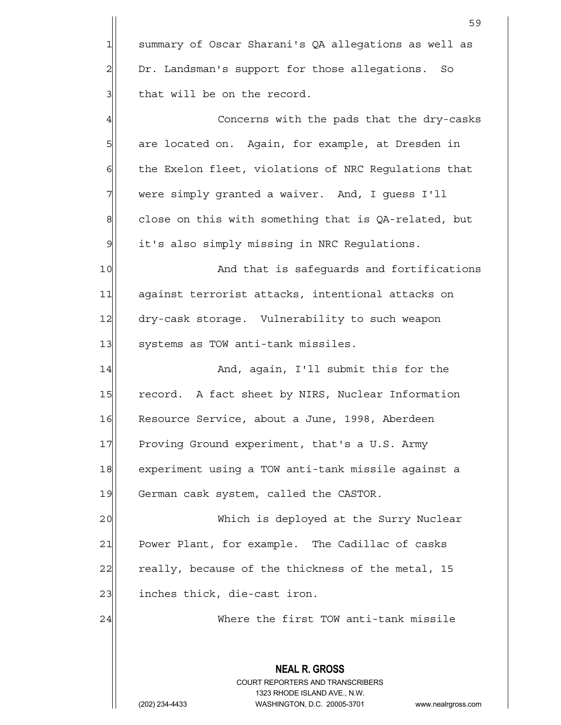**NEAL R. GROSS** COURT REPORTERS AND TRANSCRIBERS 1323 RHODE ISLAND AVE., N.W. 59 1 summary of Oscar Sharani's QA allegations as well as 2 Dr. Landsman's support for those allegations. So  $3$  that will be on the record. 4 <del>c</del>oncerns with the pads that the dry-casks 5| are located on. Again, for example, at Dresden in  $6$  the Exelon fleet, violations of NRC Regulations that  $7\vert$  were simply granted a waiver. And, I guess I'll  $8$  close on this with something that is QA-related, but  $9$  it's also simply missing in NRC Requlations. 10 || And that is safeguards and fortifications 11| against terrorist attacks, intentional attacks on 12 dry-cask storage. Vulnerability to such weapon 13 systems as TOW anti-tank missiles. 14 And, again, I'll submit this for the 15 record. A fact sheet by NIRS, Nuclear Information 16 Resource Service, about a June, 1998, Aberdeen 17 Proving Ground experiment, that's a U.S. Army 18 experiment using a TOW anti-tank missile against a 19 German cask system, called the CASTOR. 20 Which is deployed at the Surry Nuclear 21 Power Plant, for example. The Cadillac of casks 22 really, because of the thickness of the metal, 15  $23$  inches thick, die-cast iron. 24 Where the first TOW anti-tank missile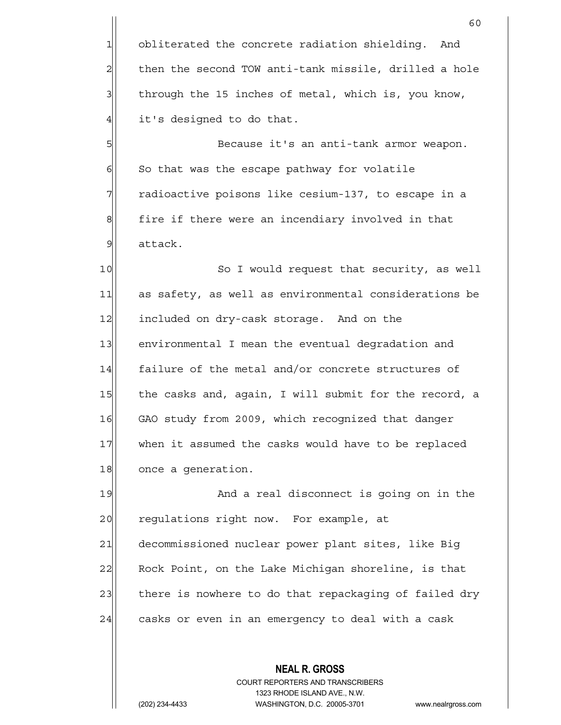1 obliterated the concrete radiation shielding. And then the second TOW anti-tank missile, drilled a hole through the 15 inches of metal, which is, you know, it's designed to do that.

5 Because it's an anti-tank armor weapon.  $6$  So that was the escape pathway for volatile 7 Tradioactive poisons like cesium-137, to escape in a 8| fire if there were an incendiary involved in that 9 attack.

10 So I would request that security, as well 11 as safety, as well as environmental considerations be 12 included on dry-cask storage. And on the 13 environmental I mean the eventual degradation and 14 failure of the metal and/or concrete structures of 15 the casks and, again, I will submit for the record, a 16 GAO study from 2009, which recognized that danger 17 when it assumed the casks would have to be replaced 18 once a generation.

19 And a real disconnect is going on in the 20 regulations right now. For example, at 21 decommissioned nuclear power plant sites, like Big 22 Rock Point, on the Lake Michigan shoreline, is that 23 there is nowhere to do that repackaging of failed dry 24 casks or even in an emergency to deal with a cask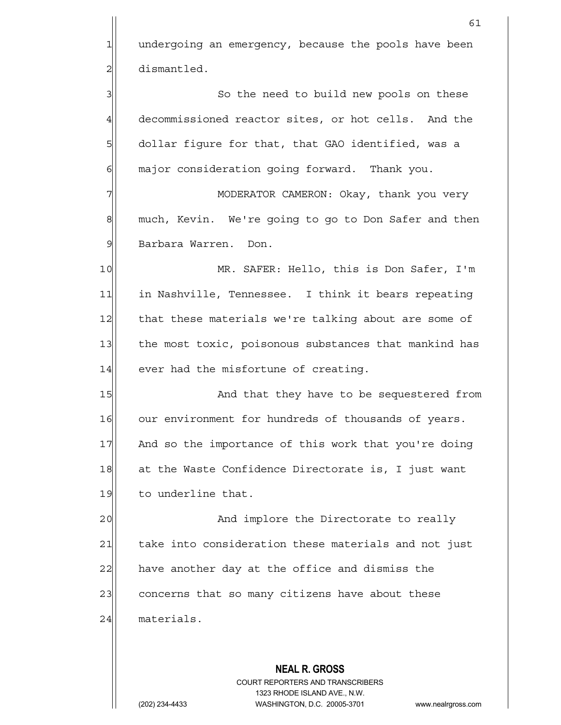**NEAL R. GROSS** COURT REPORTERS AND TRANSCRIBERS 61 1 undergoing an emergency, because the pools have been 2 dismantled. 3| So the need to build new pools on these 4 decommissioned reactor sites, or hot cells. And the 5 | dollar figure for that, that GAO identified, was a 6 6 major consideration going forward. Thank you. 7 MODERATOR CAMERON: Okay, thank you very 8 much, Kevin. We're going to go to Don Safer and then 9 Barbara Warren. Don. 10 MR. SAFER: Hello, this is Don Safer, I'm 11 1 in Nashville, Tennessee. I think it bears repeating 12 that these materials we're talking about are some of 13 the most toxic, poisonous substances that mankind has  $14$  ever had the misfortune of creating. 15 And that they have to be sequestered from 16 our environment for hundreds of thousands of years. 17 And so the importance of this work that you're doing 18 at the Waste Confidence Directorate is, I just want 19 to underline that. 20 and implore the Directorate to really 21 take into consideration these materials and not just  $22$  have another day at the office and dismiss the 23 concerns that so many citizens have about these 24 materials.

1323 RHODE ISLAND AVE., N.W.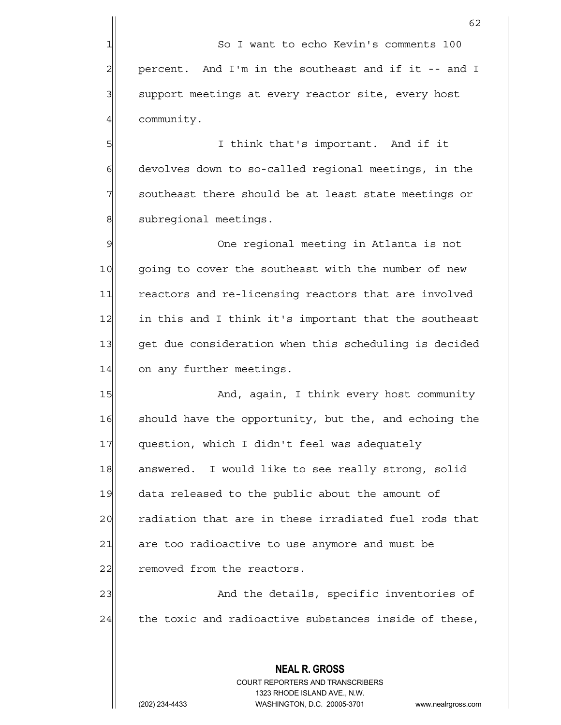4 community.

5|| I think that's important. And if it  $6$  devolves down to so-called regional meetings, in the  $7$  southeast there should be at least state meetings or 8 subregional meetings.

9 9 One regional meeting in Atlanta is not 10 going to cover the southeast with the number of new 11 reactors and re-licensing reactors that are involved 12 in this and I think it's important that the southeast 13 get due consideration when this scheduling is decided 14 on any further meetings.

15 And, again, I think every host community 16 should have the opportunity, but the, and echoing the 17 question, which I didn't feel was adequately 18 answered. I would like to see really strong, solid 19 data released to the public about the amount of 20 radiation that are in these irradiated fuel rods that  $21$  are too radioactive to use anymore and must be 22 removed from the reactors.

23 and the details, specific inventories of  $24$  the toxic and radioactive substances inside of these,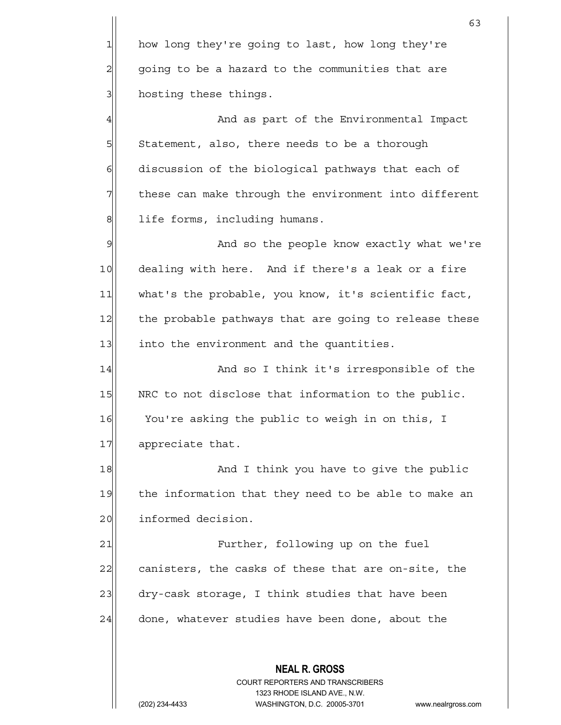1 how long they're going to last, how long they're  $2\vert$  going to be a hazard to the communities that are 3 **hosting these things.** 

4 And as part of the Environmental Impact 5 Statement, also, there needs to be a thorough 6 6 6 discussion of the biological pathways that each of  $7$  these can make through the environment into different 8 life forms, including humans.

9 And so the people know exactly what we're 10 dealing with here. And if there's a leak or a fire 11 what's the probable, you know, it's scientific fact, 12 the probable pathways that are going to release these 13 13 into the environment and the quantities.

14 And so I think it's irresponsible of the 15 NRC to not disclose that information to the public. 16 You're asking the public to weigh in on this, I 17 appreciate that.

18 and I think you have to give the public 19 the information that they need to be able to make an 20 informed decision.

21 | Further, following up on the fuel  $22$  canisters, the casks of these that are on-site, the 23 dry-cask storage, I think studies that have been  $24$  done, whatever studies have been done, about the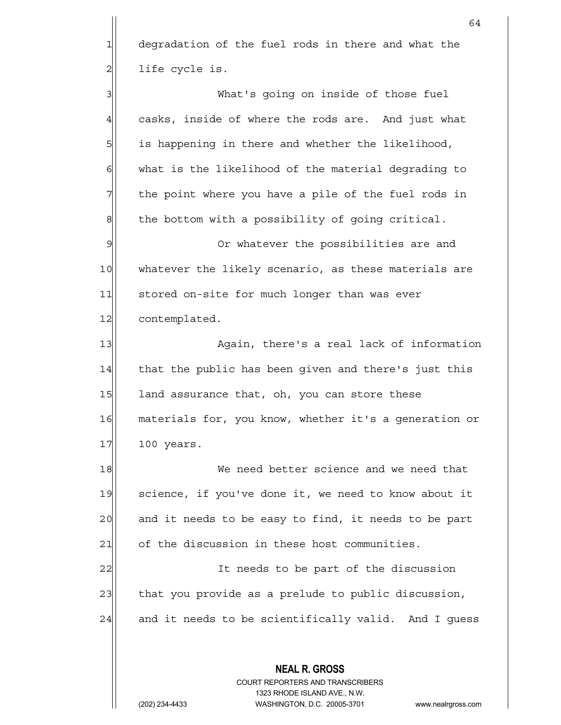1 degradation of the fuel rods in there and what the  $2$  life cycle is.

3 What's going on inside of those fuel  $4$  casks, inside of where the rods are. And just what 5 5 5 is happening in there and whether the likelihood,  $6$  what is the likelihood of the material degrading to 7 The point where you have a pile of the fuel rods in  $8$  the bottom with a possibility of going critical.

9 9 Or whatever the possibilities are and 10 whatever the likely scenario, as these materials are 11 stored on-site for much longer than was ever 12 contemplated.

13 Again, there's a real lack of information 14 that the public has been given and there's just this 15 land assurance that, oh, you can store these 16 materials for, you know, whether it's a generation or 17 100 years.

18 We need better science and we need that 19 science, if you've done it, we need to know about it 20 and it needs to be easy to find, it needs to be part 21 of the discussion in these host communities.

22 and 1 It needs to be part of the discussion 23 that you provide as a prelude to public discussion, 24 and it needs to be scientifically valid. And I quess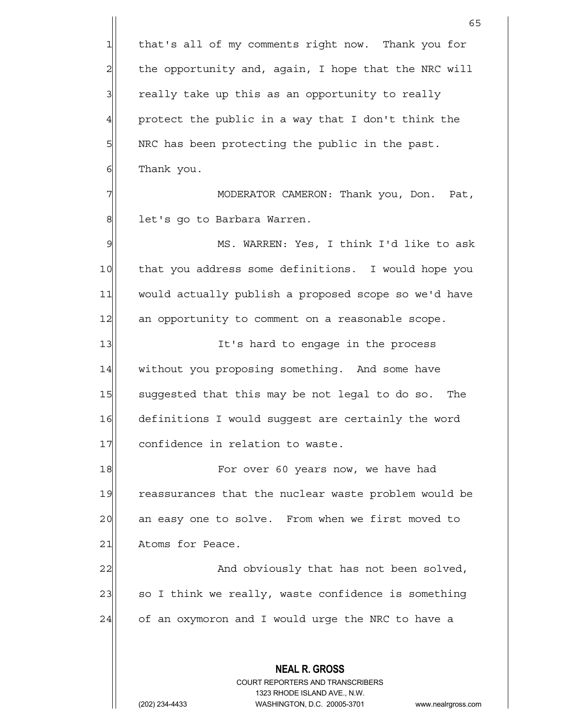**NEAL R. GROSS** COURT REPORTERS AND TRANSCRIBERS 1323 RHODE ISLAND AVE., N.W.  $65$ 1 that's all of my comments right now. Thank you for 2 the opportunity and, again, I hope that the NRC will 3 3 really take up this as an opportunity to really  $4$  protect the public in a way that I don't think the 5 SI NRC has been protecting the public in the past. 6 Thank you. 7 | MODERATOR CAMERON: Thank you, Don. Pat, 8 | let's go to Barbara Warren. 9 MS. WARREN: Yes, I think I'd like to ask 10 that you address some definitions. I would hope you 11 would actually publish a proposed scope so we'd have 12 an opportunity to comment on a reasonable scope. 13 It's hard to engage in the process 14 without you proposing something. And some have 15 suggested that this may be not legal to do so. The 16 definitions I would suggest are certainly the word 17 confidence in relation to waste. 18 For over 60 years now, we have had 19 reassurances that the nuclear waste problem would be 20 an easy one to solve. From when we first moved to 21 Atoms for Peace. 22|| And obviously that has not been solved,  $23$  so I think we really, waste confidence is something  $24$  of an oxymoron and I would urge the NRC to have a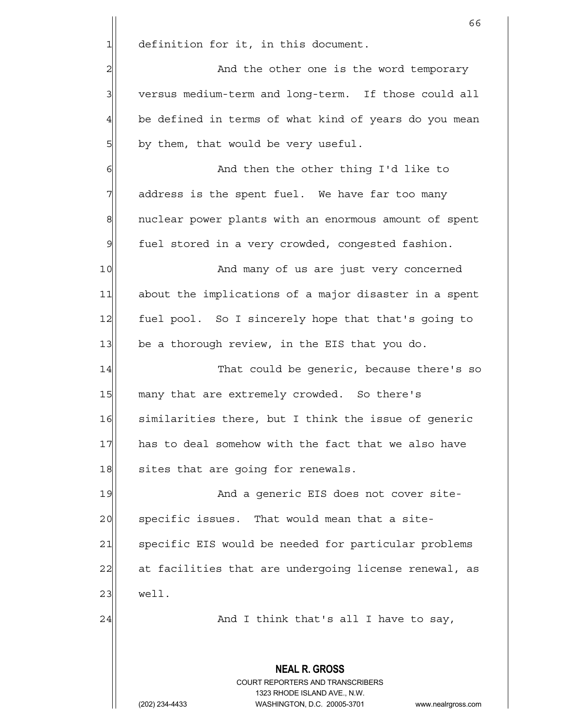$1$  definition for it, in this document.

2 and the other one is the word temporary 3 versus medium-term and long-term. If those could all  $4$  be defined in terms of what kind of years do you mean 5 by them, that would be very useful.

6 | And then the other thing I'd like to  $7$  address is the spent fuel. We have far too many 8 nuclear power plants with an enormous amount of spent  $9$  fuel stored in a very crowded, congested fashion.

10 and many of us are just very concerned 11 about the implications of a major disaster in a spent 12 fuel pool. So I sincerely hope that that's going to 13 $\vert$  be a thorough review, in the EIS that you do.

14 That could be generic, because there's so 15 many that are extremely crowded. So there's 16 similarities there, but I think the issue of generic 17 | has to deal somehow with the fact that we also have 18 sites that are going for renewals.

19 and a generic EIS does not cover site-20 specific issues. That would mean that a site-21 Specific EIS would be needed for particular problems 22| at facilities that are undergoing license renewal, as 23 well.

 $24$  And I think that's all I have to say,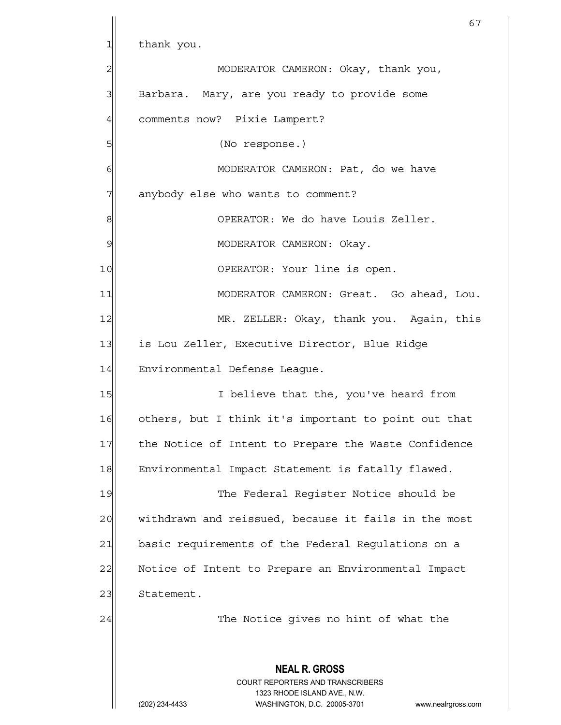**NEAL R. GROSS** COURT REPORTERS AND TRANSCRIBERS 1323 RHODE ISLAND AVE., N.W. (202) 234-4433 WASHINGTON, D.C. 20005-3701 www.nealrgross.com 67 1 thank you. 2 MODERATOR CAMERON: Okay, thank you, 3| Barbara. Mary, are you ready to provide some 4 comments now? Pixie Lampert? 5| (No response.) 6| MODERATOR CAMERON: Pat, do we have 7| anybody else who wants to comment? 8 8 8 OPERATOR: We do have Louis Zeller. 9 | MODERATOR CAMERON: Okay. 10 OPERATOR: Your line is open. 11 MODERATOR CAMERON: Great. Go ahead, Lou. 12 MR. ZELLER: Okay, thank you. Again, this 13 is Lou Zeller, Executive Director, Blue Ridge 14 Environmental Defense Leaque. 15 I believe that the, you've heard from 16 others, but I think it's important to point out that 17 the Notice of Intent to Prepare the Waste Confidence 18 Environmental Impact Statement is fatally flawed. 19 The Federal Reqister Notice should be 20 | withdrawn and reissued, because it fails in the most 21 basic requirements of the Federal Regulations on a 22 Notice of Intent to Prepare an Environmental Impact 23 Statement. 24 and 1 The Notice gives no hint of what the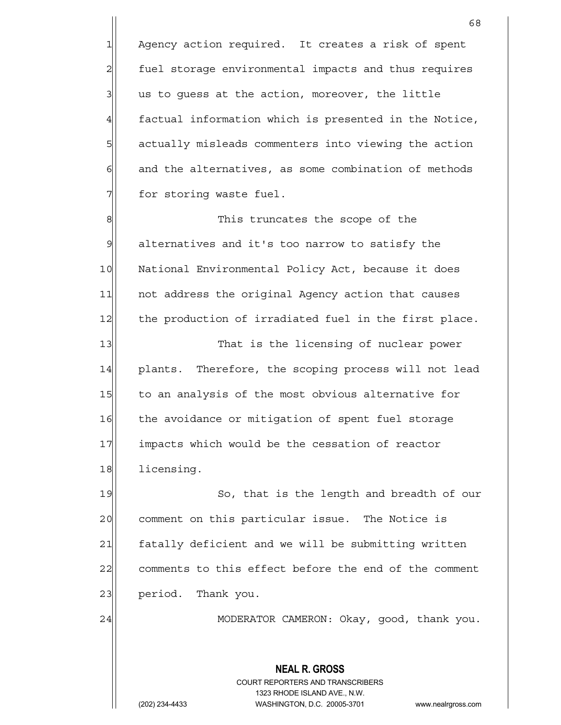1 Agency action required. It creates a risk of spent 2 fuel storage environmental impacts and thus requires  $3$  us to quess at the action, moreover, the little 4 factual information which is presented in the Notice, 5 5 5 5 5 actually misleads commenters into viewing the action  $6$  and the alternatives, as some combination of methods  $7$  for storing waste fuel.

8| This truncates the scope of the 9 alternatives and it's too narrow to satisfy the 10 National Environmental Policy Act, because it does 11 | not address the original Agency action that causes 12 the production of irradiated fuel in the first place. 13 That is the licensing of nuclear power 14 plants. Therefore, the scoping process will not lead 15 to an analysis of the most obvious alternative for

16 the avoidance or mitigation of spent fuel storage 17 impacts which would be the cessation of reactor 18 licensing.

19 So, that is the length and breadth of our 20 comment on this particular issue. The Notice is 21 fatally deficient and we will be submitting written 22 comments to this effect before the end of the comment 23 period. Thank you.

24 | MODERATOR CAMERON: Okay, good, thank you.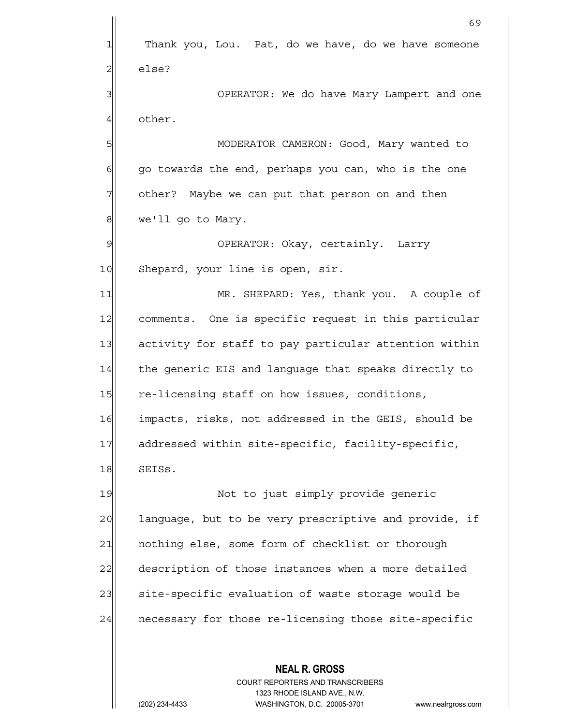**NEAL R. GROSS** 69 1 Thank you, Lou. Pat, do we have, do we have someone 2 else? 3 3 OPERATOR: We do have Mary Lampert and one 4 other. 5 MODERATOR CAMERON: Good, Mary wanted to  $6$  go towards the end, perhaps you can, who is the one  $7$  other? Maybe we can put that person on and then 8 we'll go to Mary. 9 OPERATOR: Okay, certainly. Larry 10 Shepard, your line is open, sir. 11 MR. SHEPARD: Yes, thank you. A couple of 12 comments. One is specific request in this particular 13 activity for staff to pay particular attention within 14 the generic EIS and language that speaks directly to 15 re-licensing staff on how issues, conditions, 16 impacts, risks, not addressed in the GEIS, should be 17 addressed within site-specific, facility-specific, 18 SEISS. 19 | Not to just simply provide generic 20 anguage, but to be very prescriptive and provide, if 21 | nothing else, some form of checklist or thorough 22 description of those instances when a more detailed 23 site-specific evaluation of waste storage would be 24 necessary for those re-licensing those site-specific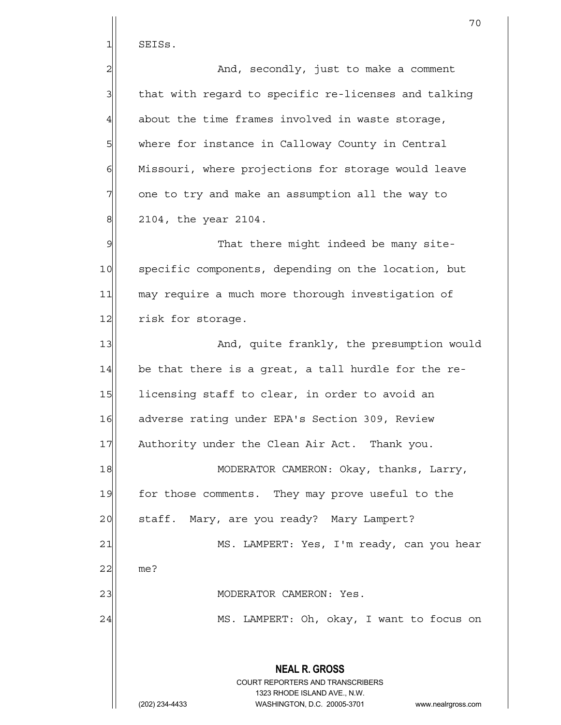$1$  SEISs.

| $\overline{a}$ | And, secondly, just to make a comment                                                               |
|----------------|-----------------------------------------------------------------------------------------------------|
| $\mathbf{3}$   | that with regard to specific re-licenses and talking                                                |
| $\overline{4}$ | about the time frames involved in waste storage,                                                    |
| 5              | where for instance in Calloway County in Central                                                    |
| $\epsilon$     | Missouri, where projections for storage would leave                                                 |
| 7              | one to try and make an assumption all the way to                                                    |
| $\,8\,$        | 2104, the year 2104.                                                                                |
| $\mathcal{G}$  | That there might indeed be many site-                                                               |
| 10             | specific components, depending on the location, but                                                 |
| 11             | may require a much more thorough investigation of                                                   |
| 12             | risk for storage.                                                                                   |
| 13             | And, quite frankly, the presumption would                                                           |
| 14             | be that there is a great, a tall hurdle for the re-                                                 |
| 15             | licensing staff to clear, in order to avoid an                                                      |
| 16             | adverse rating under EPA's Section 309, Review                                                      |
| 17             | Authority under the Clean Air Act. Thank you.                                                       |
| 18             | MODERATOR CAMERON: Okay, thanks, Larry,                                                             |
| 19             | for those comments. They may prove useful to the                                                    |
| 20             | staff. Mary, are you ready? Mary Lampert?                                                           |
| 21             | MS. LAMPERT: Yes, I'm ready, can you hear                                                           |
| 22             | me?                                                                                                 |
| 23             | MODERATOR CAMERON: Yes.                                                                             |
| 24             | MS. LAMPERT: Oh, okay, I want to focus on                                                           |
|                | <b>NEAL R. GROSS</b>                                                                                |
|                | <b>COURT REPORTERS AND TRANSCRIBERS</b>                                                             |
|                | 1323 RHODE ISLAND AVE., N.W.<br>(202) 234-4433<br>WASHINGTON, D.C. 20005-3701<br>www.nealrgross.com |

70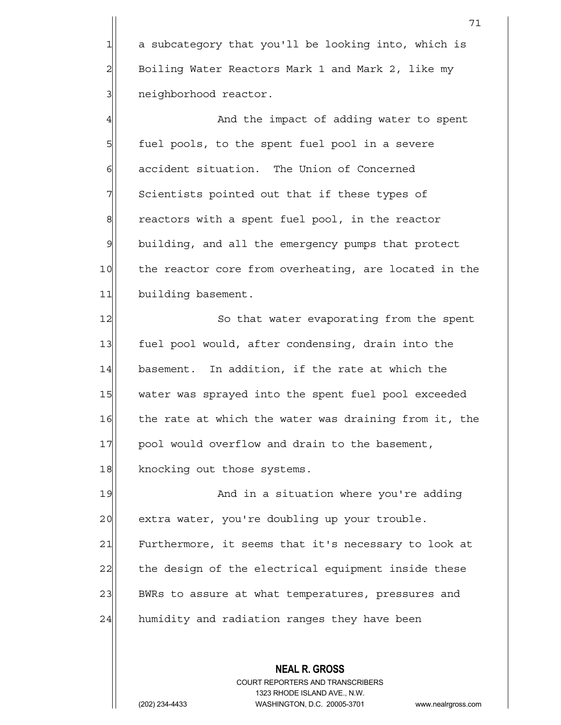1 a subcategory that you'll be looking into, which is 2 Boiling Water Reactors Mark 1 and Mark 2, like my 3 3 neighborhood reactor.

4 And the impact of adding water to spent 5 | fuel pools, to the spent fuel pool in a severe 6 6 accident situation. The Union of Concerned  $7$  Scientists pointed out that if these types of  $8$  reactors with a spent fuel pool, in the reactor 9 building, and all the emergency pumps that protect 10 the reactor core from overheating, are located in the 11 building basement.

12 So that water evaporating from the spent 13 fuel pool would, after condensing, drain into the 14 basement. In addition, if the rate at which the 15 water was sprayed into the spent fuel pool exceeded 16 the rate at which the water was draining from it, the 17 | pool would overflow and drain to the basement, 18 knocking out those systems.

19 And in a situation where you're adding 20 extra water, you're doubling up your trouble. 21 Furthermore, it seems that it's necessary to look at 22 the design of the electrical equipment inside these 23 BWRs to assure at what temperatures, pressures and  $24$  humidity and radiation ranges they have been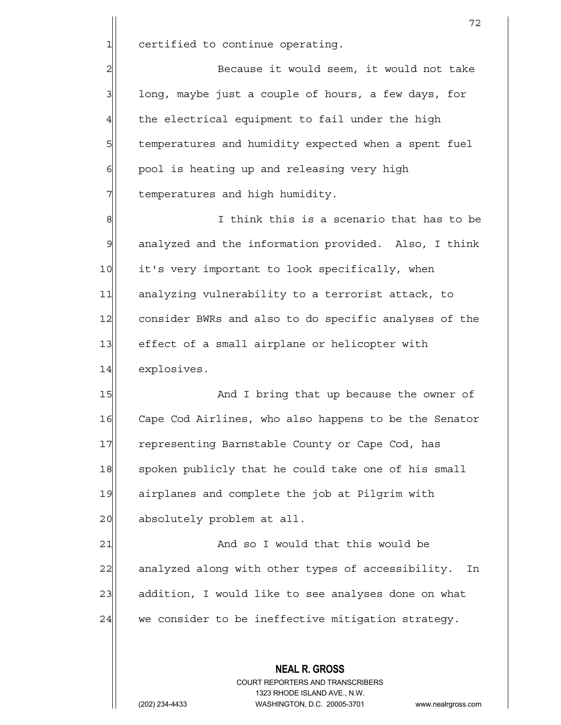$1$  certified to continue operating.

2 Because it would seem, it would not take  $3$  long, maybe just a couple of hours, a few days, for  $4$  the electrical equipment to fail under the high 5 5 5 5 temperatures and humidity expected when a spent fuel  $6$  pool is heating up and releasing very high 7 The Memperatures and high humidity.

8 8 I think this is a scenario that has to be 9 analyzed and the information provided. Also, I think 10 it's very important to look specifically, when 11 analyzing vulnerability to a terrorist attack, to 12 consider BWRs and also to do specific analyses of the 13 effect of a small airplane or helicopter with 14 explosives.

15 And I bring that up because the owner of 16 Cape Cod Airlines, who also happens to be the Senator 17 representing Barnstable County or Cape Cod, has 18 spoken publicly that he could take one of his small 19 airplanes and complete the job at Pilgrim with 20 absolutely problem at all.

21 and so I would that this would be 22 analyzed along with other types of accessibility. In 23 addition, I would like to see analyses done on what  $24$  we consider to be ineffective mitigation strategy.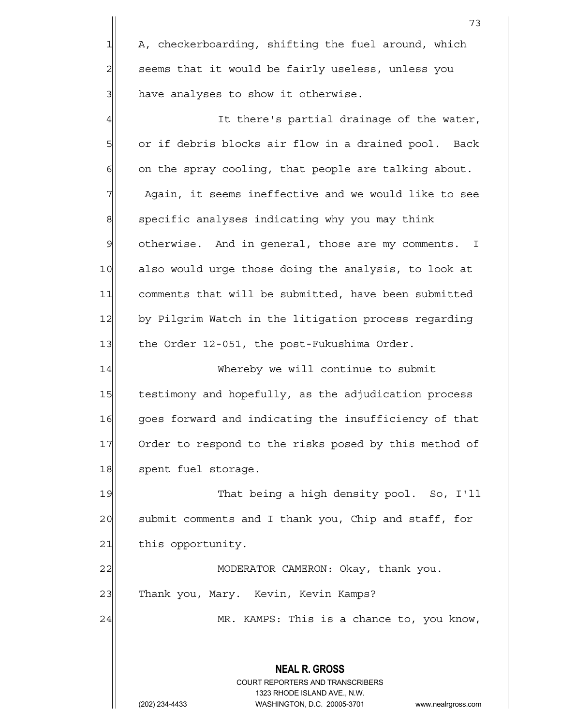1 A, checkerboarding, shifting the fuel around, which  $2$  seems that it would be fairly useless, unless you 3 all have analyses to show it otherwise.

4 all there's partial drainage of the water, 5 or if debris blocks air flow in a drained pool. Back  $6$  on the spray cooling, that people are talking about.  $7$  Again, it seems ineffective and we would like to see  $8$  specific analyses indicating why you may think 9 otherwise. And in general, those are my comments. I 10 also would urge those doing the analysis, to look at 11 comments that will be submitted, have been submitted 12 by Pilgrim Watch in the litigation process regarding 13 the Order 12-051, the post-Fukushima Order.

14 Whereby we will continue to submit 15 testimony and hopefully, as the adjudication process 16 goes forward and indicating the insufficiency of that 17 Order to respond to the risks posed by this method of 18 spent fuel storage.

19 That being a high density pool. So, I'll 20 submit comments and I thank you, Chip and staff, for 21 this opportunity.

22 | MODERATOR CAMERON: Okay, thank you. 23 Thank you, Mary. Kevin, Kevin Kamps?

24 MR. KAMPS: This is a chance to, you know,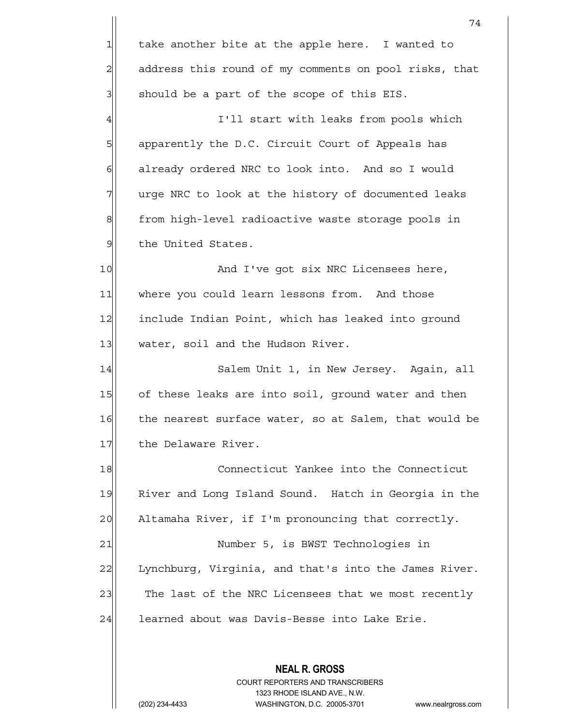**NEAL R. GROSS** COURT REPORTERS AND TRANSCRIBERS 1323 RHODE ISLAND AVE., N.W. 74  $1$  take another bite at the apple here. I wanted to 2 address this round of my comments on pool risks, that  $3$  should be a part of the scope of this EIS. 4 all interval in the I'll start with leaks from pools which 5 | apparently the D.C. Circuit Court of Appeals has 6 6 6 6 already ordered NRC to look into. And so I would 7 TWT urge NRC to look at the history of documented leaks 8 from high-level radioactive waste storage pools in 9 | the United States. 10 And I've got six NRC Licensees here, 11 where you could learn lessons from. And those 12 include Indian Point, which has leaked into ground 13 water, soil and the Hudson River. 14 Salem Unit 1, in New Jersey. Again, all 15 of these leaks are into soil, ground water and then 16 the nearest surface water, so at Salem, that would be 17 the Delaware River. 18 Connecticut Yankee into the Connecticut 19 River and Long Island Sound. Hatch in Georgia in the 20 Altamaha River, if I'm pronouncing that correctly. 21| Number 5, is BWST Technologies in 22 Lynchburg, Virginia, and that's into the James River. 23 The last of the NRC Licensees that we most recently 24 | learned about was Davis-Besse into Lake Erie.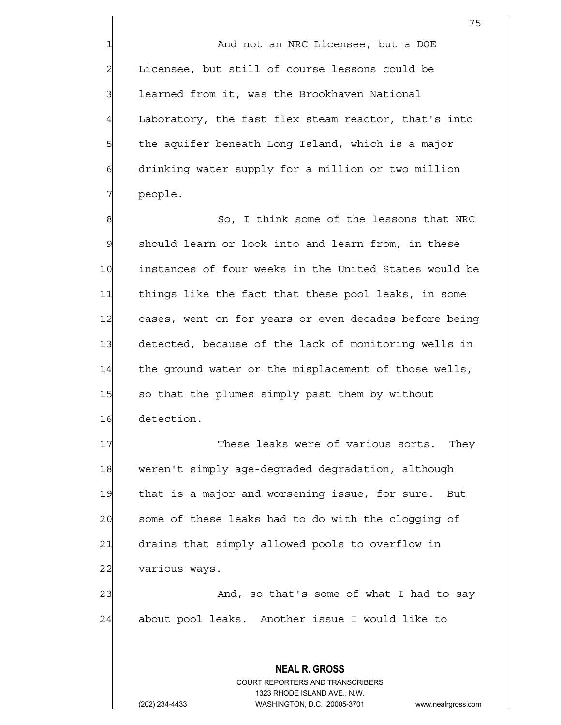1 and not an NRC Licensee, but a DOE 2 Licensee, but still of course lessons could be 3 | learned from it, was the Brookhaven National 4 Laboratory, the fast flex steam reactor, that's into  $5$  the aquifer beneath Long Island, which is a major  $6$  drinking water supply for a million or two million

8 8 So, I think some of the lessons that NRC 9 should learn or look into and learn from, in these 10 instances of four weeks in the United States would be 11 things like the fact that these pool leaks, in some 12 cases, went on for years or even decades before being 13 detected, because of the lack of monitoring wells in 14 the ground water or the misplacement of those wells, 15 so that the plumes simply past them by without 16 detection.

17 These leaks were of various sorts. They 18 weren't simply age-degraded degradation, although 19 that is a major and worsening issue, for sure. But 20 some of these leaks had to do with the clogging of 21 drains that simply allowed pools to overflow in 22 various ways.

23 and, so that's some of what I had to say 24 about pool leaks. Another issue I would like to

> **NEAL R. GROSS** COURT REPORTERS AND TRANSCRIBERS 1323 RHODE ISLAND AVE., N.W. (202) 234-4433 WASHINGTON, D.C. 20005-3701 www.nealrgross.com

7 people.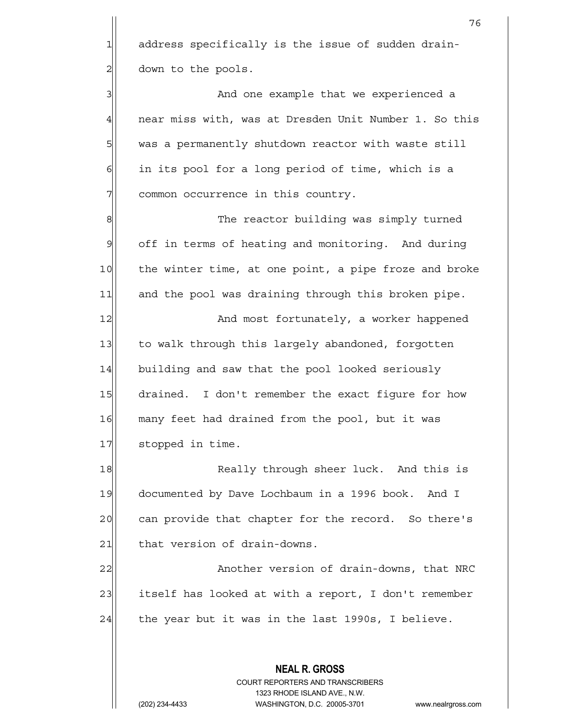1 address specifically is the issue of sudden drain-2 down to the pools.

3 3 And one example that we experienced a 4 near miss with, was at Dresden Unit Number 1. So this 5 was a permanently shutdown reactor with waste still  $6$  in its pool for a long period of time, which is a 7 common occurrence in this country.

8 8 Me reactor building was simply turned 9 off in terms of heating and monitoring. And during 10 the winter time, at one point, a pipe froze and broke 11 and the pool was draining through this broken pipe.

12 and most fortunately, a worker happened 13 to walk through this largely abandoned, forgotten 14 building and saw that the pool looked seriously 15 drained. I don't remember the exact figure for how 16 many feet had drained from the pool, but it was 17 stopped in time.

18 Really through sheer luck. And this is 19 documented by Dave Lochbaum in a 1996 book. And I 20 can provide that chapter for the record. So there's 21 that version of drain-downs.

22|| Another version of drain-downs, that NRC 23 itself has looked at with a report, I don't remember  $24$  the year but it was in the last 1990s, I believe.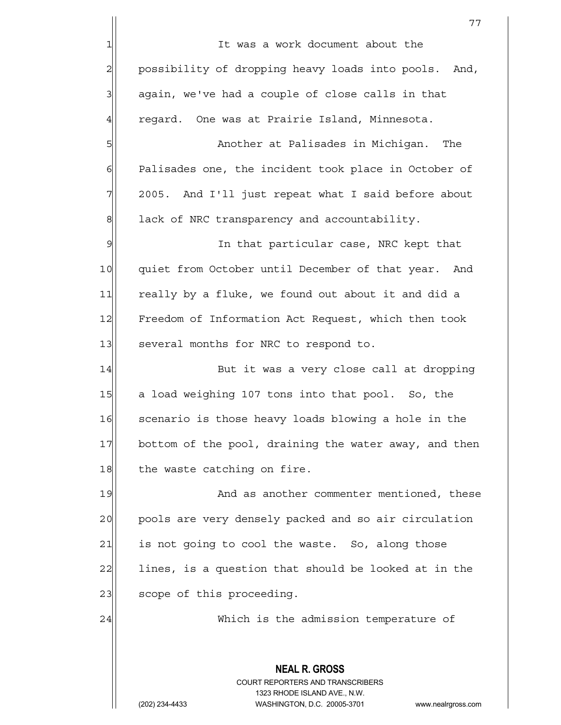**NEAL R. GROSS** 77 1 It was a work document about the 2 possibility of dropping heavy loads into pools. And,  $3$  again, we've had a couple of close calls in that 4 regard. One was at Prairie Island, Minnesota. 5 | Soloman and Dalisades in Michigan. The 6 Palisades one, the incident took place in October of 7 2005. And I'll just repeat what I said before about  $8$  lack of NRC transparency and accountability. 9 9 In that particular case, NRC kept that 10 quiet from October until December of that year. And 11 really by a fluke, we found out about it and did a 12 Freedom of Information Act Request, which then took 13 several months for NRC to respond to. 14 But it was a very close call at dropping 15 a load weighing 107 tons into that pool. So, the 16 Scenario is those heavy loads blowing a hole in the 17 bottom of the pool, draining the water away, and then 18 the waste catching on fire. 19 And as another commenter mentioned, these 20 pools are very densely packed and so air circulation  $21$  is not going to cool the waste. So, along those  $22$  lines, is a question that should be looked at in the 23 scope of this proceeding. 24 Which is the admission temperature of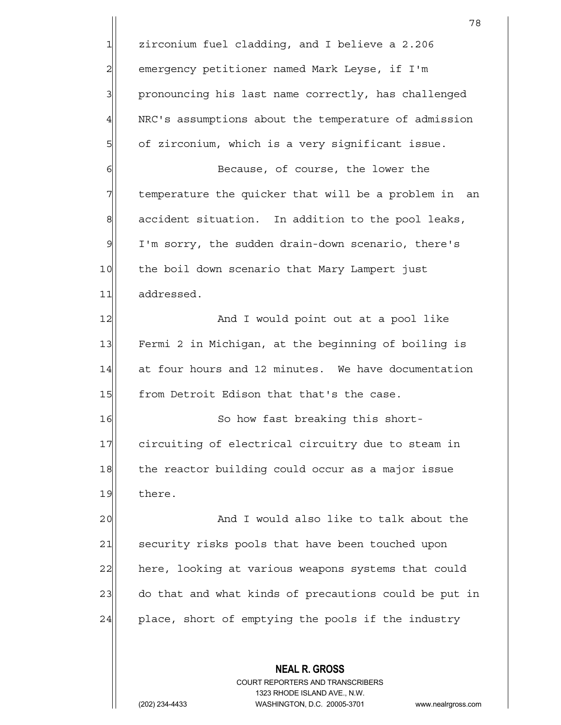**NEAL R. GROSS** 78 1 zirconium fuel cladding, and I believe a 2.206 2 emergency petitioner named Mark Leyse, if I'm 3 3 pronouncing his last name correctly, has challenged 4 NRC's assumptions about the temperature of admission 5 5 of zirconium, which is a very significant issue. 6 6 Because, of course, the lower the 7 The temperature the quicker that will be a problem in an  $\left\| \right\|$  accident situation. In addition to the pool leaks, 9| I'm sorry, the sudden drain-down scenario, there's 10 the boil down scenario that Mary Lampert just 11 addressed. 12 and I would point out at a pool like 13 Fermi 2 in Michigan, at the beginning of boiling is 14 at four hours and 12 minutes. We have documentation 15 from Detroit Edison that that's the case. 16 So how fast breaking this short-17 circuiting of electrical circuitry due to steam in 18 the reactor building could occur as a major issue 19 there. 20 and I would also like to talk about the 21 security risks pools that have been touched upon 22 here, looking at various weapons systems that could 23 do that and what kinds of precautions could be put in  $24$  place, short of emptying the pools if the industry

> COURT REPORTERS AND TRANSCRIBERS 1323 RHODE ISLAND AVE., N.W.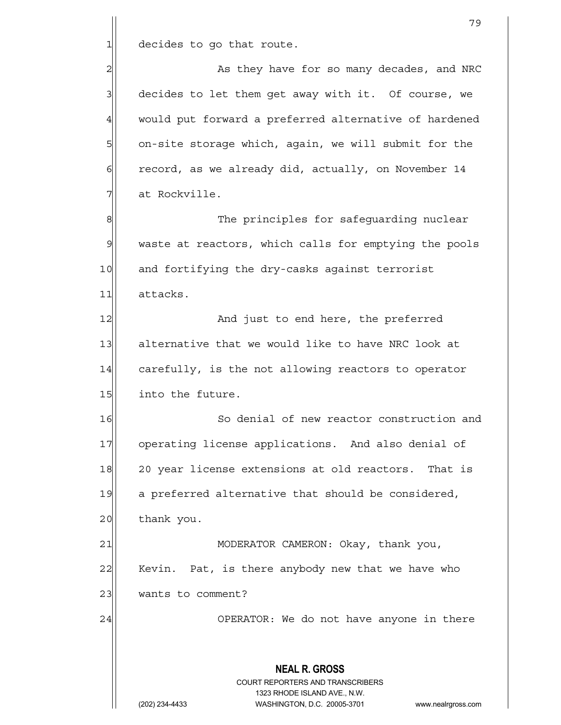$1$  decides to go that route.

2 as they have for so many decades, and NRC  $3$  decides to let them get away with it. Of course, we 4 would put forward a preferred alternative of hardened 5 on-site storage which, again, we will submit for the  $6$  record, as we already did, actually, on November 14 7| at Rockville.

8 8 The principles for safequarding nuclear 9 waste at reactors, which calls for emptying the pools 10 and fortifying the dry-casks against terrorist 11 attacks.

12 and just to end here, the preferred 13 alternative that we would like to have NRC look at 14 carefully, is the not allowing reactors to operator 15 into the future.

16 So denial of new reactor construction and 17 operating license applications. And also denial of 18 20 year license extensions at old reactors. That is 19 a preferred alternative that should be considered, 20 thank you.

21 MODERATOR CAMERON: Okay, thank you, 22 Kevin. Pat, is there anybody new that we have who 23 wants to comment?

24 OPERATOR: We do not have anyone in there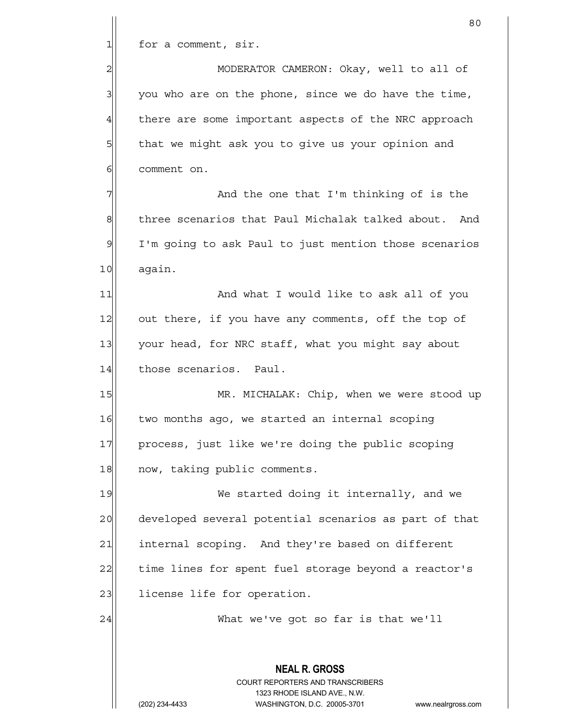$1$  for a comment, sir.

2 MODERATOR CAMERON: Okay, well to all of  $3$  you who are on the phone, since we do have the time, 4 there are some important aspects of the NRC approach 5 5 5 5 that we might ask you to give us your opinion and 61 comment on.

7 and the one that I'm thinking of is the 7 8 8 three scenarios that Paul Michalak talked about. And 9 I'm going to ask Paul to just mention those scenarios 10 again.

11 and what I would like to ask all of you 12 out there, if you have any comments, off the top of 13 your head, for NRC staff, what you might say about 14 those scenarios. Paul.

15 MR. MICHALAK: Chip, when we were stood up 16 two months ago, we started an internal scoping 17 process, just like we're doing the public scoping 18 now, taking public comments.

19 We started doing it internally, and we 20 developed several potential scenarios as part of that 21 internal scoping. And they're based on different 22 time lines for spent fuel storage beyond a reactor's 23 | license life for operation.

24 | What we've got so far is that we'll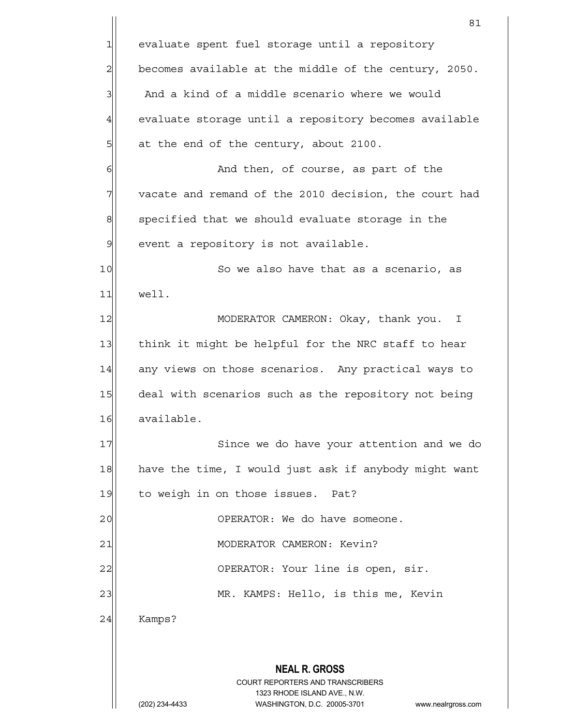**NEAL R. GROSS** COURT REPORTERS AND TRANSCRIBERS 1323 RHODE ISLAND AVE., N.W. (202) 234-4433 WASHINGTON, D.C. 20005-3701 www.nealrgross.com 81 1 evaluate spent fuel storage until a repository  $2$ | becomes available at the middle of the century, 2050.  $3$  And a kind of a middle scenario where we would 4 evaluate storage until a repository becomes available  $5$  at the end of the century, about 2100. 6 6 And then, of course, as part of the  $7$  vacate and remand of the 2010 decision, the court had  $8$  specified that we should evaluate storage in the 9 event a repository is not available. 10 So we also have that as a scenario, as 11 well. 12 MODERATOR CAMERON: Okay, thank you. I 13 think it might be helpful for the NRC staff to hear 14 any views on those scenarios. Any practical ways to 15 deal with scenarios such as the repository not being 16 available. 17 Since we do have your attention and we do 18 have the time, I would just ask if anybody might want 19 to weigh in on those issues. Pat? 20 | COPERATOR: We do have someone. 21 | MODERATOR CAMERON: Kevin? 22 | OPERATOR: Your line is open, sir. 23 MR. KAMPS: Hello, is this me, Kevin 24 Kamps?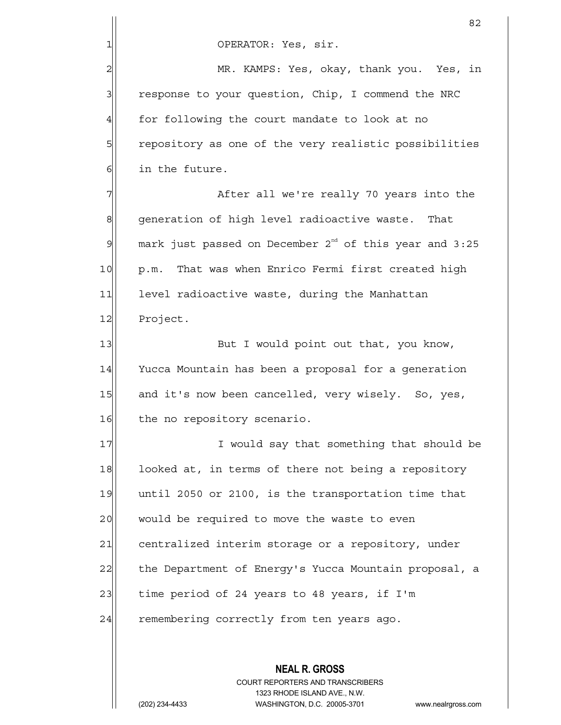2 MR. KAMPS: Yes, okay, thank you. Yes, in 3 response to your question, Chip, I commend the NRC  $4$  for following the court mandate to look at no 5 5 5 5 5 repository as one of the very realistic possibilities 6 6 in the future.

7 The Suiter all we're really 70 years into the 8 8 generation of high level radioactive waste. That  $9$  mark just passed on December 2<sup>nd</sup> of this year and 3:25 10 | p.m. That was when Enrico Fermi first created high 11 level radioactive waste, during the Manhattan 12 Project.

13 But I would point out that, you know, 14 Yucca Mountain has been a proposal for a generation 15 and it's now been cancelled, very wisely. So, yes, 16 the no repository scenario.

17 I would say that something that should be 18 looked at, in terms of there not being a repository 19 until 2050 or 2100, is the transportation time that 20 would be required to move the waste to even 21 centralized interim storage or a repository, under 22 the Department of Energy's Yucca Mountain proposal, a  $23$  time period of 24 years to 48 years, if I'm 24 remembering correctly from ten years ago.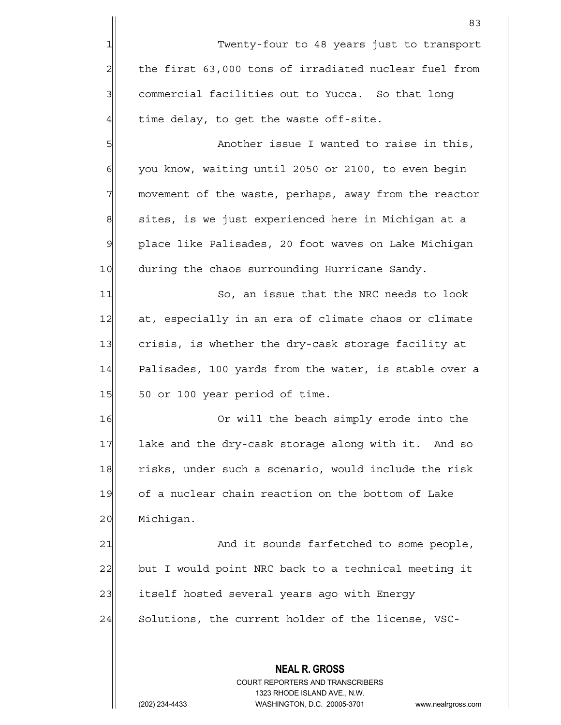**NEAL R. GROSS** COURT REPORTERS AND TRANSCRIBERS <u>83 and 2001 and 2002 and 2003 and 2003 and 2004 and 2004 and 2004 and 2004 and 2004 and 2004 and 2004 and 200</u> 1 Twenty-four to 48 years just to transport  $2$  the first 63,000 tons of irradiated nuclear fuel from 3 3 commercial facilities out to Yucca. So that long  $4$  time delay, to get the waste off-site. 5 S 6| you know, waiting until 2050 or 2100, to even begin 7 | movement of the waste, perhaps, away from the reactor 8 sites, is we just experienced here in Michigan at a 9 place like Palisades, 20 foot waves on Lake Michigan 10 during the chaos surrounding Hurricane Sandy. 11 So, an issue that the NRC needs to look 12 at, especially in an era of climate chaos or climate 13 crisis, is whether the dry-cask storage facility at 14 Palisades, 100 yards from the water, is stable over a 15 50 or 100 year period of time. 16 Or will the beach simply erode into the 17 lake and the dry-cask storage along with it. And so 18 risks, under such a scenario, would include the risk 19 of a nuclear chain reaction on the bottom of Lake 20 Michigan. 21 and it sounds farfetched to some people, 22 but I would point NRC back to a technical meeting it 23 itself hosted several years ago with Energy 24 Solutions, the current holder of the license, VSC-

1323 RHODE ISLAND AVE., N.W.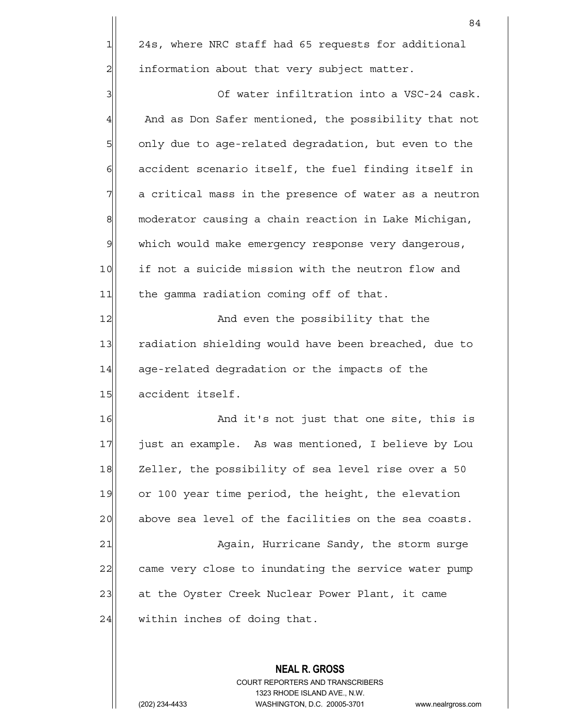84  $1 \vert 24s$ , where NRC staff had 65 requests for additional 2| information about that very subject matter. 3 3 3 Of water infiltration into a VSC-24 cask. 4 And as Don Safer mentioned, the possibility that not 5 5 5 5 only due to age-related degradation, but even to the  $6$  accident scenario itself, the fuel finding itself in  $7$  a critical mass in the presence of water as a neutron

8 moderator causing a chain reaction in Lake Michigan, 9 which would make emergency response very dangerous, 10 if not a suicide mission with the neutron flow and 11 the gamma radiation coming off of that.

12 and even the possibility that the 13 radiation shielding would have been breached, due to  $14$  age-related degradation or the impacts of the 15 accident itself.

16 And it's not just that one site, this is 17| just an example. As was mentioned, I believe by Lou 18 Zeller, the possibility of sea level rise over a 50 19 or 100 year time period, the height, the elevation 20 above sea level of the facilities on the sea coasts. 21 Again, Hurricane Sandy, the storm surge 22 came very close to inundating the service water pump

23 at the Oyster Creek Nuclear Power Plant, it came

 $24$  within inches of doing that.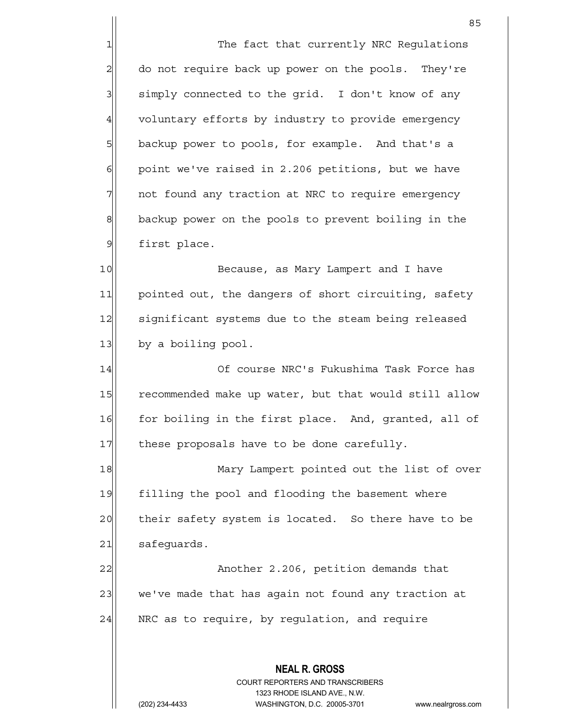1 The fact that currently NRC Regulations 2 do not require back up power on the pools. They're  $3$  simply connected to the grid. I don't know of any 4 voluntary efforts by industry to provide emergency 5 backup power to pools, for example. And that's a  $6$  point we've raised in 2.206 petitions, but we have 7 | not found any traction at NRC to require emergency 8 backup power on the pools to prevent boiling in the 9 first place.

10 Because, as Mary Lampert and I have 11 pointed out, the dangers of short circuiting, safety 12 significant systems due to the steam being released  $13$  by a boiling pool.

14 Of course NRC's Fukushima Task Force has 15 recommended make up water, but that would still allow 16 for boiling in the first place. And, granted, all of 17 these proposals have to be done carefully.

18 Mary Lampert pointed out the list of over 19 filling the pool and flooding the basement where 20 their safety system is located. So there have to be  $21$  safeguards.

22 | Another 2.206, petition demands that 23 we've made that has again not found any traction at  $24$  NRC as to require, by regulation, and require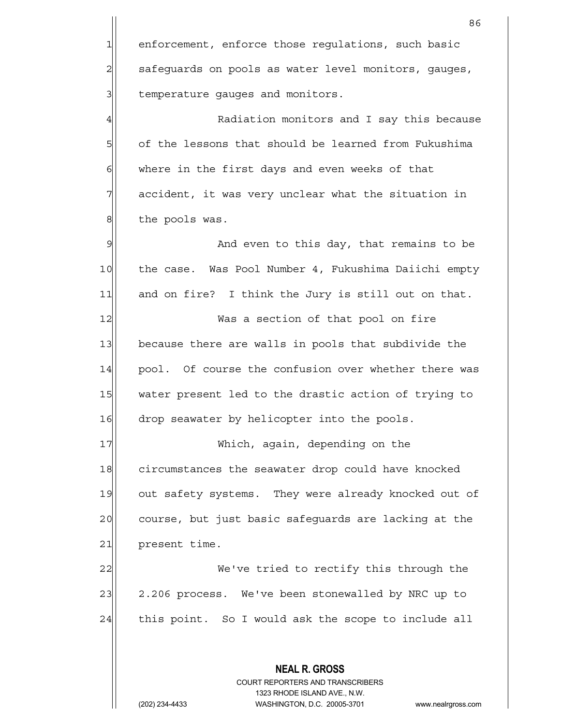1 enforcement, enforce those regulations, such basic 2 | safeguards on pools as water level monitors, gauges, 3 3 demperature gauges and monitors.

4 A Radiation monitors and I say this because 5 5 5 of the lessons that should be learned from Fukushima 6 where in the first days and even weeks of that  $7$  accident, it was very unclear what the situation in 8 the pools was.

9 and even to this day, that remains to be 10 the case. Was Pool Number 4, Fukushima Daiichi empty 11 and on fire? I think the Jury is still out on that.

12 Was a section of that pool on fire 13 because there are walls in pools that subdivide the 14 pool. Of course the confusion over whether there was 15 water present led to the drastic action of trying to 16 drop seawater by helicopter into the pools.

17 Which, again, depending on the 18 circumstances the seawater drop could have knocked 19 out safety systems. They were already knocked out of 20 course, but just basic safequards are lacking at the 21 present time.

22 We've tried to rectify this through the 23 2.206 process. We've been stonewalled by NRC up to  $24$  this point. So I would ask the scope to include all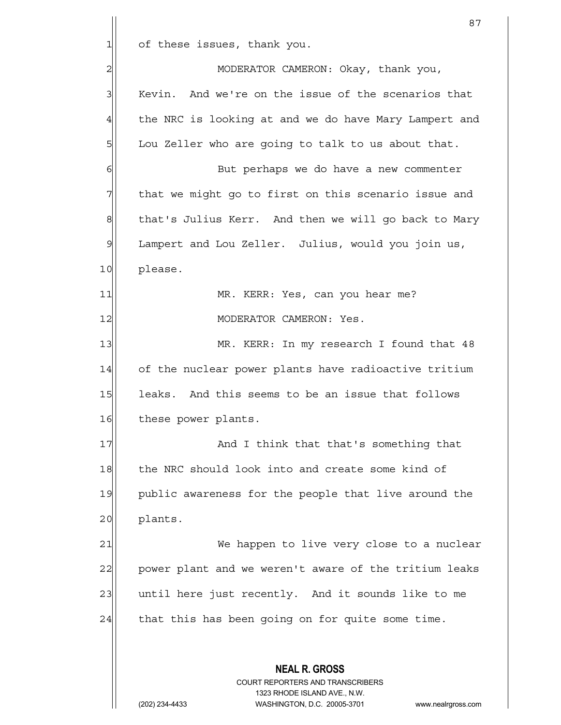$1$  of these issues, thank you.

 **NEAL R. GROSS** COURT REPORTERS AND TRANSCRIBERS 1323 RHODE ISLAND AVE., N.W. 2 MODERATOR CAMERON: Okay, thank you, 3 Kevin. And we're on the issue of the scenarios that 4 the NRC is looking at and we do have Mary Lampert and  $5$  Lou Zeller who are going to talk to us about that. 6 6 But perhaps we do have a new commenter  $7$  that we might go to first on this scenario issue and 8 that's Julius Kerr. And then we will go back to Mary 9| Lampert and Lou Zeller. Julius, would you join us, 10 please. 11|| MR. KERR: Yes, can you hear me? 12 MODERATOR CAMERON: Yes. 13 MR. KERR: In my research I found that 48 14 of the nuclear power plants have radioactive tritium 15 leaks. And this seems to be an issue that follows 16 these power plants. 17 and I think that that's something that 18 the NRC should look into and create some kind of 19 | public awareness for the people that live around the 20 plants. 21 We happen to live very close to a nuclear 22 power plant and we weren't aware of the tritium leaks 23 until here just recently. And it sounds like to me  $24$  that this has been going on for quite some time.

(202) 234-4433 WASHINGTON, D.C. 20005-3701 www.nealrgross.com

87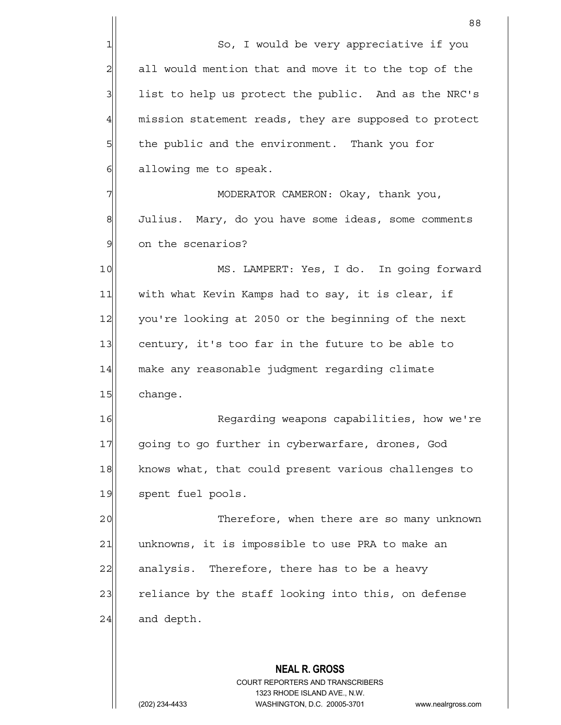|                | 88                                                                                                  |
|----------------|-----------------------------------------------------------------------------------------------------|
| $\mathbf{1}$   | So, I would be very appreciative if you                                                             |
| $\overline{c}$ | all would mention that and move it to the top of the                                                |
| 3              | list to help us protect the public. And as the NRC's                                                |
| $\overline{4}$ | mission statement reads, they are supposed to protect                                               |
| 5              | the public and the environment. Thank you for                                                       |
| $\epsilon$     | allowing me to speak.                                                                               |
| 7              | MODERATOR CAMERON: Okay, thank you,                                                                 |
| 8              | Julius. Mary, do you have some ideas, some comments                                                 |
| $\mathfrak{S}$ | on the scenarios?                                                                                   |
| 10             | MS. LAMPERT: Yes, I do. In going forward                                                            |
| 11             | with what Kevin Kamps had to say, it is clear, if                                                   |
| 12             | you're looking at 2050 or the beginning of the next                                                 |
| 13             | century, it's too far in the future to be able to                                                   |
| 14             | make any reasonable judgment regarding climate                                                      |
| 15             | change.                                                                                             |
| 16             | Regarding weapons capabilities, how we're                                                           |
| 17             | going to go further in cyberwarfare, drones, God                                                    |
| 18             | knows what, that could present various challenges to                                                |
| 19             | spent fuel pools.                                                                                   |
| 20             | Therefore, when there are so many unknown                                                           |
| 21             | unknowns, it is impossible to use PRA to make an                                                    |
| 22             | analysis. Therefore, there has to be a heavy                                                        |
| 23             | reliance by the staff looking into this, on defense                                                 |
| 24             | and depth.                                                                                          |
|                |                                                                                                     |
|                | <b>NEAL R. GROSS</b>                                                                                |
|                | COURT REPORTERS AND TRANSCRIBERS                                                                    |
|                | 1323 RHODE ISLAND AVE., N.W.<br>(202) 234-4433<br>WASHINGTON, D.C. 20005-3701<br>www.nealrgross.com |
|                |                                                                                                     |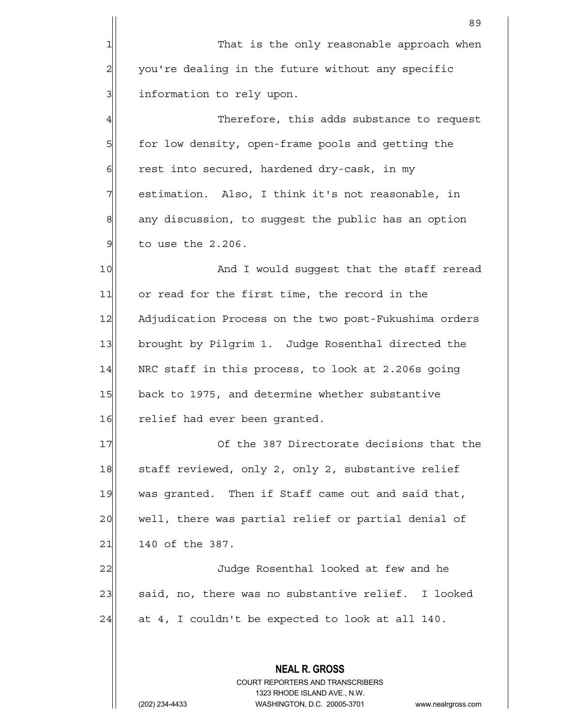**NEAL R. GROSS** COURT REPORTERS AND TRANSCRIBERS 1323 RHODE ISLAND AVE., N.W. en de la construction de la construction de la construction de la construction de la construction de la constr<br>1890 : le construction de la construction de la construction de la construction de la construction de la const 1 That is the only reasonable approach when 2 you're dealing in the future without any specific 3 3 information to rely upon. 4 Therefore, this adds substance to request 5 for low density, open-frame pools and getting the  $6$  rest into secured, hardened dry-cask, in my 7 | estimation. Also, I think it's not reasonable, in  $8$  any discussion, to suggest the public has an option  $9$  to use the 2.206. 10 And I would suggest that the staff reread 11 or read for the first time, the record in the 12 Adjudication Process on the two post-Fukushima orders 13 brought by Pilgrim 1. Judge Rosenthal directed the  $14$  NRC staff in this process, to look at 2.206s going 15 back to 1975, and determine whether substantive 16 relief had ever been granted. 17 Of the 387 Directorate decisions that the 18 staff reviewed, only 2, only 2, substantive relief 19 was granted. Then if Staff came out and said that, 20 well, there was partial relief or partial denial of 21 140 of the 387. 22 Judge Rosenthal looked at few and he 23 said, no, there was no substantive relief. I looked  $24$  at 4, I couldn't be expected to look at all 140.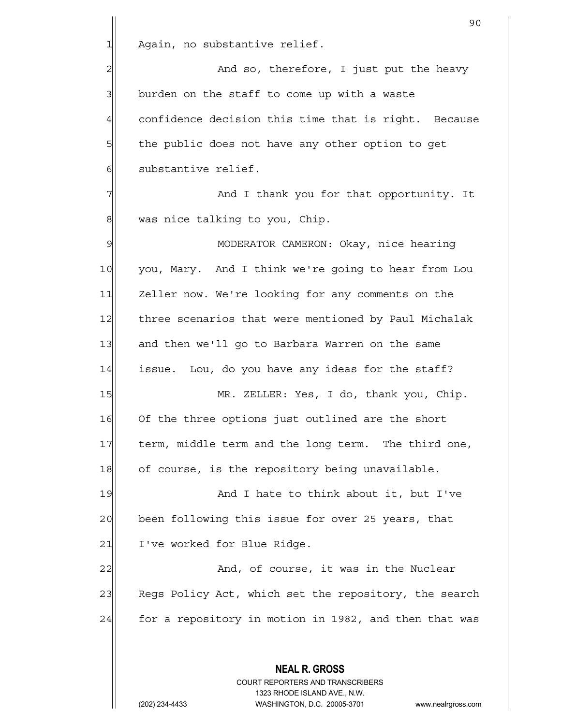**NEAL R. GROSS** COURT REPORTERS AND TRANSCRIBERS 90 1 Again, no substantive relief. 2 and so, therefore, I just put the heavy  $3$  burden on the staff to come up with a waste 4 confidence decision this time that is right. Because 5 5 5 5 the public does not have any other option to get 6 substantive relief. 7 And I thank you for that opportunity. It 8 was nice talking to you, Chip. 9 MODERATOR CAMERON: Okay, nice hearing 10 you, Mary. And I think we're going to hear from Lou 11 Zeller now. We're looking for any comments on the 12 three scenarios that were mentioned by Paul Michalak 13 and then we'll go to Barbara Warren on the same 14 issue. Lou, do you have any ideas for the staff? 15 MR. ZELLER: Yes, I do, thank you, Chip. 16 Of the three options just outlined are the short 17 term, middle term and the long term. The third one, 18 of course, is the repository being unavailable. 19 And I hate to think about it, but I've 20 been following this issue for over 25 years, that 21 I've worked for Blue Ridge. 22 and, of course, it was in the Nuclear 23 Regs Policy Act, which set the repository, the search  $24$  for a repository in motion in 1982, and then that was

1323 RHODE ISLAND AVE., N.W.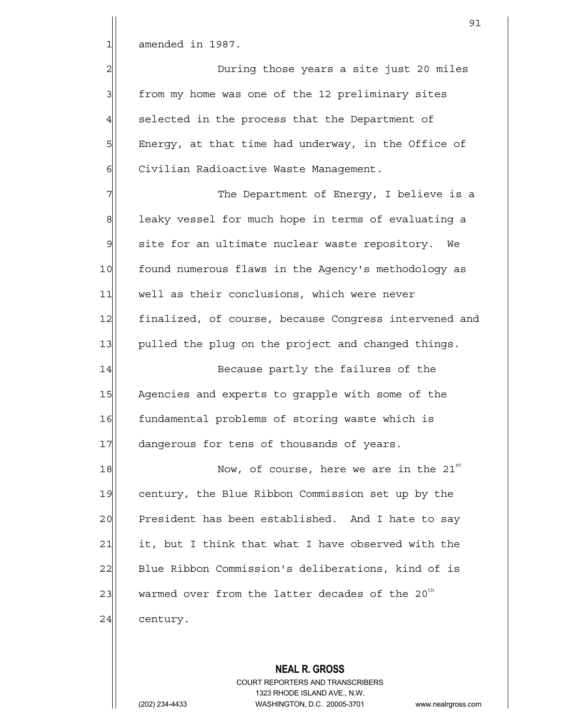$1$  amended in 1987.

2 During those years a site just 20 miles 3 from my home was one of the 12 preliminary sites  $4$  selected in the process that the Department of 5 | Energy, at that time had underway, in the Office of 6 | Civilian Radioactive Waste Management.

7 The Department of Energy, I believe is a 8 Bequeled in terms of evaluating a 9 | site for an ultimate nuclear waste repository. We 10 found numerous flaws in the Agency's methodology as 11 well as their conclusions, which were never 12 finalized, of course, because Congress intervened and 13 pulled the plug on the project and changed things.

14 Because partly the failures of the 15 Agencies and experts to grapple with some of the 16 fundamental problems of storing waste which is 17 dangerous for tens of thousands of years.

 $18$  Now, of course, here we are in the 21st 19 century, the Blue Ribbon Commission set up by the 20 President has been established. And I hate to say  $21$  it, but I think that what I have observed with the 22 Blue Ribbon Commission's deliberations, kind of is 23 $|$  warmed over from the latter decades of the 20<sup>th</sup> 24 century.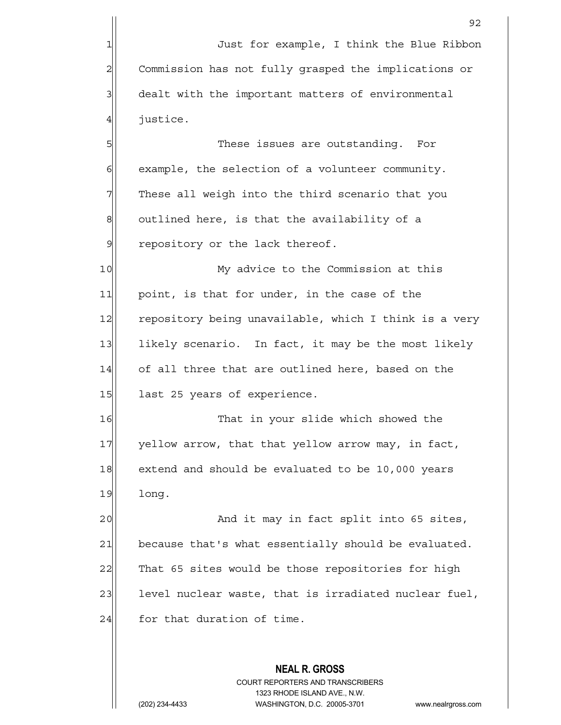1 Just for example, I think the Blue Ribbon 2 Commission has not fully grasped the implications or 3 3 dealt with the important matters of environmental 4 justice.

5 S  $6$  example, the selection of a volunteer community.  $7\vert$  These all weigh into the third scenario that you  $8$  outlined here, is that the availability of a  $9$  repository or the lack thereof.

10 My advice to the Commission at this 11 point, is that for under, in the case of the 12 repository being unavailable, which I think is a very 13 likely scenario. In fact, it may be the most likely 14 of all three that are outlined here, based on the 15 last 25 years of experience.

16 That in your slide which showed the 17 yellow arrow, that that yellow arrow may, in fact, 18 extend and should be evaluated to be 10,000 years 19 long.

20 and it may in fact split into 65 sites, 21 because that's what essentially should be evaluated. 22 That 65 sites would be those repositories for high 23 level nuclear waste, that is irradiated nuclear fuel,  $24$  for that duration of time.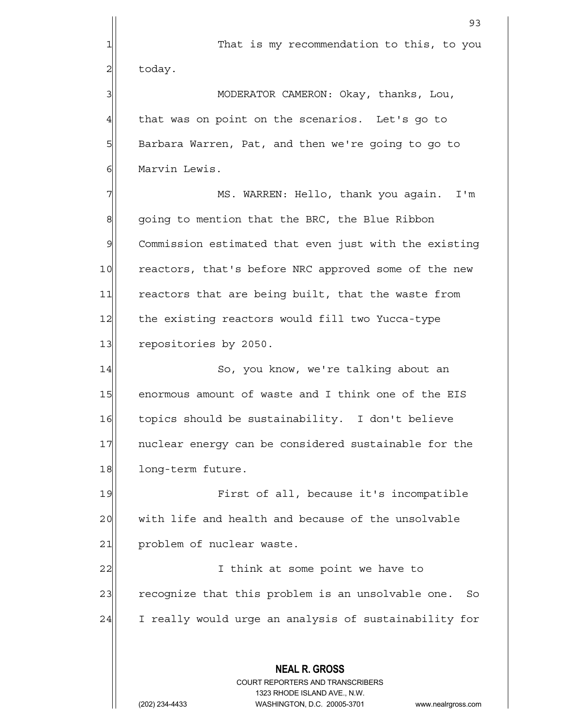1 1 That is my recommendation to this, to you

 $2$ | today.

3|| MODERATOR CAMERON: Okay, thanks, Lou,  $4$  that was on point on the scenarios. Let's go to 5 Barbara Warren, Pat, and then we're going to go to 6 Marvin Lewis.

7 MS. WARREN: Hello, thank you again. I'm  $8$  going to mention that the BRC, the Blue Ribbon 9 Commission estimated that even just with the existing 10 reactors, that's before NRC approved some of the new 11 reactors that are being built, that the waste from 12 the existing reactors would fill two Yucca-type 13 repositories by 2050.

14 | So, you know, we're talking about an 15 enormous amount of waste and I think one of the EIS 16 topics should be sustainability. I don't believe 17 17 nuclear energy can be considered sustainable for the 18 long-term future.

19 First of all, because it's incompatible 20 with life and health and because of the unsolvable 21 problem of nuclear waste.

22 | I think at some point we have to 23 recognize that this problem is an unsolvable one. So 24 I really would urge an analysis of sustainability for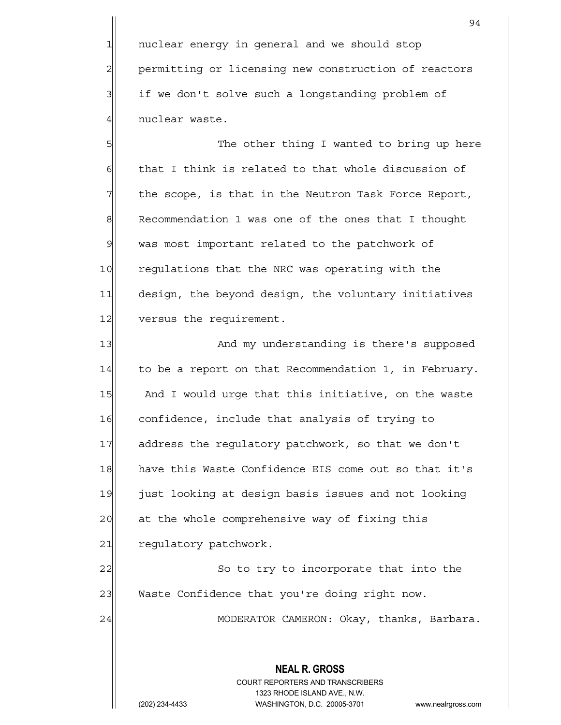1 nuclear energy in general and we should stop 2 permitting or licensing new construction of reactors 3 if we don't solve such a longstanding problem of 4 nuclear waste.

5 S| S| The other thing I wanted to bring up here  $6$  that I think is related to that whole discussion of  $7$  the scope, is that in the Neutron Task Force Report, 8 Recommendation 1 was one of the ones that I thought 9| was most important related to the patchwork of 10 regulations that the NRC was operating with the 11 design, the beyond design, the voluntary initiatives 12 versus the requirement.

13 || And my understanding is there's supposed 14 to be a report on that Recommendation 1, in February. 15 And I would urge that this initiative, on the waste 16 confidence, include that analysis of trying to 17 address the requlatory patchwork, so that we don't 18 have this Waste Confidence EIS come out so that it's 19 just looking at design basis issues and not looking 20 at the whole comprehensive way of fixing this 21 regulatory patchwork.

22 So to try to incorporate that into the 23 Waste Confidence that you're doing right now.

24 MODERATOR CAMERON: Okay, thanks, Barbara.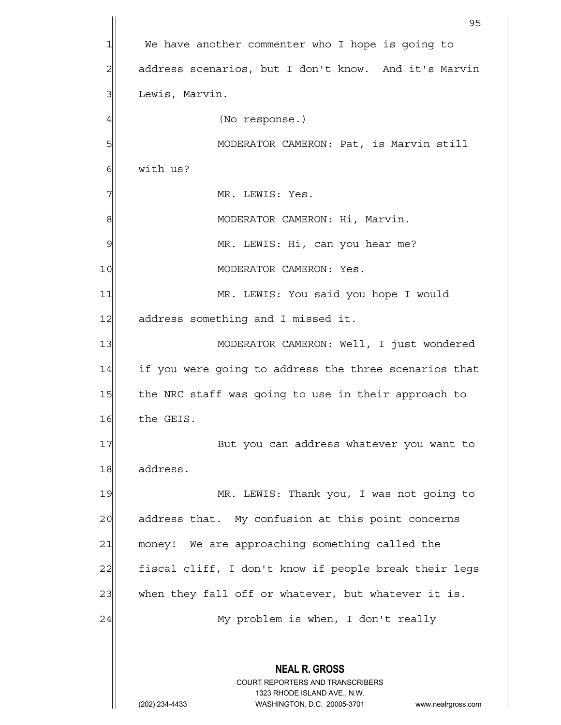**NEAL R. GROSS** COURT REPORTERS AND TRANSCRIBERS 1323 RHODE ISLAND AVE., N.W. (202) 234-4433 WASHINGTON, D.C. 20005-3701 www.nealrgross.com en de la construction de la construction de la construction de la construction de la construction de la constr<br>1950 : le construction de la construction de la construction de la construction de la construction de la const 1 We have another commenter who I hope is going to 2 | address scenarios, but I don't know. And it's Marvin 3 Lewis, Marvin. 4 (No response.) 5|| MODERATOR CAMERON: Pat, is Marvin still 6 6 with us? 7 | MR. LEWIS: Yes. 8|| MODERATOR CAMERON: Hi, Marvin. 9 | MR. LEWIS: Hi, can you hear me? 10 MODERATOR CAMERON: Yes. 11 MR. LEWIS: You said you hope I would 12 address something and I missed it. 13 || MODERATOR CAMERON: Well, I just wondered 14 if you were going to address the three scenarios that 15 the NRC staff was going to use in their approach to 16 the GEIS. 17 | But you can address whatever you want to 18 address. 19 MR. LEWIS: Thank you, I was not going to 20 address that. My confusion at this point concerns 21 money! We are approaching something called the 22 fiscal cliff, I don't know if people break their legs 23 when they fall off or whatever, but whatever it is. 24 My problem is when, I don't really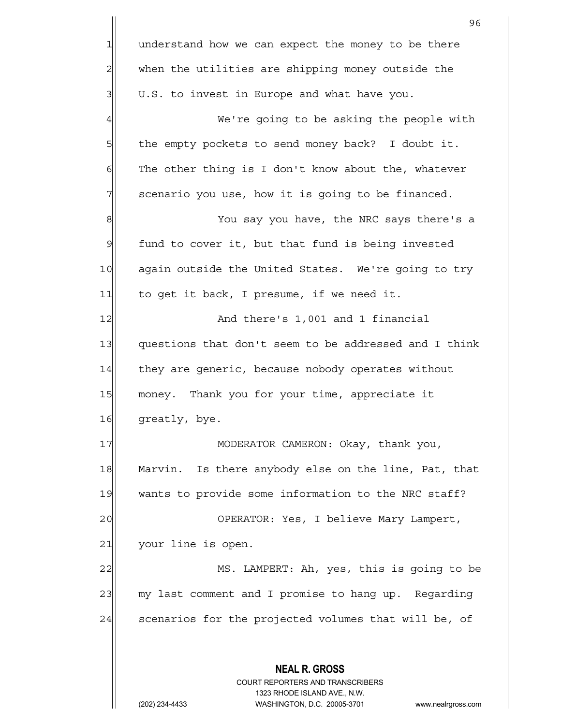**NEAL R. GROSS** COURT REPORTERS AND TRANSCRIBERS 1323 RHODE ISLAND AVE., N.W. (202) 234-4433 WASHINGTON, D.C. 20005-3701 www.nealrgross.com <u>96 - Paris Amerikaanse Staatsbeskip († 1858)</u>  $1$  understand how we can expect the money to be there 2 when the utilities are shipping money outside the  $3$  U.S. to invest in Europe and what have you. 4 We're going to be asking the people with  $5$  the empty pockets to send money back? I doubt it.  $6$  The other thing is I don't know about the, whatever  $7$  scenario you use, how it is going to be financed. 8 8 Meta The NRC says there's a  $9$  fund to cover it, but that fund is being invested 10 again outside the United States. We're going to try 11 to get it back, I presume, if we need it. 12 and there's 1,001 and 1 financial 13 questions that don't seem to be addressed and I think 14 they are generic, because nobody operates without 15 money. Thank you for your time, appreciate it 16 greatly, bye. 17 | MODERATOR CAMERON: Okay, thank you, 18 Marvin. Is there anybody else on the line, Pat, that 19 wants to provide some information to the NRC staff? 20 OPERATOR: Yes, I believe Mary Lampert, 21 your line is open. 22 MS. LAMPERT: Ah, yes, this is going to be 23 my last comment and I promise to hang up. Regarding 24 scenarios for the projected volumes that will be, of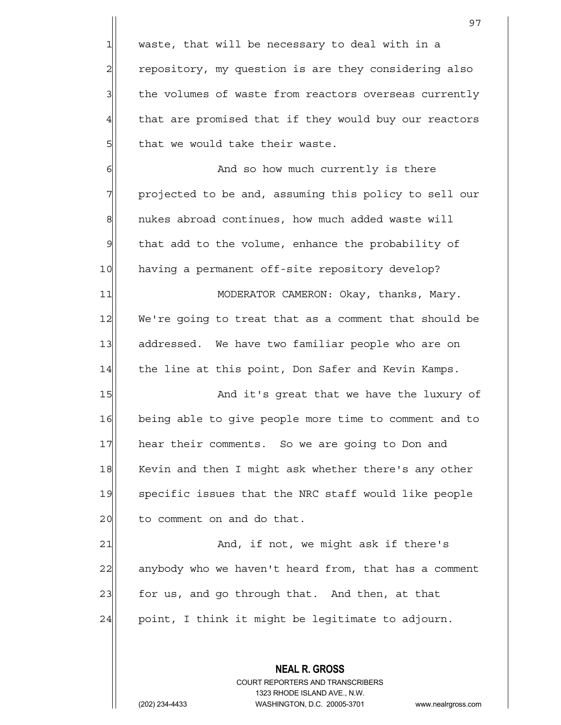$1$  waste, that will be necessary to deal with in a 2 repository, my question is are they considering also 3 | the volumes of waste from reactors overseas currently 4 that are promised that if they would buy our reactors  $5$  that we would take their waste.

6 6 And so how much currently is there  $7$  projected to be and, assuming this policy to sell our 8 mukes abroad continues, how much added waste will  $9$  that add to the volume, enhance the probability of 10 having a permanent off-site repository develop?

11| MODERATOR CAMERON: Okay, thanks, Mary. 12 We're going to treat that as a comment that should be 13 addressed. We have two familiar people who are on 14 the line at this point, Don Safer and Kevin Kamps.

15 And it's great that we have the luxury of 16 being able to give people more time to comment and to 17 hear their comments. So we are going to Don and 18 Kevin and then I might ask whether there's any other 19 specific issues that the NRC staff would like people 20 to comment on and do that.

21 and, if not, we might ask if there's 22 anybody who we haven't heard from, that has a comment 23 for us, and go through that. And then, at that  $24$  point, I think it might be legitimate to adjourn.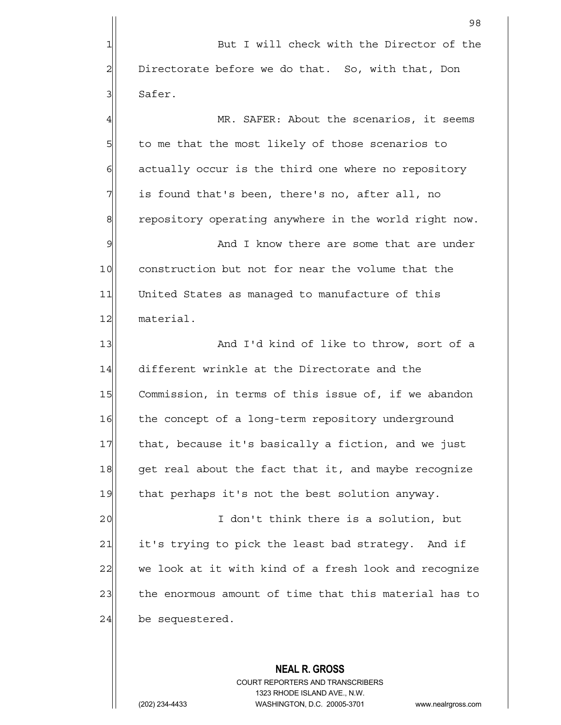**NEAL R. GROSS** 98 1 But I will check with the Director of the  $2$  Directorate before we do that. So, with that, Don 3 Safer. 4 MR. SAFER: About the scenarios, it seems 5 5 5 5 to me that the most likely of those scenarios to  $6$  actually occur is the third one where no repository  $7$  is found that's been, there's no, after all, no 8 repository operating anywhere in the world right now. 9 and I know there are some that are under 10 construction but not for near the volume that the 11 United States as managed to manufacture of this 12 material. 13 And I'd kind of like to throw, sort of a 14 different wrinkle at the Directorate and the 15 Commission, in terms of this issue of, if we abandon 16 the concept of a long-term repository underground 17 | that, because it's basically a fiction, and we just 18 get real about the fact that it, and maybe recognize 19 that perhaps it's not the best solution anyway. 20 I don't think there is a solution, but 21 it's trying to pick the least bad strategy. And if 22 we look at it with kind of a fresh look and recognize 23 the enormous amount of time that this material has to  $24$  be sequestered.

> COURT REPORTERS AND TRANSCRIBERS 1323 RHODE ISLAND AVE., N.W.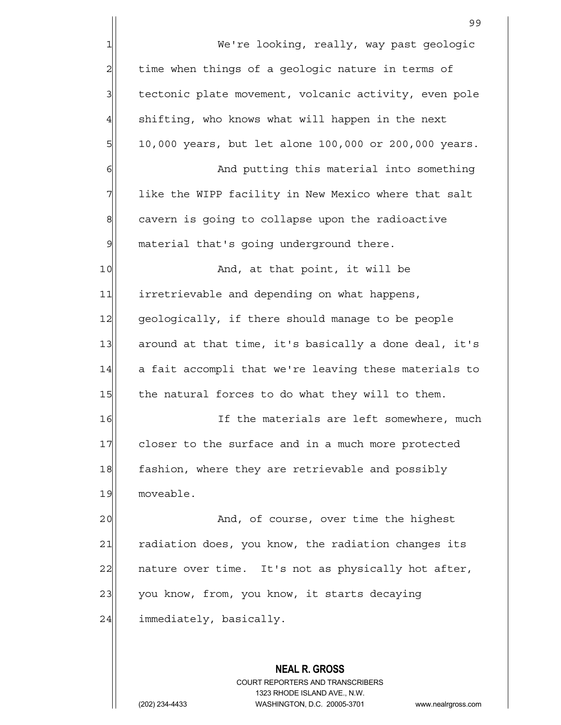|                | 99                                                    |
|----------------|-------------------------------------------------------|
| $\mathbf 1$    | We're looking, really, way past geologic              |
| $\overline{c}$ | time when things of a geologic nature in terms of     |
| 3              | tectonic plate movement, volcanic activity, even pole |
| $\overline{4}$ | shifting, who knows what will happen in the next      |
| 5              | 10,000 years, but let alone 100,000 or 200,000 years. |
| 6              | And putting this material into something              |
| 7              | like the WIPP facility in New Mexico where that salt  |
| $\mathbf 8$    | cavern is going to collapse upon the radioactive      |
| $\mathfrak{S}$ | material that's going underground there.              |
| 10             | And, at that point, it will be                        |
| 11             | irretrievable and depending on what happens,          |
| 12             | geologically, if there should manage to be people     |
| 13             | around at that time, it's basically a done deal, it's |
| 14             | a fait accompli that we're leaving these materials to |
| 15             | the natural forces to do what they will to them.      |
| 16             | If the materials are left somewhere, much             |
| 17             | closer to the surface and in a much more protected    |
| 18             | fashion, where they are retrievable and possibly      |
| 19             | moveable.                                             |
| 20             | And, of course, over time the highest                 |
| 21             | radiation does, you know, the radiation changes its   |
| 22             | nature over time. It's not as physically hot after,   |
| 23             | you know, from, you know, it starts decaying          |
| 24             | immediately, basically.                               |
|                |                                                       |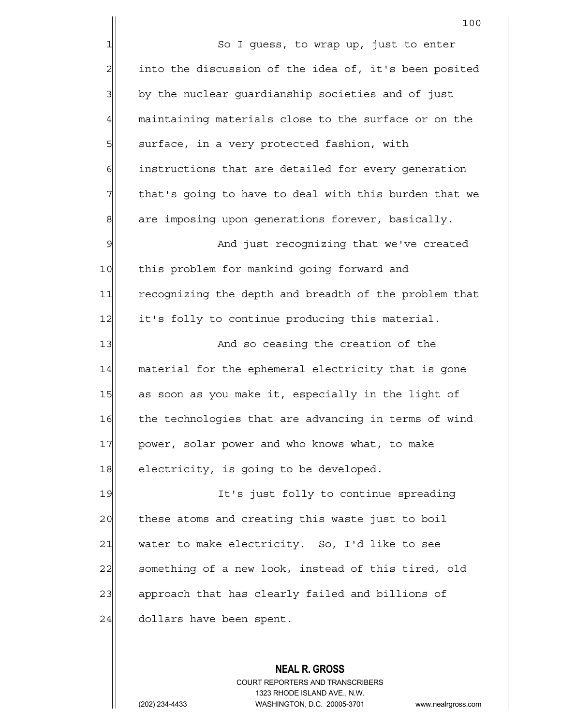100 1 So I guess, to wrap up, just to enter  $2$  into the discussion of the idea of, it's been posited 3| by the nuclear guardianship societies and of just 4 maintaining materials close to the surface or on the 5| surface, in a very protected fashion, with 6 6 instructions that are detailed for every generation  $7$  that's going to have to deal with this burden that we 8 are imposing upon generations forever, basically. 9 And just recognizing that we've created 10 this problem for mankind going forward and 11 recognizing the depth and breadth of the problem that 12 it's folly to continue producing this material. 13 and so ceasing the creation of the 14 material for the ephemeral electricity that is gone 15 as soon as you make it, especially in the light of 16 the technologies that are advancing in terms of wind 17 power, solar power and who knows what, to make 18 electricity, is going to be developed. 19 It's just folly to continue spreading 20 these atoms and creating this waste just to boil  $21$  water to make electricity. So, I'd like to see 22 something of a new look, instead of this tired, old 23 approach that has clearly failed and billions of  $24$  dollars have been spent.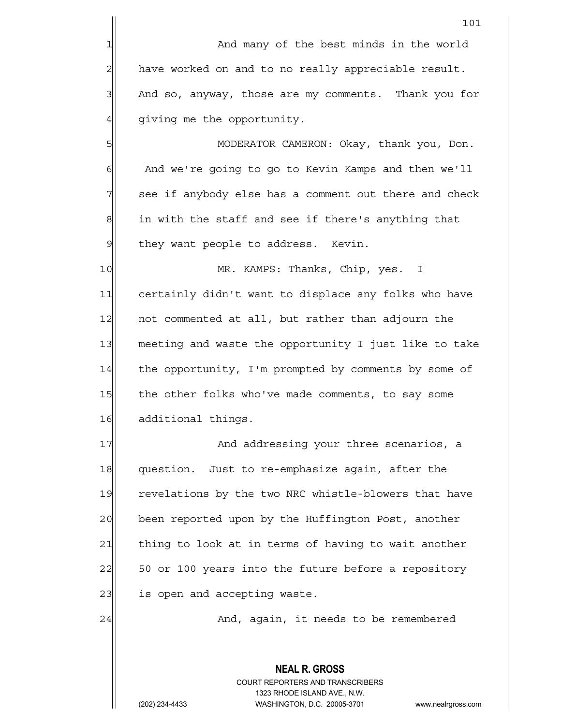101 1 and many of the best minds in the world 2 have worked on and to no really appreciable result.  $3$  And so, anyway, those are my comments. Thank you for 4 qiving me the opportunity. 5 MODERATOR CAMERON: Okay, thank you, Don. 6 And we're going to go to Kevin Kamps and then we'll  $7$  see if anybody else has a comment out there and check  $8$  in with the staff and see if there's anything that

 $9$  they want people to address. Kevin.

10 MR. KAMPS: Thanks, Chip, yes. I 11 certainly didn't want to displace any folks who have 12 not commented at all, but rather than adjourn the 13 meeting and waste the opportunity I just like to take 14 the opportunity, I'm prompted by comments by some of 15 the other folks who've made comments, to say some 16 additional things.

17 and addressing your three scenarios, a 18 question. Just to re-emphasize again, after the 19 revelations by the two NRC whistle-blowers that have 20 been reported upon by the Huffington Post, another 21 thing to look at in terms of having to wait another 22 50 or 100 years into the future before a repository 23| is open and accepting waste.

24 And, again, it needs to be remembered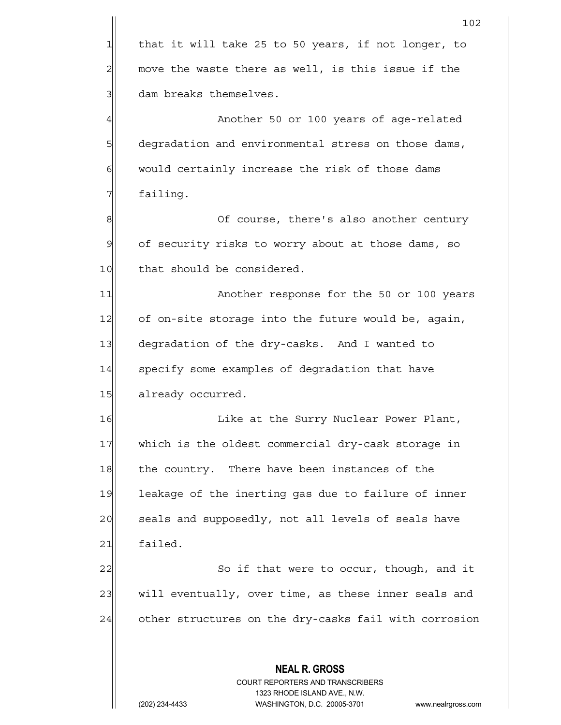|               | 102                                                                                                 |
|---------------|-----------------------------------------------------------------------------------------------------|
| $\mathbf{1}$  | that it will take 25 to 50 years, if not longer, to                                                 |
| 2             | move the waste there as well, is this issue if the                                                  |
| 3             | dam breaks themselves.                                                                              |
| 4             | Another 50 or 100 years of age-related                                                              |
| 5             | degradation and environmental stress on those dams,                                                 |
| 6             | would certainly increase the risk of those dams                                                     |
| 7             | failing.                                                                                            |
| 8             | Of course, there's also another century                                                             |
| $\mathcal{G}$ | of security risks to worry about at those dams, so                                                  |
| 10            | that should be considered.                                                                          |
| 11            | Another response for the 50 or 100 years                                                            |
| 12            | of on-site storage into the future would be, again,                                                 |
| 13            | degradation of the dry-casks. And I wanted to                                                       |
| 14            | specify some examples of degradation that have                                                      |
| 15            | already occurred.                                                                                   |
| 16            | Like at the Surry Nuclear Power Plant,                                                              |
| 17            | which is the oldest commercial dry-cask storage in                                                  |
| 18            | the country. There have been instances of the                                                       |
| 19            | leakage of the inerting gas due to failure of inner                                                 |
| 20            | seals and supposedly, not all levels of seals have                                                  |
| 21            | failed.                                                                                             |
| 22            | So if that were to occur, though, and it                                                            |
| 23            | will eventually, over time, as these inner seals and                                                |
| 24            | other structures on the dry-casks fail with corrosion                                               |
|               |                                                                                                     |
|               | <b>NEAL R. GROSS</b>                                                                                |
|               | COURT REPORTERS AND TRANSCRIBERS                                                                    |
|               | 1323 RHODE ISLAND AVE., N.W.<br>WASHINGTON, D.C. 20005-3701<br>(202) 234-4433<br>www.nealrgross.com |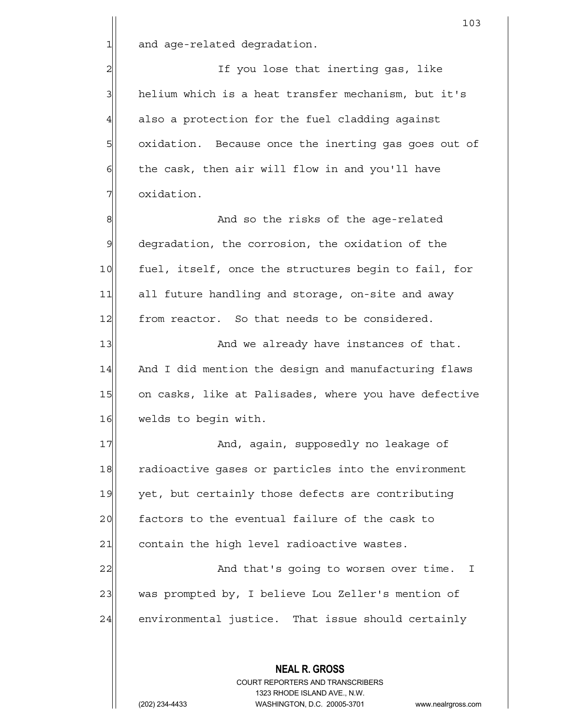1 and age-related degradation.

2| If you lose that inerting gas, like 3 helium which is a heat transfer mechanism, but it's  $4$  also a protection for the fuel cladding against 5 5 5 5 oxidation. Because once the inerting gas goes out of  $6$  the cask, then air will flow in and you'll have 7 | oxidation.

8 8 And so the risks of the age-related 9 degradation, the corrosion, the oxidation of the 10 fuel, itself, once the structures begin to fail, for 11| all future handling and storage, on-site and away 12 from reactor. So that needs to be considered.

13 and we already have instances of that. 14 And I did mention the design and manufacturing flaws 15 on casks, like at Palisades, where you have defective 16 welds to begin with.

17 and, again, supposedly no leakage of 18 radioactive gases or particles into the environment 19 yet, but certainly those defects are contributing 20 | factors to the eventual failure of the cask to 21 contain the high level radioactive wastes.

22 | Casa Constant And that's going to worsen over time. I 23 was prompted by, I believe Lou Zeller's mention of 24 environmental justice. That issue should certainly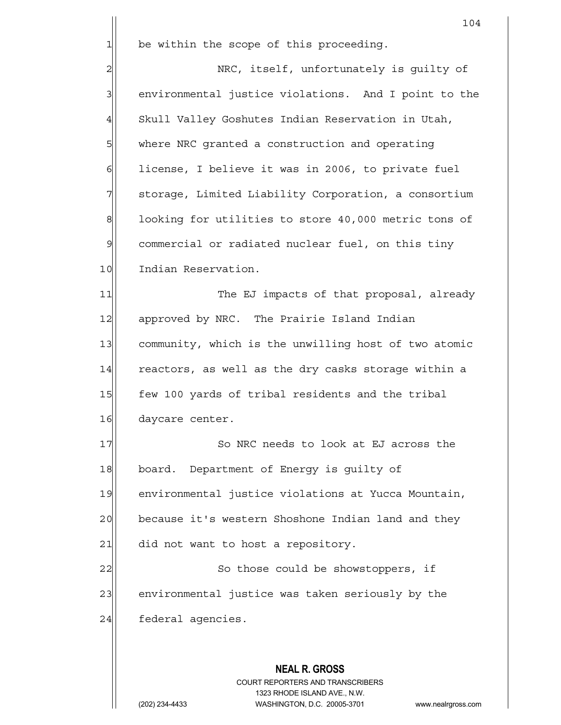**NEAL R. GROSS** 104  $1$  be within the scope of this proceeding. 2 NRC, itself, unfortunately is guilty of 3 3 environmental justice violations. And I point to the 4 Skull Valley Goshutes Indian Reservation in Utah, 5 SM where NRC granted a construction and operating  $6$  license, I believe it was in 2006, to private fuel 7 | storage, Limited Liability Corporation, a consortium 8 100king for utilities to store 40,000 metric tons of 9 commercial or radiated nuclear fuel, on this tiny 10 Indian Reservation. 11 The EJ impacts of that proposal, already 12 approved by NRC. The Prairie Island Indian 13 community, which is the unwilling host of two atomic  $14$  reactors, as well as the dry casks storage within a 15 few 100 yards of tribal residents and the tribal 16 daycare center. 17 So NRC needs to look at EJ across the 18 board. Department of Energy is guilty of 19 environmental justice violations at Yucca Mountain, 20 because it's western Shoshone Indian land and they  $21$  did not want to host a repository. 22 | So those could be showstoppers, if 23 environmental justice was taken seriously by the 24 federal agencies.

> COURT REPORTERS AND TRANSCRIBERS 1323 RHODE ISLAND AVE., N.W.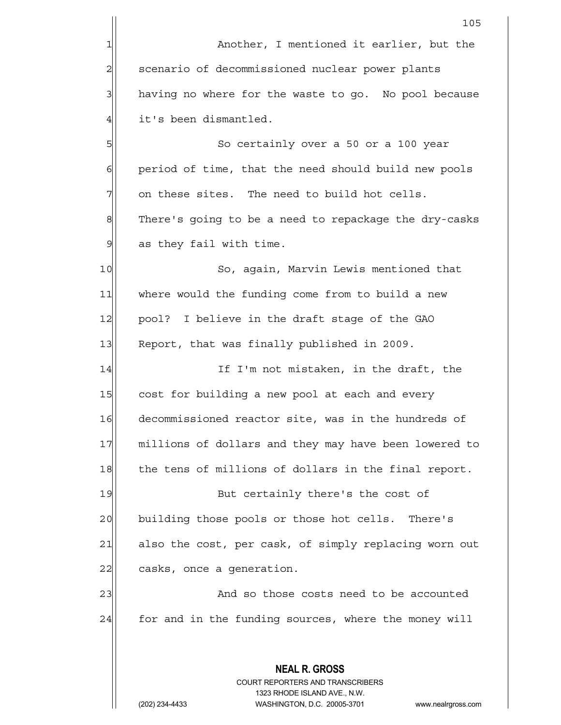**NEAL R. GROSS** COURT REPORTERS AND TRANSCRIBERS 1323 RHODE ISLAND AVE., N.W. 105 1 **Another, I mentioned it earlier, but the** 2 | scenario of decommissioned nuclear power plants 3 having no where for the waste to go. No pool because 4 | it's been dismantled. 5 So certainly over a 50 or a 100 year 6 6 period of time, that the need should build new pools  $7$  on these sites. The need to build hot cells. 8 There's going to be a need to repackage the dry-casks  $9$  as they fail with time. 10 So, again, Marvin Lewis mentioned that 11 where would the funding come from to build a new 12 | pool? I believe in the draft stage of the GAO 13 Report, that was finally published in 2009. 14 If I'm not mistaken, in the draft, the 15 cost for building a new pool at each and every 16 decommissioned reactor site, was in the hundreds of 17 millions of dollars and they may have been lowered to 18 the tens of millions of dollars in the final report. 19 But certainly there's the cost of 20 building those pools or those hot cells. There's 21 also the cost, per cask, of simply replacing worn out 22 casks, once a generation. 23 and so those costs need to be accounted  $24$  for and in the funding sources, where the money will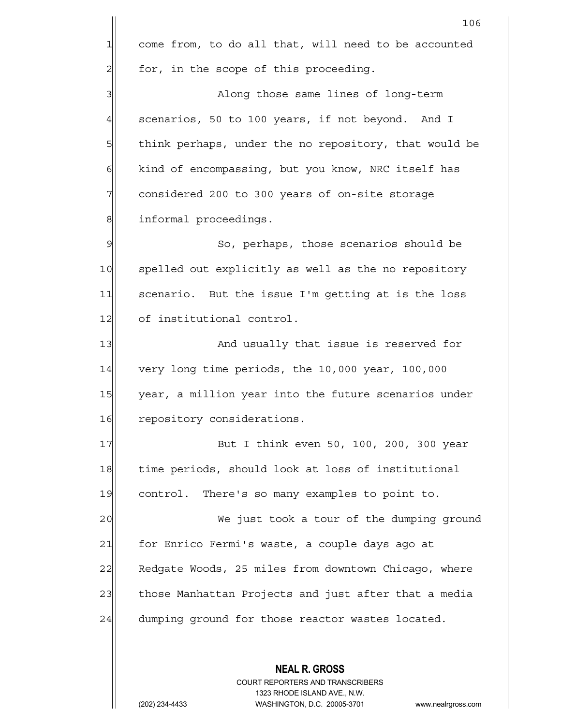**NEAL R. GROSS** COURT REPORTERS AND TRANSCRIBERS 106 1 come from, to do all that, will need to be accounted  $2$  for, in the scope of this proceeding. 3|| Along those same lines of long-term  $4$  scenarios, 50 to 100 years, if not beyond. And I 5 5 5 5 think perhaps, under the no repository, that would be  $6$  kind of encompassing, but you know, NRC itself has 7 7 considered 200 to 300 years of on-site storage 8 8 informal proceedings. 9 So, perhaps, those scenarios should be 10 spelled out explicitly as well as the no repository 11 scenario. But the issue I'm getting at is the loss 12 of institutional control. 13 And usually that issue is reserved for 14 very long time periods, the 10,000 year, 100,000 15 year, a million year into the future scenarios under 16 repository considerations. 17 But I think even 50, 100, 200, 300 year 18 time periods, should look at loss of institutional 19 control. There's so many examples to point to. 20 | We just took a tour of the dumping ground 21 for Enrico Fermi's waste, a couple days ago at 22 Redgate Woods, 25 miles from downtown Chicago, where 23 those Manhattan Projects and just after that a media 24 dumping ground for those reactor wastes located.

1323 RHODE ISLAND AVE., N.W.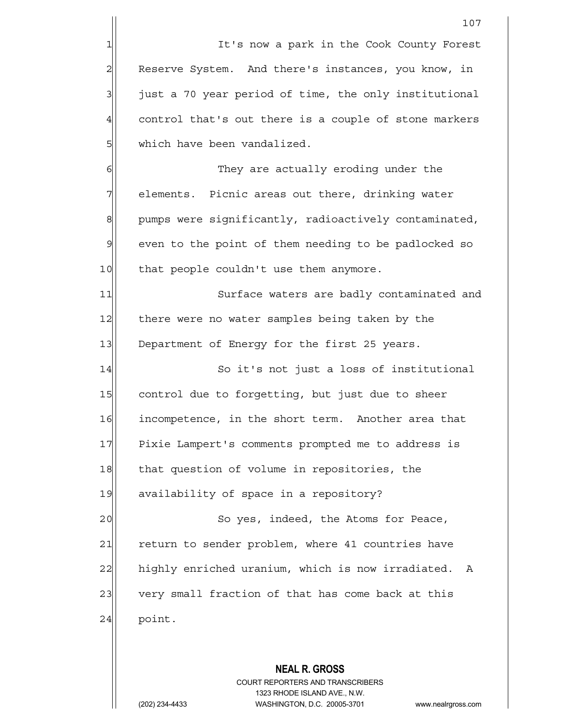1 II It's now a park in the Cook County Forest 2 Reserve System. And there's instances, you know, in  $3$  just a 70 year period of time, the only institutional 4 control that's out there is a couple of stone markers 5 | which have been vandalized.

6 || G|| They are actually eroding under the  $7$  elements. Picnic areas out there, drinking water  $8$  pumps were significantly, radioactively contaminated, 9 even to the point of them needing to be padlocked so 10 that people couldn't use them anymore.

11 Surface waters are badly contaminated and 12 there were no water samples being taken by the 13 Department of Energy for the first 25 years.

14 So it's not just a loss of institutional 15 control due to forgetting, but just due to sheer 16 incompetence, in the short term. Another area that 17 Pixie Lampert's comments prompted me to address is 18 that question of volume in repositories, the 19 availability of space in a repository?

20 | So yes, indeed, the Atoms for Peace, 21 return to sender problem, where 41 countries have 22 highly enriched uranium, which is now irradiated. A 23 very small fraction of that has come back at this  $24$  point.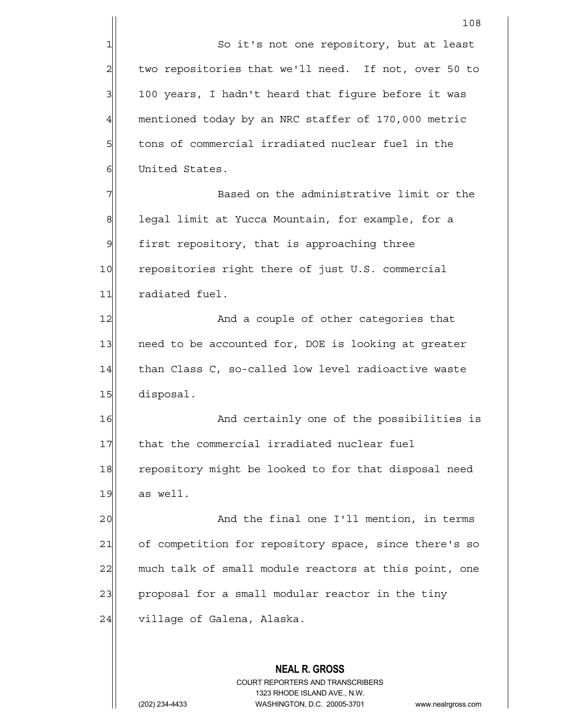1 So it's not one repository, but at least  $2$  two repositories that we'll need. If not, over 50 to  $3$  100 years, I hadn't heard that figure before it was 4 mentioned today by an NRC staffer of 170,000 metric  $5$  tons of commercial irradiated nuclear fuel in the 6 United States.

7 Rased on the administrative limit or the 7 8 | legal limit at Yucca Mountain, for example, for a 9 first repository, that is approaching three 10 repositories right there of just U.S. commercial 11 radiated fuel.

12 And a couple of other categories that 13 need to be accounted for, DOE is looking at greater 14 than Class C, so-called low level radioactive waste 15 disposal.

16 And certainly one of the possibilities is 17 that the commercial irradiated nuclear fuel 18 repository might be looked to for that disposal need  $19$  as well.

20 and the final one I'll mention, in terms 21 of competition for repository space, since there's so 22 much talk of small module reactors at this point, one 23 proposal for a small modular reactor in the tiny 24 village of Galena, Alaska.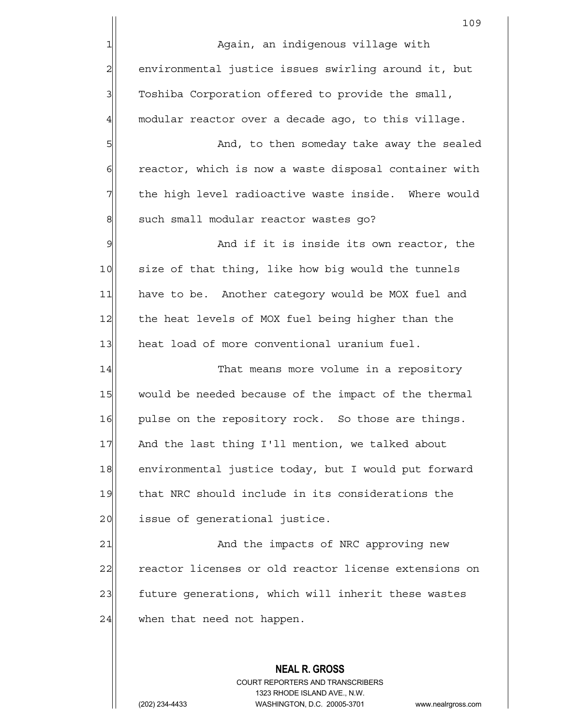109 1 Again, an indigenous village with 2 environmental justice issues swirling around it, but  $3$  Toshiba Corporation offered to provide the small,  $4$  modular reactor over a decade ago, to this village. 5 S 6 6 6 6 reactor, which is now a waste disposal container with  $7$  the high level radioactive waste inside. Where would 8 such small modular reactor wastes go? 9 and if it is inside its own reactor, the 10 size of that thing, like how big would the tunnels 11 have to be. Another category would be MOX fuel and 12 the heat levels of MOX fuel being higher than the 13 heat load of more conventional uranium fuel. 14 That means more volume in a repository 15 would be needed because of the impact of the thermal 16 pulse on the repository rock. So those are things. 17 And the last thing I'll mention, we talked about 18 environmental justice today, but I would put forward

19 that NRC should include in its considerations the 20 issue of generational justice.

21 and the impacts of NRC approving new 22 reactor licenses or old reactor license extensions on 23 future generations, which will inherit these wastes  $24$  when that need not happen.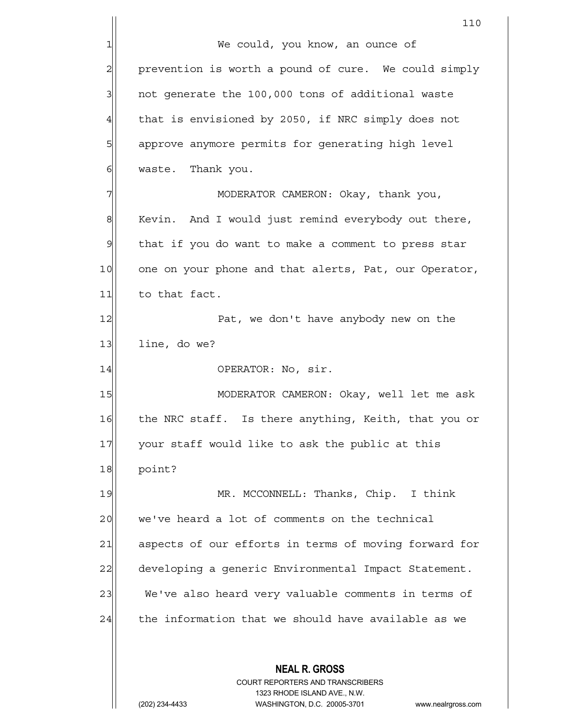**NEAL R. GROSS** COURT REPORTERS AND TRANSCRIBERS 1323 RHODE ISLAND AVE., N.W. 110 1| We could, you know, an ounce of 2 prevention is worth a pound of cure. We could simply  $3$  not generate the 100,000 tons of additional waste 4 that is envisioned by 2050, if NRC simply does not 5 5 5 5 approve anymore permits for generating high level 6 | waste. Thank you. 7| MODERATOR CAMERON: Okay, thank you,  $8$  Kevin. And I would just remind everybody out there,  $9$  that if you do want to make a comment to press star 10 one on your phone and that alerts, Pat, our Operator, 11 to that fact. 12 Pat, we don't have anybody new on the  $13$  line, do we? 14 OPERATOR: No, sir. 15 | MODERATOR CAMERON: Okay, well let me ask 16 the NRC staff. Is there anything, Keith, that you or 17 your staff would like to ask the public at this 18 point? 19 MR. MCCONNELL: Thanks, Chip. I think 20 we've heard a lot of comments on the technical 21 aspects of our efforts in terms of moving forward for 22 developing a generic Environmental Impact Statement. 23 We've also heard very valuable comments in terms of  $24$  the information that we should have available as we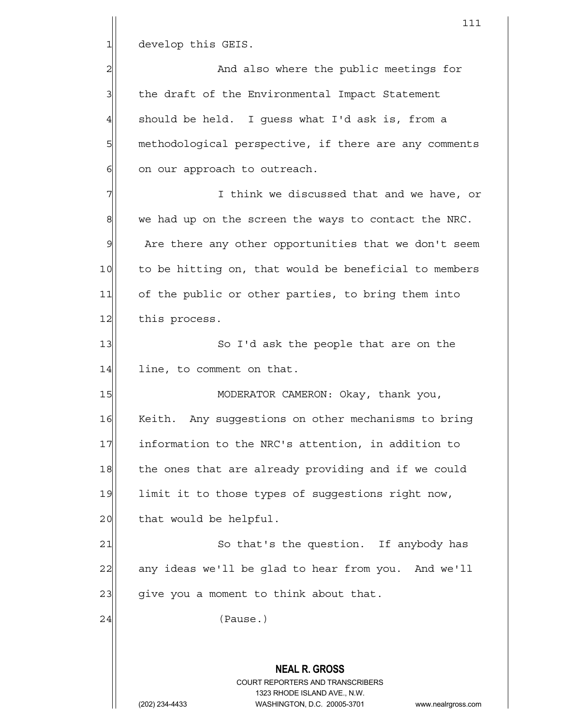1 develop this GEIS.

2 and also where the public meetings for 3 3 | the draft of the Environmental Impact Statement  $4$  should be held. I quess what I'd ask is, from a 5 methodological perspective, if there are any comments 6 on our approach to outreach.

 $7$   $\vert$   $\vert$   $\vert$   $\vert$   $\vert$   $\vert$  think we discussed that and we have, or  $8$  we had up on the screen the ways to contact the NRC. 9 Are there any other opportunities that we don't seem 10 to be hitting on, that would be beneficial to members 11 of the public or other parties, to bring them into 12 this process.

13 So I'd ask the people that are on the 14 line, to comment on that.

15 | MODERATOR CAMERON: Okay, thank you, 16 Keith. Any suggestions on other mechanisms to bring 17 | information to the NRC's attention, in addition to 18 the ones that are already providing and if we could 19 limit it to those types of suggestions right now, 20 | that would be helpful.

21 So that's the question. If anybody has 22 any ideas we'll be glad to hear from you. And we'll  $23$  give you a moment to think about that.

24 (Pause.)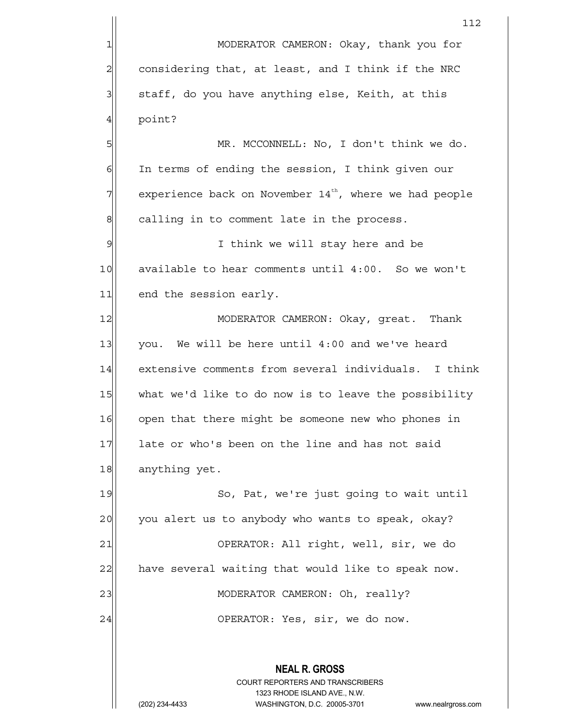**NEAL R. GROSS** COURT REPORTERS AND TRANSCRIBERS 1323 RHODE ISLAND AVE., N.W. 112 1 MODERATOR CAMERON: Okay, thank you for  $2$  considering that, at least, and I think if the NRC  $3$  staff, do you have anything else, Keith, at this 4 point? 5 MR. MCCONNELL: No, I don't think we do.  $6$  In terms of ending the session, I think given our  $7$  experience back on November 14th, where we had people  $8$  calling in to comment late in the process. 9 | I think we will stay here and be 10 available to hear comments until 4:00. So we won't 11 end the session early. 12 MODERATOR CAMERON: Okay, great. Thank 13 $|$  you. We will be here until 4:00 and we've heard 14 extensive comments from several individuals. I think 15 what we'd like to do now is to leave the possibility 16 open that there might be someone new who phones in 17 late or who's been on the line and has not said 18 anything yet. 19 So, Pat, we're just going to wait until 20 you alert us to anybody who wants to speak, okay? 21 | OPERATOR: All right, well, sir, we do 22 have several waiting that would like to speak now. 23 | MODERATOR CAMERON: Oh, really? 24 | CPERATOR: Yes, sir, we do now.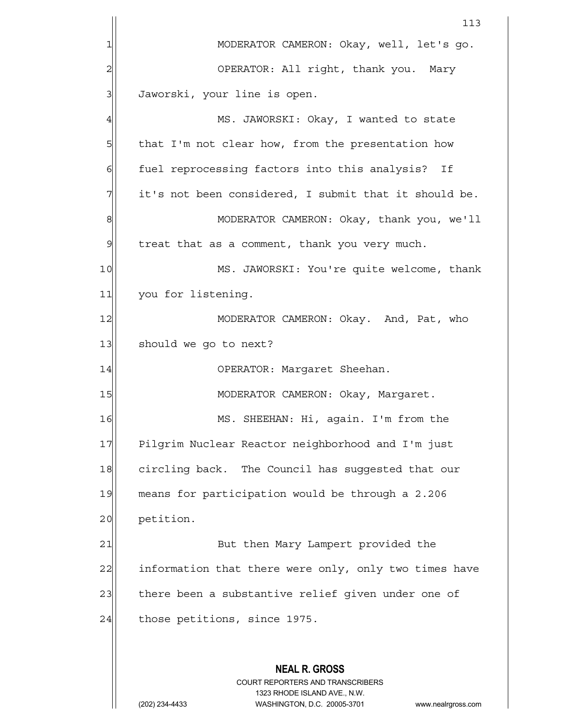| 113                                                            |  |  |  |  |  |  |
|----------------------------------------------------------------|--|--|--|--|--|--|
| MODERATOR CAMERON: Okay, well, let's go.                       |  |  |  |  |  |  |
| OPERATOR: All right, thank you. Mary                           |  |  |  |  |  |  |
| Jaworski, your line is open.                                   |  |  |  |  |  |  |
| MS. JAWORSKI: Okay, I wanted to state                          |  |  |  |  |  |  |
| that I'm not clear how, from the presentation how              |  |  |  |  |  |  |
| fuel reprocessing factors into this analysis? If               |  |  |  |  |  |  |
| it's not been considered, I submit that it should be.          |  |  |  |  |  |  |
| MODERATOR CAMERON: Okay, thank you, we'll                      |  |  |  |  |  |  |
| $\mathcal{Q}$<br>treat that as a comment, thank you very much. |  |  |  |  |  |  |
| 10<br>MS. JAWORSKI: You're quite welcome, thank                |  |  |  |  |  |  |
| 11<br>you for listening.                                       |  |  |  |  |  |  |
| 12<br>MODERATOR CAMERON: Okay. And, Pat, who                   |  |  |  |  |  |  |
| 13<br>should we go to next?                                    |  |  |  |  |  |  |
|                                                                |  |  |  |  |  |  |
|                                                                |  |  |  |  |  |  |
| MS. SHEEHAN: Hi, again. I'm from the                           |  |  |  |  |  |  |
| Pilgrim Nuclear Reactor neighborhood and I'm just              |  |  |  |  |  |  |
| circling back. The Council has suggested that our              |  |  |  |  |  |  |
| means for participation would be through a 2.206<br>19         |  |  |  |  |  |  |
| petition.<br>20                                                |  |  |  |  |  |  |
|                                                                |  |  |  |  |  |  |
| information that there were only, only two times have          |  |  |  |  |  |  |
| there been a substantive relief given under one of             |  |  |  |  |  |  |
|                                                                |  |  |  |  |  |  |
|                                                                |  |  |  |  |  |  |
|                                                                |  |  |  |  |  |  |
|                                                                |  |  |  |  |  |  |
| www.nealrgross.com                                             |  |  |  |  |  |  |
|                                                                |  |  |  |  |  |  |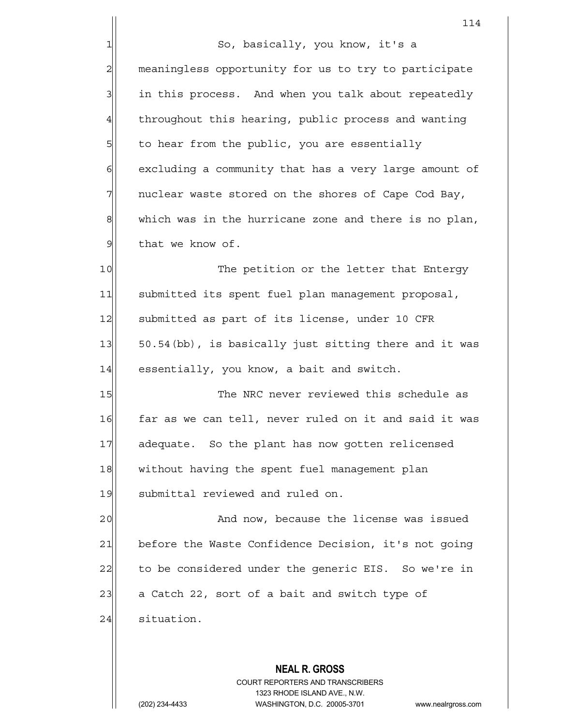114 1 So, basically, you know, it's a 2 meaningless opportunity for us to try to participate 3 in this process. And when you talk about repeatedly 4 throughout this hearing, public process and wanting 5 5 5 5 5 5 to hear from the public, you are essentially 6 6 6 6 excluding a community that has a very large amount of  $7$  nuclear waste stored on the shores of Cape Cod Bay, 8 which was in the hurricane zone and there is no plan, 9 | that we know of. 10 The petition or the letter that Entergy 11 | submitted its spent fuel plan management proposal, 12 Submitted as part of its license, under 10 CFR 13 50.54 (bb), is basically just sitting there and it was 14 essentially, you know, a bait and switch. 15 The NRC never reviewed this schedule as 16 far as we can tell, never ruled on it and said it was 17 adequate. So the plant has now gotten relicensed 18 without having the spent fuel management plan

19 submittal reviewed and ruled on.

20 and now, because the license was issued 21 before the Waste Confidence Decision, it's not going 22 to be considered under the generic EIS. So we're in  $23$  a Catch 22, sort of a bait and switch type of 24 situation.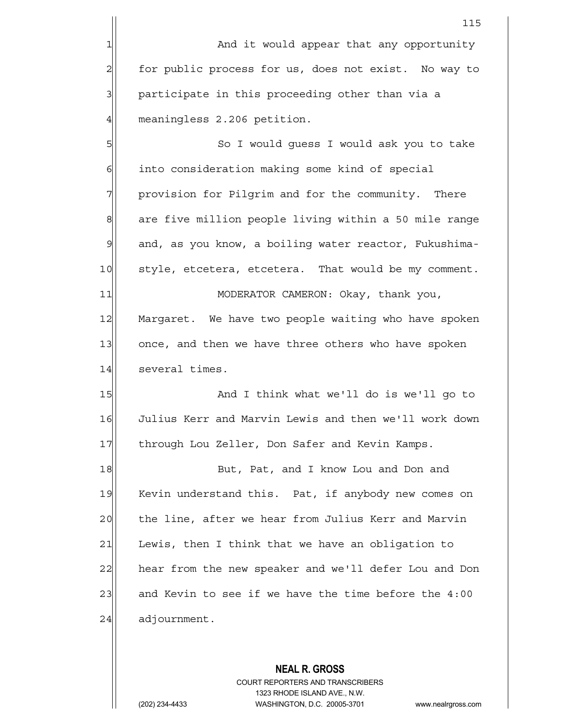5 So I would guess I would ask you to take  $6$  into consideration making some kind of special 7 | provision for Pilgrim and for the community. There 8 are five million people living within a 50 mile range 9 and, as you know, a boiling water reactor, Fukushima-10 style, etcetera, etcetera. That would be my comment. 11 MODERATOR CAMERON: Okay, thank you, 12 Margaret. We have two people waiting who have spoken 13 once, and then we have three others who have spoken 14 several times.

15 And I think what we'll do is we'll go to 16 Julius Kerr and Marvin Lewis and then we'll work down 17 through Lou Zeller, Don Safer and Kevin Kamps.

18 But, Pat, and I know Lou and Don and 19 Kevin understand this. Pat, if anybody new comes on 20 the line, after we hear from Julius Kerr and Marvin  $21$  Lewis, then I think that we have an obligation to 22 hear from the new speaker and we'll defer Lou and Don 23 and Kevin to see if we have the time before the  $4:00$  $24$  adjournment.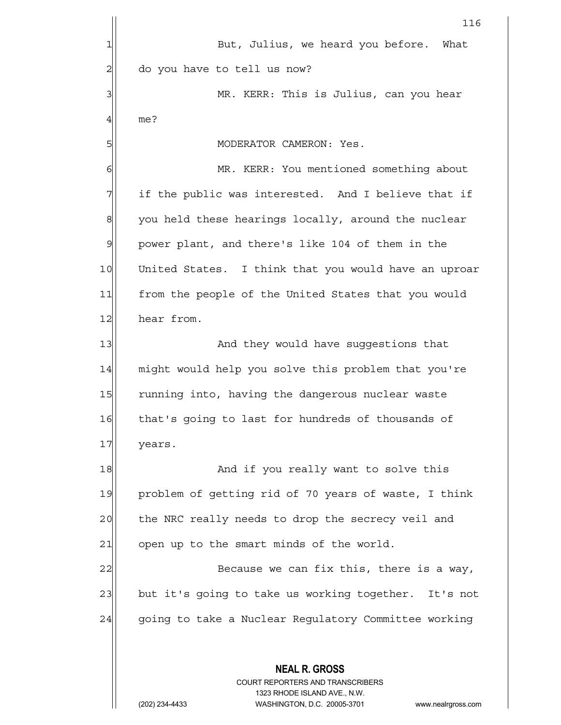**NEAL R. GROSS** COURT REPORTERS AND TRANSCRIBERS 1323 RHODE ISLAND AVE., N.W. 116 1 But, Julius, we heard you before. What 2 do you have to tell us now? 3 MR. KERR: This is Julius, can you hear 4 me? 5 | MODERATOR CAMERON: Yes. 6 MR. KERR: You mentioned something about  $7$  if the public was interested. And I believe that if  $8$  you held these hearings locally, around the nuclear  $9$  power plant, and there's like 104 of them in the 10 United States. I think that you would have an uproar 11 from the people of the United States that you would 12 hear from. 13 and they would have suggestions that 14 might would help you solve this problem that you're 15 running into, having the dangerous nuclear waste 16 that's going to last for hundreds of thousands of 17 years. 18 and if you really want to solve this 19 problem of getting rid of 70 years of waste, I think 20 the NRC really needs to drop the secrecy veil and  $21$  open up to the smart minds of the world. 22 Because we can fix this, there is a way, 23 but it's going to take us working together. It's not 24 going to take a Nuclear Regulatory Committee working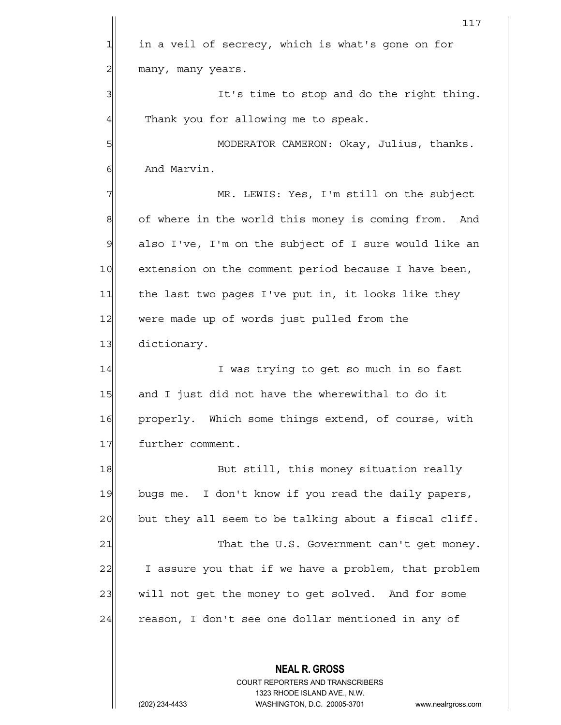**NEAL R. GROSS** COURT REPORTERS AND TRANSCRIBERS 117  $1$  in a veil of secrecy, which is what's gone on for 2| many, many years. 3 It's time to stop and do the right thing. 4 Thank you for allowing me to speak. 5|| MODERATOR CAMERON: Okay, Julius, thanks. 6 Block And Marvin. 7 MR. LEWIS: Yes, I'm still on the subject 8 of where in the world this money is coming from. And 9| also I've, I'm on the subject of I sure would like an 10 extension on the comment period because I have been, 11 the last two pages I've put in, it looks like they 12 were made up of words just pulled from the 13 dictionary. 14 I was trying to get so much in so fast 15 and I just did not have the wherewithal to do it 16 properly. Which some things extend, of course, with 17 further comment. 18 But still, this money situation really 19 bugs me. I don't know if you read the daily papers,  $20$  but they all seem to be talking about a fiscal cliff. 21 That the U.S. Government can't get money. 22 I assure you that if we have a problem, that problem 23 will not get the money to get solved. And for some 24 reason, I don't see one dollar mentioned in any of

1323 RHODE ISLAND AVE., N.W.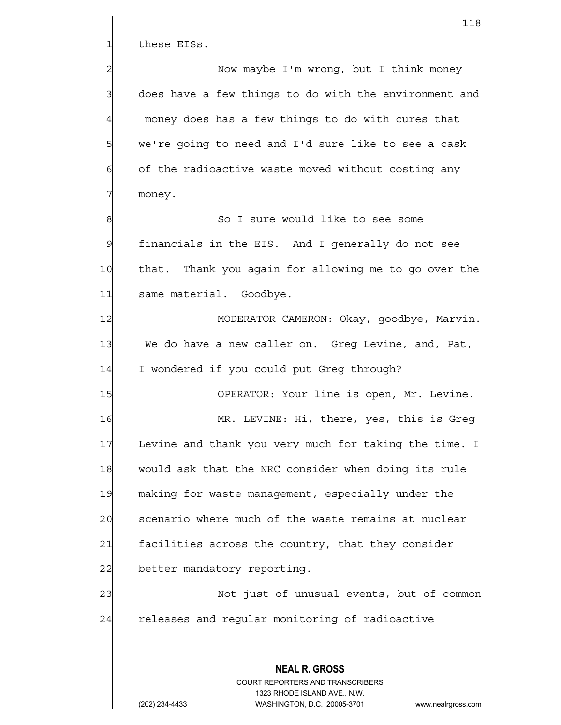1 these EISs.

2 2 Now maybe I'm wrong, but I think money  $3$  does have a few things to do with the environment and  $4$  money does has a few things to do with cures that 5 we're going to need and I'd sure like to see a cask  $6$  of the radioactive waste moved without costing any 7| money.

8 8 8 So I sure would like to see some  $9$  financials in the EIS. And I generally do not see 10 that. Thank you again for allowing me to go over the 11 same material. Goodbye.

12 MODERATOR CAMERON: Okay, goodbye, Marvin. 13 We do have a new caller on. Greg Levine, and, Pat, 14 I wondered if you could put Greg through?

15 | OPERATOR: Your line is open, Mr. Levine.

16 MR. LEVINE: Hi, there, yes, this is Greq 17 Levine and thank you very much for taking the time. I 18 would ask that the NRC consider when doing its rule 19 making for waste management, especially under the 20 scenario where much of the waste remains at nuclear 21 [21] facilities across the country, that they consider 22 better mandatory reporting.

23 | Not just of unusual events, but of common 24 releases and regular monitoring of radioactive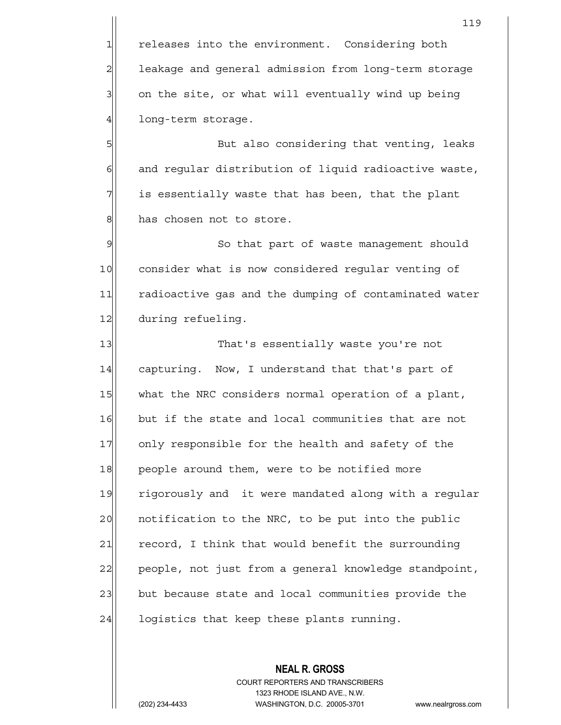1 releases into the environment. Considering both 2 leakage and general admission from long-term storage  $3$  cn the site, or what will eventually wind up being 4 long-term storage.

5| But also considering that venting, leaks 6 6 6 6 and regular distribution of liquid radioactive waste,  $7$  is essentially waste that has been, that the plant 8 has chosen not to store.

9 So that part of waste management should 10 consider what is now considered regular venting of 11 radioactive gas and the dumping of contaminated water 12 during refueling.

13 That's essentially waste you're not 14 capturing. Now, I understand that that's part of 15 what the NRC considers normal operation of a plant, 16 but if the state and local communities that are not 17 only responsible for the health and safety of the 18 people around them, were to be notified more 19 rigorously and it were mandated along with a regular 20 | notification to the NRC, to be put into the public  $21$  record, I think that would benefit the surrounding 22 people, not just from a general knowledge standpoint, 23 but because state and local communities provide the  $24$  logistics that keep these plants running.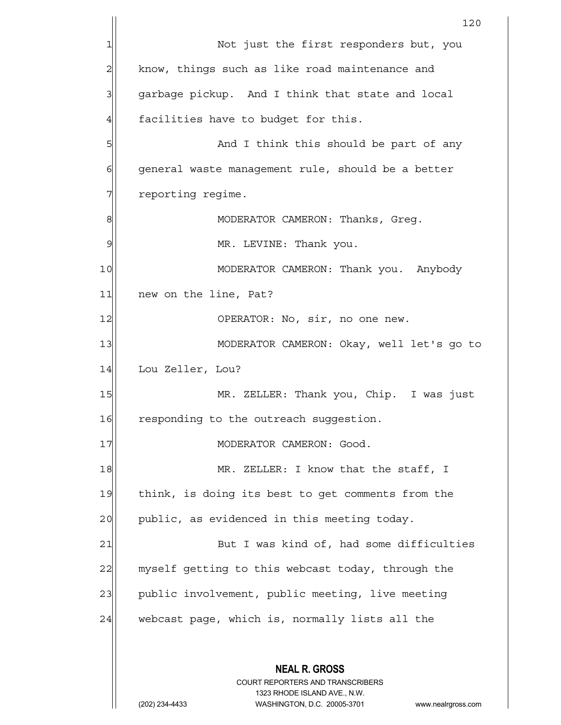|                | 120                                                                                                                                                             |  |  |  |  |  |  |
|----------------|-----------------------------------------------------------------------------------------------------------------------------------------------------------------|--|--|--|--|--|--|
|                | Not just the first responders but, you                                                                                                                          |  |  |  |  |  |  |
| $\overline{2}$ | know, things such as like road maintenance and                                                                                                                  |  |  |  |  |  |  |
| 3              | garbage pickup. And I think that state and local                                                                                                                |  |  |  |  |  |  |
| 4              | facilities have to budget for this.                                                                                                                             |  |  |  |  |  |  |
| 5              | And I think this should be part of any                                                                                                                          |  |  |  |  |  |  |
| 6              | general waste management rule, should be a better                                                                                                               |  |  |  |  |  |  |
| 7              | reporting regime.                                                                                                                                               |  |  |  |  |  |  |
| 8              | MODERATOR CAMERON: Thanks, Greg.                                                                                                                                |  |  |  |  |  |  |
| 9              | MR. LEVINE: Thank you.                                                                                                                                          |  |  |  |  |  |  |
| 10             | MODERATOR CAMERON: Thank you. Anybody                                                                                                                           |  |  |  |  |  |  |
| 11             | new on the line, Pat?                                                                                                                                           |  |  |  |  |  |  |
| 12             | OPERATOR: No, sir, no one new.                                                                                                                                  |  |  |  |  |  |  |
| 13             | MODERATOR CAMERON: Okay, well let's go to                                                                                                                       |  |  |  |  |  |  |
| 14             | Lou Zeller, Lou?                                                                                                                                                |  |  |  |  |  |  |
| 15             | MR. ZELLER: Thank you, Chip. I was just                                                                                                                         |  |  |  |  |  |  |
| 16             | responding to the outreach suggestion.                                                                                                                          |  |  |  |  |  |  |
| 17             | MODERATOR CAMERON: Good.                                                                                                                                        |  |  |  |  |  |  |
| 18             | MR. ZELLER: I know that the staff, I                                                                                                                            |  |  |  |  |  |  |
| 19             | think, is doing its best to get comments from the                                                                                                               |  |  |  |  |  |  |
| 20             | public, as evidenced in this meeting today.                                                                                                                     |  |  |  |  |  |  |
| 21             | But I was kind of, had some difficulties                                                                                                                        |  |  |  |  |  |  |
| 22             | myself getting to this webcast today, through the                                                                                                               |  |  |  |  |  |  |
| 23             | public involvement, public meeting, live meeting                                                                                                                |  |  |  |  |  |  |
| 24             | webcast page, which is, normally lists all the                                                                                                                  |  |  |  |  |  |  |
|                |                                                                                                                                                                 |  |  |  |  |  |  |
|                | <b>NEAL R. GROSS</b><br>COURT REPORTERS AND TRANSCRIBERS<br>1323 RHODE ISLAND AVE., N.W.<br>(202) 234-4433<br>WASHINGTON, D.C. 20005-3701<br>www.nealrgross.com |  |  |  |  |  |  |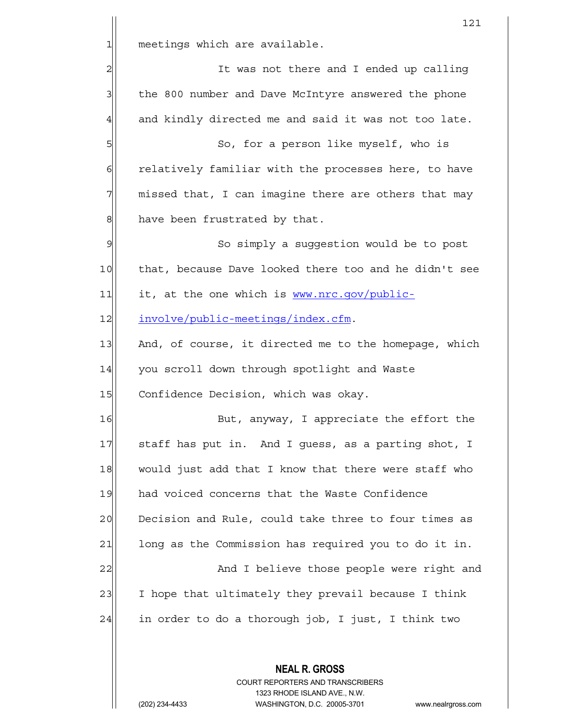**NEAL R. GROSS** 121 1 meetings which are available. 2 2 It was not there and I ended up calling 3 1 the 800 number and Dave McIntyre answered the phone  $4$  and kindly directed me and said it was not too late. 5| So, for a person like myself, who is 6 6 6 6 relatively familiar with the processes here, to have  $7$  missed that, I can imagine there are others that may 8 have been frustrated by that. 9 So simply a suqqestion would be to post 10 that, because Dave looked there too and he didn't see  $11$  it, at the one which is www.nrc.gov/public-12 involve/public-meetings/index.cfm. 13 And, of course, it directed me to the homepage, which 14 you scroll down through spotlight and Waste 15 Confidence Decision, which was okay. 16 But, anyway, I appreciate the effort the 17 Staff has put in. And I guess, as a parting shot, I 18 would just add that I know that there were staff who 19 | had voiced concerns that the Waste Confidence 20 Decision and Rule, could take three to four times as 21 | long as the Commission has required you to do it in. 22 And I believe those people were right and 23 I hope that ultimately they prevail because I think  $24$  in order to do a thorough job, I just, I think two

> COURT REPORTERS AND TRANSCRIBERS 1323 RHODE ISLAND AVE., N.W.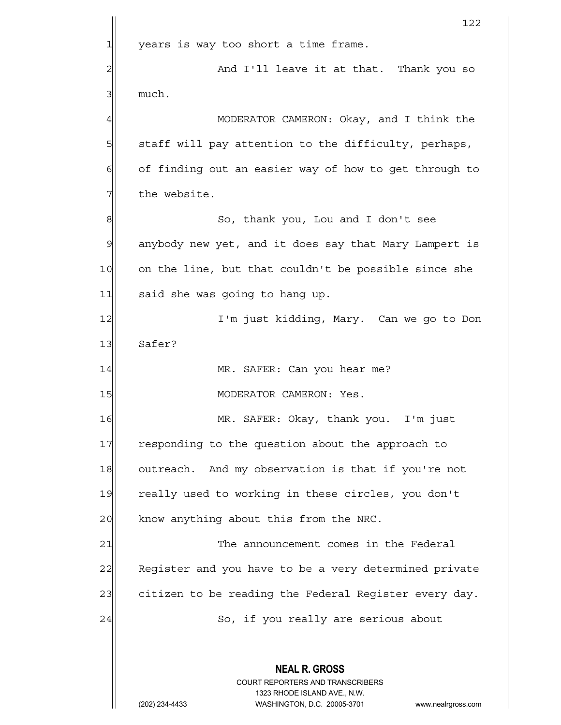|                | 122                                                                                                 |  |  |  |  |  |  |
|----------------|-----------------------------------------------------------------------------------------------------|--|--|--|--|--|--|
| 1              | years is way too short a time frame.                                                                |  |  |  |  |  |  |
| $\overline{c}$ | And I'll leave it at that. Thank you so                                                             |  |  |  |  |  |  |
| 3              | much.                                                                                               |  |  |  |  |  |  |
| 4              | MODERATOR CAMERON: Okay, and I think the                                                            |  |  |  |  |  |  |
| 5              | staff will pay attention to the difficulty, perhaps,                                                |  |  |  |  |  |  |
| 6              | of finding out an easier way of how to get through to                                               |  |  |  |  |  |  |
| 7              | the website.                                                                                        |  |  |  |  |  |  |
| 8              | So, thank you, Lou and I don't see                                                                  |  |  |  |  |  |  |
| 9              | anybody new yet, and it does say that Mary Lampert is                                               |  |  |  |  |  |  |
| 10             | on the line, but that couldn't be possible since she                                                |  |  |  |  |  |  |
| 11             | said she was going to hang up.                                                                      |  |  |  |  |  |  |
| 12             | I'm just kidding, Mary. Can we go to Don                                                            |  |  |  |  |  |  |
| 13             | Safer?                                                                                              |  |  |  |  |  |  |
| 14             | MR. SAFER: Can you hear me?                                                                         |  |  |  |  |  |  |
| 15             | MODERATOR CAMERON: Yes.                                                                             |  |  |  |  |  |  |
| 16             | MR. SAFER: Okay, thank you. I'm just                                                                |  |  |  |  |  |  |
| 17             | responding to the question about the approach to                                                    |  |  |  |  |  |  |
| 18             | outreach. And my observation is that if you're not                                                  |  |  |  |  |  |  |
| 19             | really used to working in these circles, you don't                                                  |  |  |  |  |  |  |
| 20             | know anything about this from the NRC.                                                              |  |  |  |  |  |  |
| 21             | The announcement comes in the Federal                                                               |  |  |  |  |  |  |
| 22             | Register and you have to be a very determined private                                               |  |  |  |  |  |  |
| 23             | citizen to be reading the Federal Register every day.                                               |  |  |  |  |  |  |
| 24             | So, if you really are serious about                                                                 |  |  |  |  |  |  |
|                |                                                                                                     |  |  |  |  |  |  |
|                | <b>NEAL R. GROSS</b>                                                                                |  |  |  |  |  |  |
|                | <b>COURT REPORTERS AND TRANSCRIBERS</b>                                                             |  |  |  |  |  |  |
|                | 1323 RHODE ISLAND AVE., N.W.<br>(202) 234-4433<br>WASHINGTON, D.C. 20005-3701<br>www.nealrgross.com |  |  |  |  |  |  |
|                |                                                                                                     |  |  |  |  |  |  |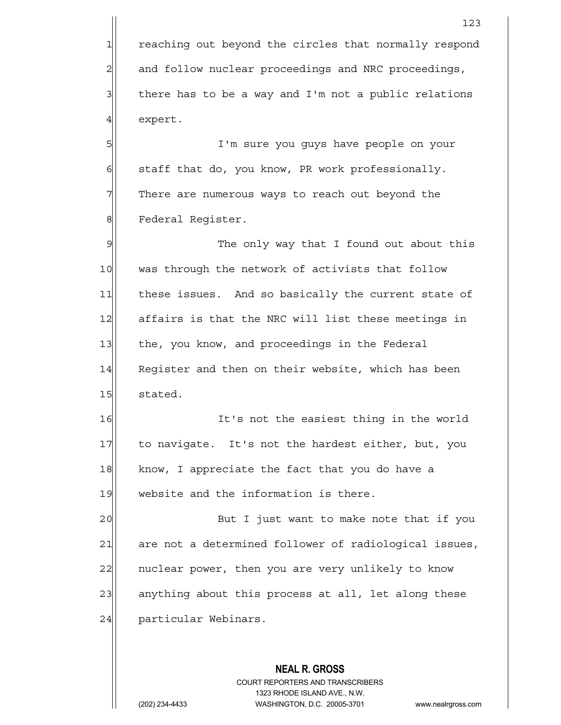1 reaching out beyond the circles that normally respond 2 and follow nuclear proceedings and NRC proceedings,  $3$  there has to be a way and I'm not a public relations 4 expert.

5 I'm sure you guys have people on your  $6$  staff that do, you know, PR work professionally. 7 There are numerous ways to reach out beyond the 8 | Federal Register.

9 9 The only way that I found out about this 10 was through the network of activists that follow 11 | these issues. And so basically the current state of 12 affairs is that the NRC will list these meetings in 13 the, you know, and proceedings in the Federal 14 Reqister and then on their website, which has been 15 stated.

16 It's not the easiest thing in the world 17 to navigate. It's not the hardest either, but, you 18 know, I appreciate the fact that you do have a 19 website and the information is there.

20 and I just want to make note that if you 21 are not a determined follower of radiological issues, 22 | nuclear power, then you are very unlikely to know 23 anything about this process at all, let along these 24 particular Webinars.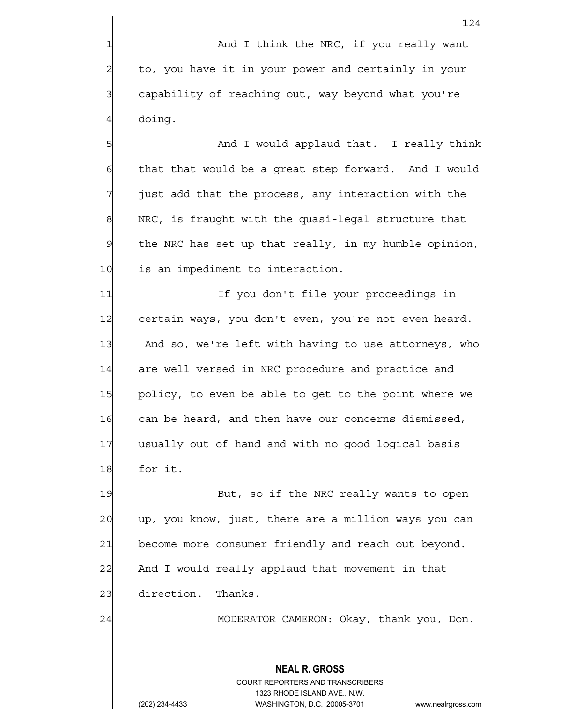1 1 And I think the NRC, if you really want 2 to, you have it in your power and certainly in your 3 capability of reaching out, way beyond what you're  $4$  doing.

5 S| S| And I would applaud that. I really think  $6$  that that would be a great step forward. And I would  $7$  just add that the process, any interaction with the 8 NRC, is fraught with the quasi-legal structure that  $9$  the NRC has set up that really, in my humble opinion, 10 is an impediment to interaction.

11 11 If you don't file your proceedings in 12 certain ways, you don't even, you're not even heard. 13 And so, we're left with having to use attorneys, who 14 are well versed in NRC procedure and practice and 15 policy, to even be able to get to the point where we 16 can be heard, and then have our concerns dismissed, 17 usually out of hand and with no good logical basis 18 for it.

19 But, so if the NRC really wants to open 20 up, you know, just, there are a million ways you can 21 become more consumer friendly and reach out beyond. 22 And I would really applaud that movement in that 23 direction. Thanks.

24 MODERATOR CAMERON: Okay, thank you, Don.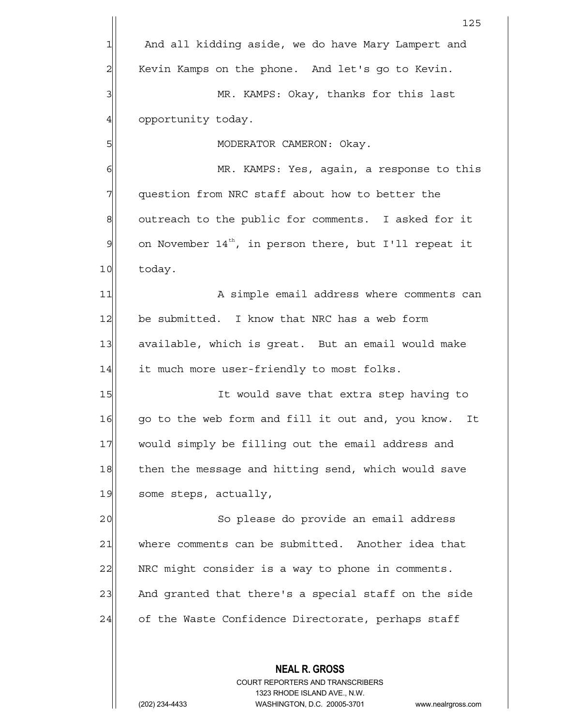|    | 125                                                             |  |  |  |  |  |  |
|----|-----------------------------------------------------------------|--|--|--|--|--|--|
| 1  | And all kidding aside, we do have Mary Lampert and              |  |  |  |  |  |  |
| 2  | Kevin Kamps on the phone. And let's go to Kevin.                |  |  |  |  |  |  |
| 3  | MR. KAMPS: Okay, thanks for this last                           |  |  |  |  |  |  |
| 4  | opportunity today.                                              |  |  |  |  |  |  |
| 5  | MODERATOR CAMERON: Okay.                                        |  |  |  |  |  |  |
| 6  | MR. KAMPS: Yes, again, a response to this                       |  |  |  |  |  |  |
| 7  | question from NRC staff about how to better the                 |  |  |  |  |  |  |
| 8  | outreach to the public for comments. I asked for it             |  |  |  |  |  |  |
| 9  | on November $14^{th}$ , in person there, but I'll repeat it     |  |  |  |  |  |  |
| 10 | today.                                                          |  |  |  |  |  |  |
| 11 | A simple email address where comments can                       |  |  |  |  |  |  |
| 12 | be submitted. I know that NRC has a web form                    |  |  |  |  |  |  |
| 13 | available, which is great. But an email would make              |  |  |  |  |  |  |
| 14 | it much more user-friendly to most folks.                       |  |  |  |  |  |  |
| 15 | It would save that extra step having to                         |  |  |  |  |  |  |
| 16 | go to the web form and fill it out and, you know.<br>It         |  |  |  |  |  |  |
| 17 | would simply be filling out the email address and               |  |  |  |  |  |  |
| 18 | then the message and hitting send, which would save             |  |  |  |  |  |  |
| 19 | some steps, actually,                                           |  |  |  |  |  |  |
| 20 | So please do provide an email address                           |  |  |  |  |  |  |
| 21 | where comments can be submitted. Another idea that              |  |  |  |  |  |  |
| 22 | NRC might consider is a way to phone in comments.               |  |  |  |  |  |  |
| 23 | And granted that there's a special staff on the side            |  |  |  |  |  |  |
| 24 | of the Waste Confidence Directorate, perhaps staff              |  |  |  |  |  |  |
|    |                                                                 |  |  |  |  |  |  |
|    | <b>NEAL R. GROSS</b><br><b>COURT REPORTERS AND TRANSCRIBERS</b> |  |  |  |  |  |  |

1323 RHODE ISLAND AVE., N.W.

 $\prod$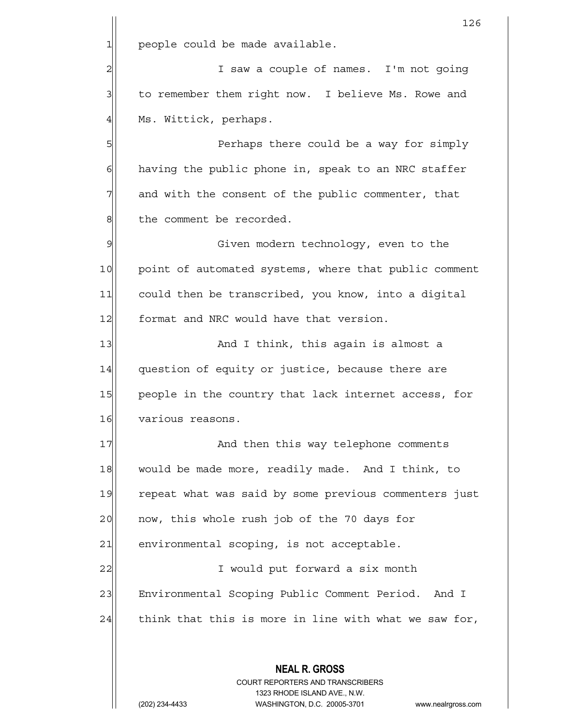**NEAL R. GROSS** COURT REPORTERS AND TRANSCRIBERS 1323 RHODE ISLAND AVE., N.W. 126  $1$  people could be made available. 2 and  $\vert$  2 I saw a couple of names. I'm not going 3 to remember them right now. I believe Ms. Rowe and 4 Ms. Wittick, perhaps. 5 Perhaps there could be a way for simply  $6$  having the public phone in, speak to an NRC staffer  $7$  and with the consent of the public commenter, that 8 | the comment be recorded. 9 | Given modern technology, even to the 10 point of automated systems, where that public comment 11 could then be transcribed, you know, into a digital 12 format and NRC would have that version. 13 and I think, this again is almost a 14 question of equity or justice, because there are 15 people in the country that lack internet access, for 16 various reasons. 17 and then this way telephone comments 18 would be made more, readily made. And I think, to 19 repeat what was said by some previous commenters just 20 | now, this whole rush job of the 70 days for  $21$  environmental scoping, is not acceptable. 22 | I would put forward a six month 23 Environmental Scoping Public Comment Period. And I  $24$  think that this is more in line with what we saw for,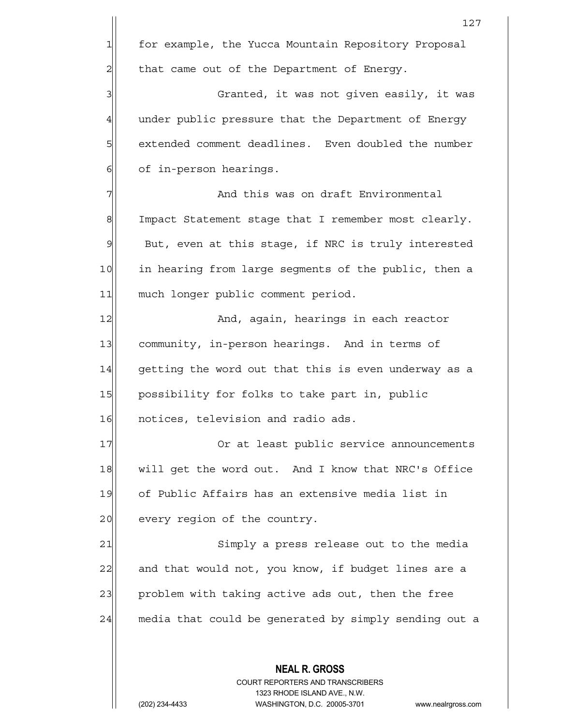**NEAL R. GROSS** COURT REPORTERS AND TRANSCRIBERS 127 1 for example, the Yucca Mountain Repository Proposal  $2$  that came out of the Department of Energy. 3 3 Granted, it was not given easily, it was 4 under public pressure that the Department of Energy 5 | stended comment deadlines. Even doubled the number 6 6 of in-person hearings. 7 And this was on draft Environmental 8 Impact Statement stage that I remember most clearly.  $9$  But, even at this stage, if NRC is truly interested 10 in hearing from large segments of the public, then a 11 much longer public comment period. 12 And, again, hearings in each reactor 13 community, in-person hearings. And in terms of 14 getting the word out that this is even underway as a 15 | possibility for folks to take part in, public 16 notices, television and radio ads. 17 Or at least public service announcements 18 will get the word out. And I know that NRC's Office 19 of Public Affairs has an extensive media list in 20 every region of the country. 21 Simply a press release out to the media 22 and that would not, you know, if budget lines are a 23 problem with taking active ads out, then the free 24 media that could be generated by simply sending out a

1323 RHODE ISLAND AVE., N.W.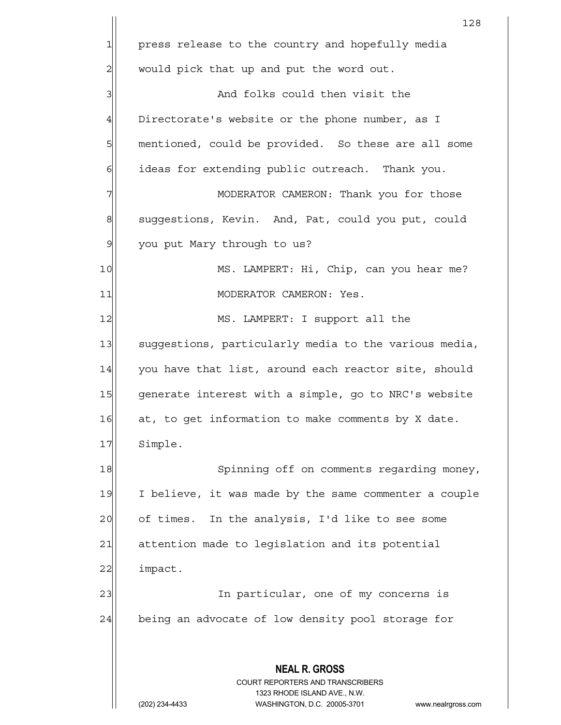**NEAL R. GROSS** COURT REPORTERS AND TRANSCRIBERS 1323 RHODE ISLAND AVE., N.W. (202) 234-4433 WASHINGTON, D.C. 20005-3701 www.nealrgross.com 128 1 press release to the country and hopefully media  $2$  would pick that up and put the word out. 3 and folks could then visit the  $4$  Directorate's website or the phone number, as I 5| mentioned, could be provided. So these are all some  $6$  ideas for extending public outreach. Thank you. 7 MODERATOR CAMERON: Thank you for those 8 suggestions, Kevin. And, Pat, could you put, could 9 you put Mary through to us? 10 MS. LAMPERT: Hi, Chip, can you hear me? 11 MODERATOR CAMERON: Yes. 12 MS. LAMPERT: I support all the 13 suggestions, particularly media to the various media, 14 you have that list, around each reactor site, should 15 generate interest with a simple, go to NRC's website 16 at, to get information to make comments by X date. 17 Simple. 18 Spinning off on comments regarding money, 19 I believe, it was made by the same commenter a couple 20 | of times. In the analysis, I'd like to see some 21 attention made to legislation and its potential 22 impact. 23 and 1 In particular, one of my concerns is 24 being an advocate of low density pool storage for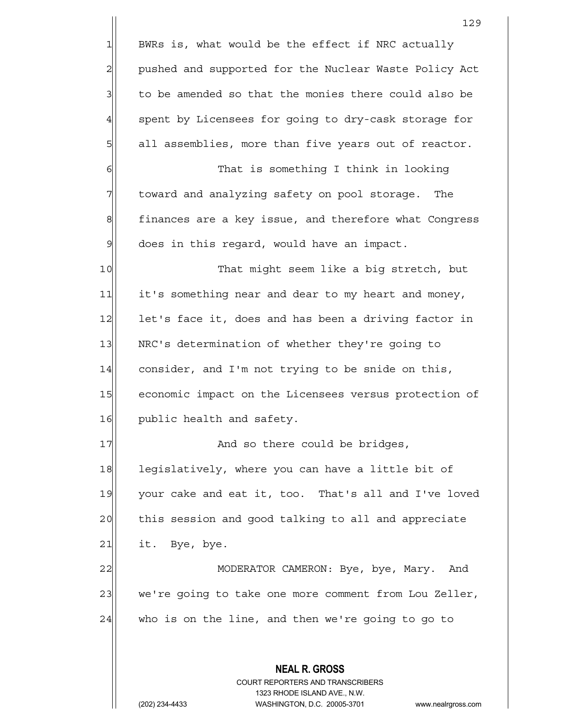| $\mathbf{1}$<br>$\overline{c}$ | BWRs is, what would be the effect if NRC actually<br>pushed and supported for the Nuclear Waste Policy Act |  |  |  |  |  |
|--------------------------------|------------------------------------------------------------------------------------------------------------|--|--|--|--|--|
|                                |                                                                                                            |  |  |  |  |  |
|                                |                                                                                                            |  |  |  |  |  |
| 3                              | to be amended so that the monies there could also be                                                       |  |  |  |  |  |
| $\overline{4}$                 | spent by Licensees for going to dry-cask storage for                                                       |  |  |  |  |  |
| 5                              | all assemblies, more than five years out of reactor.                                                       |  |  |  |  |  |
| $\epsilon$                     | That is something I think in looking                                                                       |  |  |  |  |  |
| 7                              | toward and analyzing safety on pool storage. The                                                           |  |  |  |  |  |
| $\mathbf{8}$                   | finances are a key issue, and therefore what Congress                                                      |  |  |  |  |  |
| $\mathcal{Q}$                  | does in this regard, would have an impact.                                                                 |  |  |  |  |  |
| 10                             | That might seem like a big stretch, but                                                                    |  |  |  |  |  |
| 11                             | it's something near and dear to my heart and money,                                                        |  |  |  |  |  |
| 12                             | let's face it, does and has been a driving factor in                                                       |  |  |  |  |  |
| 13                             | NRC's determination of whether they're going to                                                            |  |  |  |  |  |
| 14                             | consider, and I'm not trying to be snide on this,                                                          |  |  |  |  |  |
| 15                             | economic impact on the Licensees versus protection of                                                      |  |  |  |  |  |
| 16                             | public health and safety.                                                                                  |  |  |  |  |  |
| 17                             | And so there could be bridges,                                                                             |  |  |  |  |  |
| 18                             | legislatively, where you can have a little bit of                                                          |  |  |  |  |  |
| 19                             | your cake and eat it, too. That's all and I've loved                                                       |  |  |  |  |  |
| 20                             | this session and good talking to all and appreciate                                                        |  |  |  |  |  |
| 21                             | it. Bye, bye.                                                                                              |  |  |  |  |  |
| 22                             | MODERATOR CAMERON: Bye, bye, Mary.<br>And                                                                  |  |  |  |  |  |
| 23                             | we're going to take one more comment from Lou Zeller,                                                      |  |  |  |  |  |
| 24                             | who is on the line, and then we're going to go to                                                          |  |  |  |  |  |
|                                |                                                                                                            |  |  |  |  |  |
|                                | <b>NEAL R. GROSS</b>                                                                                       |  |  |  |  |  |
|                                | <b>COURT REPORTERS AND TRANSCRIBERS</b>                                                                    |  |  |  |  |  |
|                                | 1323 RHODE ISLAND AVE., N.W.<br>(202) 234-4433<br>WASHINGTON, D.C. 20005-3701<br>www.nealrgross.com        |  |  |  |  |  |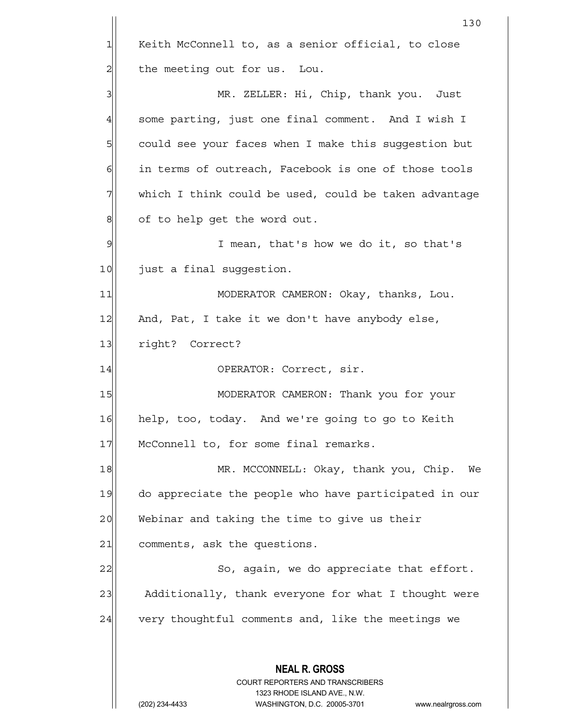**NEAL R. GROSS** COURT REPORTERS AND TRANSCRIBERS 1323 RHODE ISLAND AVE., N.W. (202) 234-4433 WASHINGTON, D.C. 20005-3701 www.nealrgross.com 130 1 Keith McConnell to, as a senior official, to close 2 | the meeting out for us. Lou. 3 MR. ZELLER: Hi, Chip, thank you. Just  $4$  some parting, just one final comment. And I wish I 5 | could see your faces when I make this suggestion but 6 in terms of outreach, Facebook is one of those tools 7 which I think could be used, could be taken advantage 8 of to help get the word out. 9 I mean, that's how we do it, so that's 10 just a final suggestion. 11|| MODERATOR CAMERON: Okay, thanks, Lou. 12 And, Pat, I take it we don't have anybody else, 13 right? Correct? 14 OPERATOR: Correct, sir. 15 | MODERATOR CAMERON: Thank you for your 16 help, too, today. And we're going to go to Keith 17 McConnell to, for some final remarks. 18 MR. MCCONNELL: Okay, thank you, Chip. We 19 do appreciate the people who have participated in our 20 Webinar and taking the time to give us their 21 comments, ask the questions. 22 So, again, we do appreciate that effort. 23 Additionally, thank everyone for what I thought were 24 very thoughtful comments and, like the meetings we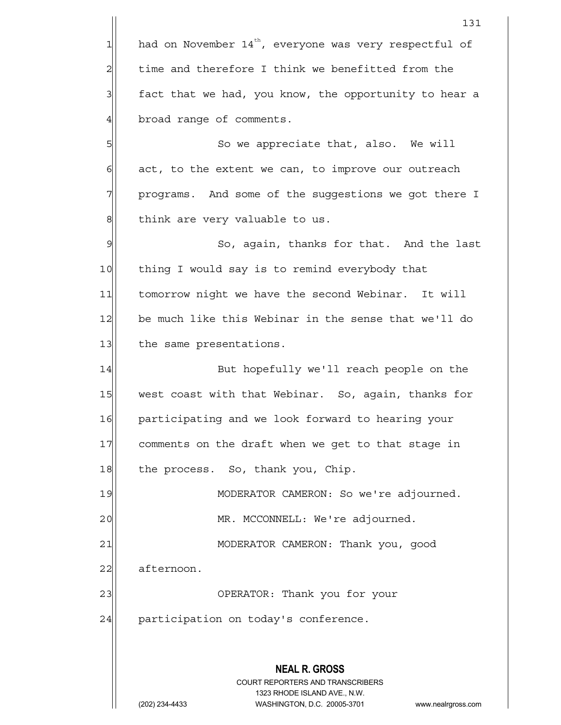**NEAL R. GROSS** COURT REPORTERS AND TRANSCRIBERS 1323 RHODE ISLAND AVE., N.W. 131  $1$  had on November 14<sup>th</sup>, everyone was very respectful of 2 time and therefore I think we benefitted from the  $3$  fact that we had, you know, the opportunity to hear a 4 broad range of comments. 5|| So we appreciate that, also. We will  $6$  act, to the extent we can, to improve our outreach 7 | programs. And some of the suggestions we got there I 8| think are very valuable to us. 9 So, again, thanks for that. And the last 10 | thing I would say is to remind everybody that 11 tomorrow night we have the second Webinar. It will 12 be much like this Webinar in the sense that we'll do 13 the same presentations. 14 But hopefully we'll reach people on the 15 west coast with that Webinar. So, again, thanks for 16 participating and we look forward to hearing your 17 comments on the draft when we get to that stage in 18 the process. So, thank you, Chip. 19 MODERATOR CAMERON: So we're adjourned. 20 | MR. MCCONNELL: We're adjourned. 21 | MODERATOR CAMERON: Thank you, good 22 afternoon. 23 | OPERATOR: Thank you for your  $24$  participation on today's conference.